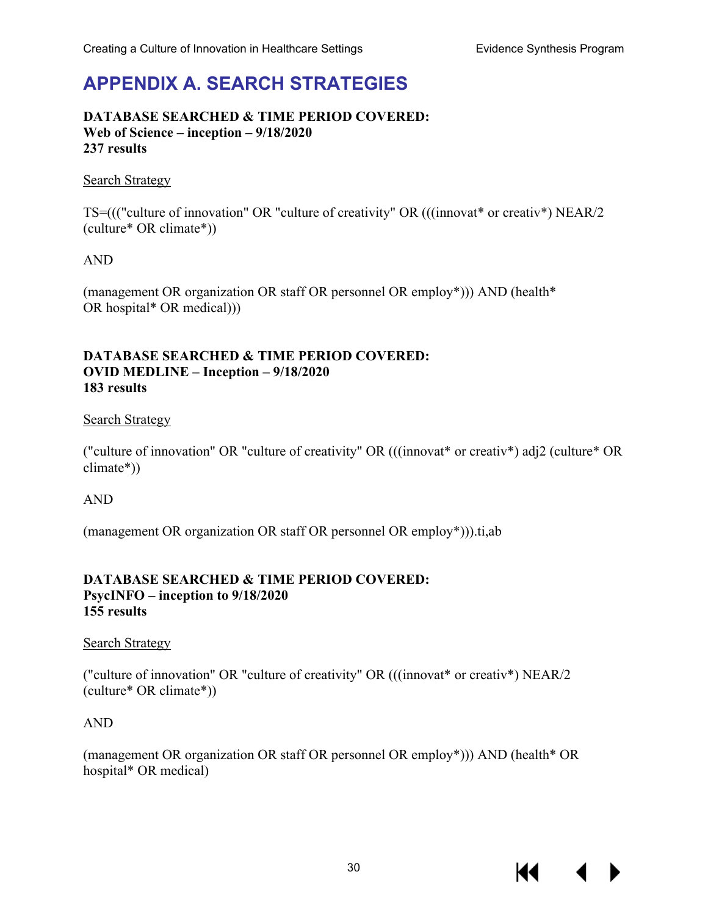# **APPENDIX A. SEARCH STRATEGIES**

#### **DATABASE SEARCHED & TIME PERIOD COVERED: Web of Science – inception – 9/18/2020 237 results**

#### Search Strategy

TS=((("culture of innovation" OR "culture of creativity" OR (((innovat\* or creativ\*) NEAR/2 (culture\* OR climate\*))

### AND

(management OR organization OR staff OR personnel OR employ\*))) AND (health\* OR hospital\* OR medical)))

#### **DATABASE SEARCHED & TIME PERIOD COVERED: OVID MEDLINE – Inception – 9/18/2020 183 results**

#### Search Strategy

("culture of innovation" OR "culture of creativity" OR (((innovat\* or creativ\*) adj2 (culture\* OR climate\*))

#### AND

(management OR organization OR staff OR personnel OR employ\*))).ti,ab

#### **DATABASE SEARCHED & TIME PERIOD COVERED: PsycINFO – inception to 9/18/2020 155 results**

#### Search Strategy

("culture of innovation" OR "culture of creativity" OR (((innovat\* or creativ\*) NEAR/2 (culture\* OR climate\*))

### AND

(management OR organization OR staff OR personnel OR employ\*))) AND (health\* OR hospital\* OR medical)

14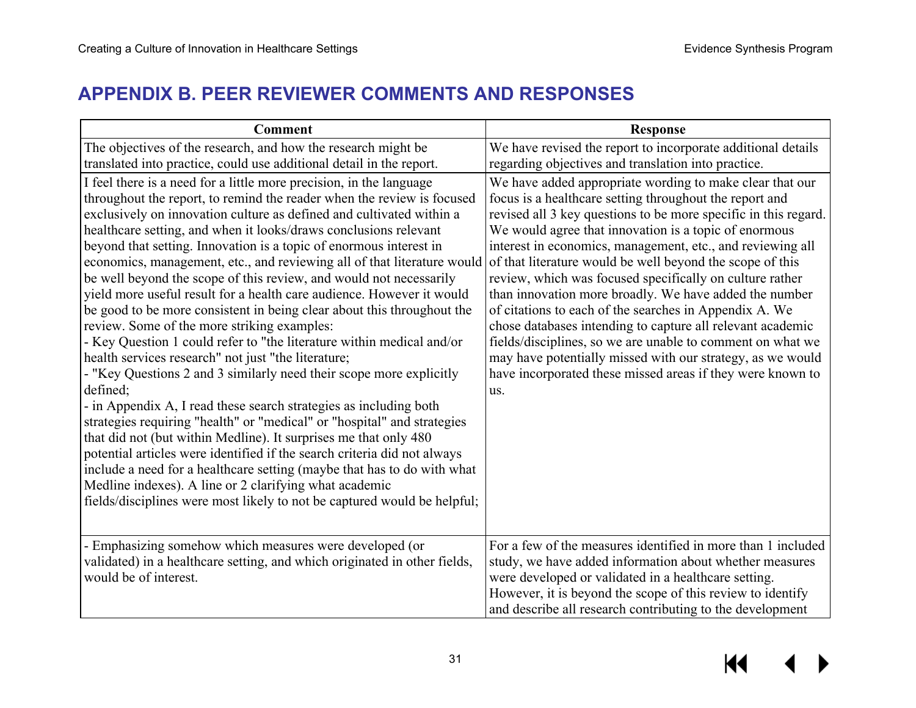## **APPENDIX B. PEER REVIEWER COMMENTS AND RESPONSES**

| <b>Comment</b>                                                                                                                                                                                                                                                                                                                                                                                                                                                                                                                                                                                                                                                                                                                                                                                                                                                                                                                                                                                                                                                                                                                                                                                                                                                                                                                                                                                                                                         | <b>Response</b>                                                                                                                                                                                                                                                                                                                                                                                                                                                                                                                                                                                                                                                                                                                                                                                                           |
|--------------------------------------------------------------------------------------------------------------------------------------------------------------------------------------------------------------------------------------------------------------------------------------------------------------------------------------------------------------------------------------------------------------------------------------------------------------------------------------------------------------------------------------------------------------------------------------------------------------------------------------------------------------------------------------------------------------------------------------------------------------------------------------------------------------------------------------------------------------------------------------------------------------------------------------------------------------------------------------------------------------------------------------------------------------------------------------------------------------------------------------------------------------------------------------------------------------------------------------------------------------------------------------------------------------------------------------------------------------------------------------------------------------------------------------------------------|---------------------------------------------------------------------------------------------------------------------------------------------------------------------------------------------------------------------------------------------------------------------------------------------------------------------------------------------------------------------------------------------------------------------------------------------------------------------------------------------------------------------------------------------------------------------------------------------------------------------------------------------------------------------------------------------------------------------------------------------------------------------------------------------------------------------------|
| The objectives of the research, and how the research might be<br>translated into practice, could use additional detail in the report.                                                                                                                                                                                                                                                                                                                                                                                                                                                                                                                                                                                                                                                                                                                                                                                                                                                                                                                                                                                                                                                                                                                                                                                                                                                                                                                  | We have revised the report to incorporate additional details<br>regarding objectives and translation into practice.                                                                                                                                                                                                                                                                                                                                                                                                                                                                                                                                                                                                                                                                                                       |
| I feel there is a need for a little more precision, in the language<br>throughout the report, to remind the reader when the review is focused<br>exclusively on innovation culture as defined and cultivated within a<br>healthcare setting, and when it looks/draws conclusions relevant<br>beyond that setting. Innovation is a topic of enormous interest in<br>economics, management, etc., and reviewing all of that literature would<br>be well beyond the scope of this review, and would not necessarily<br>yield more useful result for a health care audience. However it would<br>be good to be more consistent in being clear about this throughout the<br>review. Some of the more striking examples:<br>- Key Question 1 could refer to "the literature within medical and/or<br>health services research" not just "the literature;<br>- "Key Questions 2 and 3 similarly need their scope more explicitly<br>defined;<br>- in Appendix A, I read these search strategies as including both<br>strategies requiring "health" or "medical" or "hospital" and strategies<br>that did not (but within Medline). It surprises me that only 480<br>potential articles were identified if the search criteria did not always<br>include a need for a healthcare setting (maybe that has to do with what<br>Medline indexes). A line or 2 clarifying what academic<br>fields/disciplines were most likely to not be captured would be helpful; | We have added appropriate wording to make clear that our<br>focus is a healthcare setting throughout the report and<br>revised all 3 key questions to be more specific in this regard.<br>We would agree that innovation is a topic of enormous<br>interest in economics, management, etc., and reviewing all<br>of that literature would be well beyond the scope of this<br>review, which was focused specifically on culture rather<br>than innovation more broadly. We have added the number<br>of citations to each of the searches in Appendix A. We<br>chose databases intending to capture all relevant academic<br>fields/disciplines, so we are unable to comment on what we<br>may have potentially missed with our strategy, as we would<br>have incorporated these missed areas if they were known to<br>us. |
| - Emphasizing somehow which measures were developed (or<br>validated) in a healthcare setting, and which originated in other fields,<br>would be of interest.                                                                                                                                                                                                                                                                                                                                                                                                                                                                                                                                                                                                                                                                                                                                                                                                                                                                                                                                                                                                                                                                                                                                                                                                                                                                                          | For a few of the measures identified in more than 1 included<br>study, we have added information about whether measures<br>were developed or validated in a healthcare setting.<br>However, it is beyond the scope of this review to identify<br>and describe all research contributing to the development                                                                                                                                                                                                                                                                                                                                                                                                                                                                                                                |

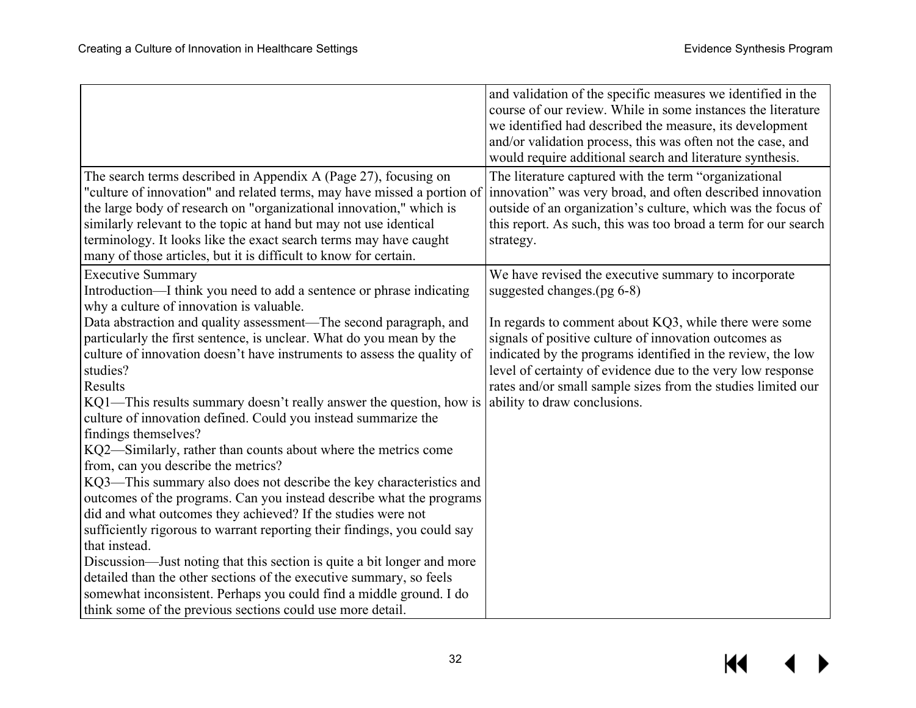|                                                                                                                                                                                                                                                                                                                                                                                                                                                                                                                                                                                                                                        | and validation of the specific measures we identified in the<br>course of our review. While in some instances the literature<br>we identified had described the measure, its development<br>and/or validation process, this was often not the case, and<br>would require additional search and literature synthesis.                          |
|----------------------------------------------------------------------------------------------------------------------------------------------------------------------------------------------------------------------------------------------------------------------------------------------------------------------------------------------------------------------------------------------------------------------------------------------------------------------------------------------------------------------------------------------------------------------------------------------------------------------------------------|-----------------------------------------------------------------------------------------------------------------------------------------------------------------------------------------------------------------------------------------------------------------------------------------------------------------------------------------------|
| The search terms described in Appendix A (Page 27), focusing on<br>"culture of innovation" and related terms, may have missed a portion of<br>the large body of research on "organizational innovation," which is<br>similarly relevant to the topic at hand but may not use identical<br>terminology. It looks like the exact search terms may have caught<br>many of those articles, but it is difficult to know for certain.                                                                                                                                                                                                        | The literature captured with the term "organizational"<br>innovation" was very broad, and often described innovation<br>outside of an organization's culture, which was the focus of<br>this report. As such, this was too broad a term for our search<br>strategy.                                                                           |
| <b>Executive Summary</b><br>Introduction—I think you need to add a sentence or phrase indicating<br>why a culture of innovation is valuable.                                                                                                                                                                                                                                                                                                                                                                                                                                                                                           | We have revised the executive summary to incorporate<br>suggested changes. $(pg 6-8)$                                                                                                                                                                                                                                                         |
| Data abstraction and quality assessment—The second paragraph, and<br>particularly the first sentence, is unclear. What do you mean by the<br>culture of innovation doesn't have instruments to assess the quality of<br>studies?<br>Results<br>KQ1—This results summary doesn't really answer the question, how is<br>culture of innovation defined. Could you instead summarize the<br>findings themselves?<br>KQ2—Similarly, rather than counts about where the metrics come                                                                                                                                                         | In regards to comment about KQ3, while there were some<br>signals of positive culture of innovation outcomes as<br>indicated by the programs identified in the review, the low<br>level of certainty of evidence due to the very low response<br>rates and/or small sample sizes from the studies limited our<br>ability to draw conclusions. |
| from, can you describe the metrics?<br>KQ3—This summary also does not describe the key characteristics and<br>outcomes of the programs. Can you instead describe what the programs<br>did and what outcomes they achieved? If the studies were not<br>sufficiently rigorous to warrant reporting their findings, you could say<br>that instead.<br>Discussion—Just noting that this section is quite a bit longer and more<br>detailed than the other sections of the executive summary, so feels<br>somewhat inconsistent. Perhaps you could find a middle ground. I do<br>think some of the previous sections could use more detail. |                                                                                                                                                                                                                                                                                                                                               |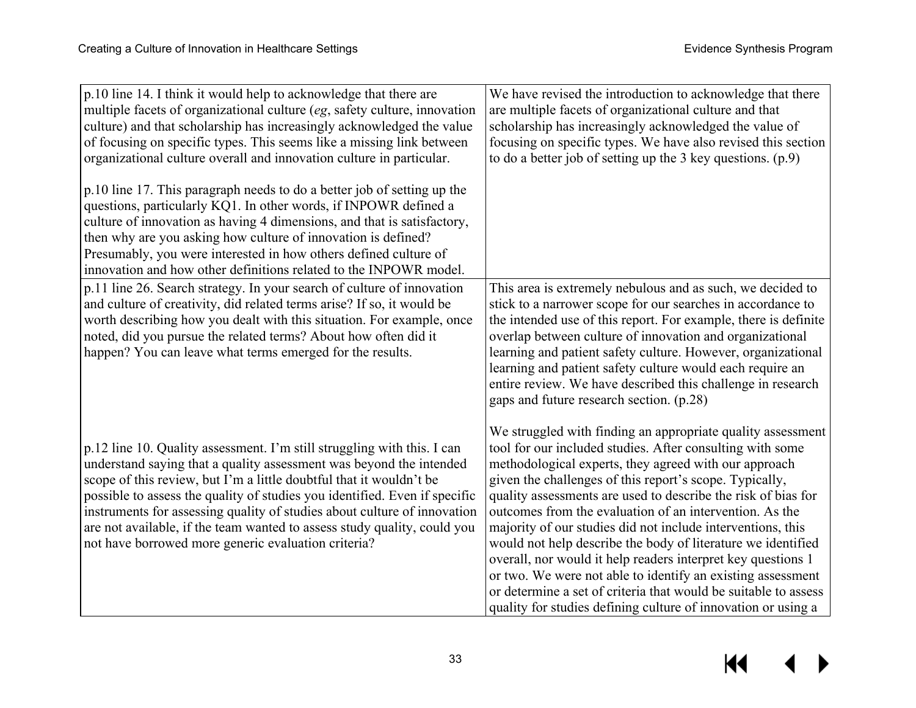p.10 line 14. I think it would help to acknowledge that there are multiple facets of organizational culture (*eg*, safety culture, innovation culture) and that scholarship has increasingly acknowledged the value of focusing on specific types. This seems like a missing link between organizational culture overall and innovation culture in particular.

p.10 line 17. This paragraph needs to do a better job of setting up the questions, particularly KQ1. In other words, if INPOWR defined a culture of innovation as having 4 dimensions, and that is satisfactory, then why are you asking how culture of innovation is defined? Presumably, you were interested in how others defined culture of innovation and how other definitions related to the INPOWR model. p.11 line 26. Search strategy. In your search of culture of innovation and culture of creativity, did related terms arise? If so, it would be worth describing how you dealt with this situation. For example, once noted, did you pursue the related terms? About how often did it happen? You can leave what terms emerged for the results.

p.12 line 10. Quality assessment. I'm still struggling with this. I can understand saying that a quality assessment was beyond the intended scope of this review, but I'm a little doubtful that it wouldn't be possible to assess the quality of studies you identified. Even if specific instruments for assessing quality of studies about culture of innovation are not available, if the team wanted to assess study quality, could you not have borrowed more generic evaluation criteria?

We have revised the introduction to acknowledge that there are multiple facets of organizational culture and that scholarship has increasingly acknowledged the value of focusing on specific types. We have also revised this section to do a better job of setting up the 3 key questions. (p.9)

This area is extremely nebulous and as such, we decided to stick to a narrower scope for our searches in accordance to the intended use of this report. For example, there is definite overlap between culture of innovation and organizational learning and patient safety culture. However, organizational learning and patient safety culture would each require an entire review. We have described this challenge in research gaps and future research section. (p.28)

We struggled with finding an appropriate quality assessment tool for our included studies. After consulting with some methodological experts, they agreed with our approach given the challenges of this report's scope. Typically, quality assessments are used to describe the risk of bias for outcomes from the evaluation of an intervention. As the majority of our studies did not include interventions, this would not help describe the body of literature we identified overall, nor would it help readers interpret key questions 1 or two. We were not able to identify an existing assessment or determine a set of criteria that would be suitable to assess quality for studies defining culture of innovation or using a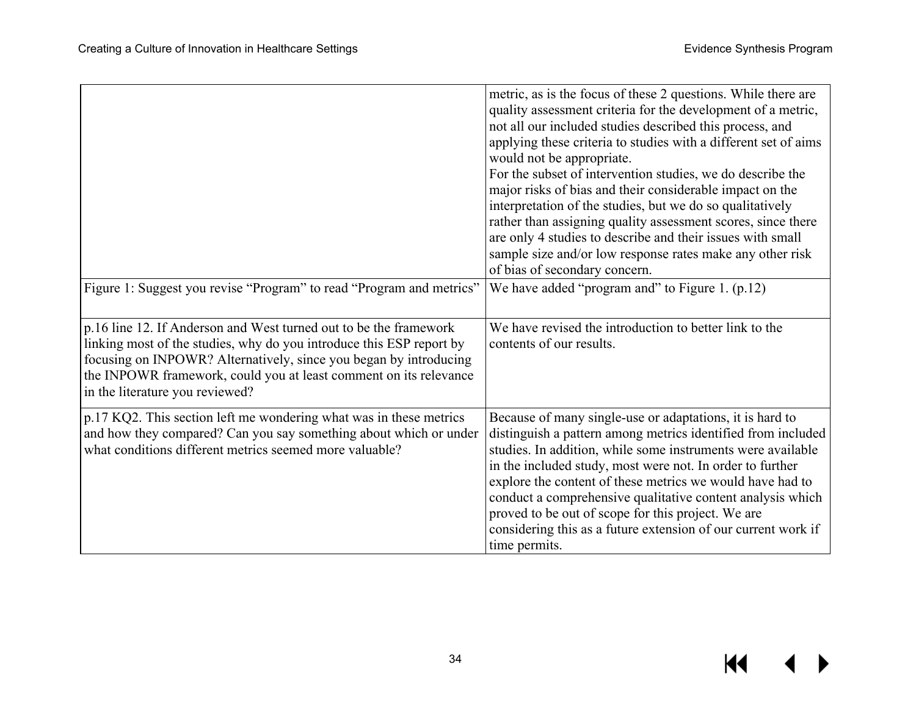|                                                                                                                                                                                                                                                                                                                        | metric, as is the focus of these 2 questions. While there are<br>quality assessment criteria for the development of a metric,<br>not all our included studies described this process, and<br>applying these criteria to studies with a different set of aims<br>would not be appropriate.<br>For the subset of intervention studies, we do describe the<br>major risks of bias and their considerable impact on the<br>interpretation of the studies, but we do so qualitatively<br>rather than assigning quality assessment scores, since there<br>are only 4 studies to describe and their issues with small<br>sample size and/or low response rates make any other risk<br>of bias of secondary concern. |
|------------------------------------------------------------------------------------------------------------------------------------------------------------------------------------------------------------------------------------------------------------------------------------------------------------------------|--------------------------------------------------------------------------------------------------------------------------------------------------------------------------------------------------------------------------------------------------------------------------------------------------------------------------------------------------------------------------------------------------------------------------------------------------------------------------------------------------------------------------------------------------------------------------------------------------------------------------------------------------------------------------------------------------------------|
| Figure 1: Suggest you revise "Program" to read "Program and metrics"                                                                                                                                                                                                                                                   | We have added "program and" to Figure 1. $(p.12)$                                                                                                                                                                                                                                                                                                                                                                                                                                                                                                                                                                                                                                                            |
| p.16 line 12. If Anderson and West turned out to be the framework<br>linking most of the studies, why do you introduce this ESP report by<br>focusing on INPOWR? Alternatively, since you began by introducing<br>the INPOWR framework, could you at least comment on its relevance<br>in the literature you reviewed? | We have revised the introduction to better link to the<br>contents of our results.                                                                                                                                                                                                                                                                                                                                                                                                                                                                                                                                                                                                                           |
| p.17 KQ2. This section left me wondering what was in these metrics<br>and how they compared? Can you say something about which or under<br>what conditions different metrics seemed more valuable?                                                                                                                     | Because of many single-use or adaptations, it is hard to<br>distinguish a pattern among metrics identified from included<br>studies. In addition, while some instruments were available<br>in the included study, most were not. In order to further<br>explore the content of these metrics we would have had to<br>conduct a comprehensive qualitative content analysis which<br>proved to be out of scope for this project. We are<br>considering this as a future extension of our current work if<br>time permits.                                                                                                                                                                                      |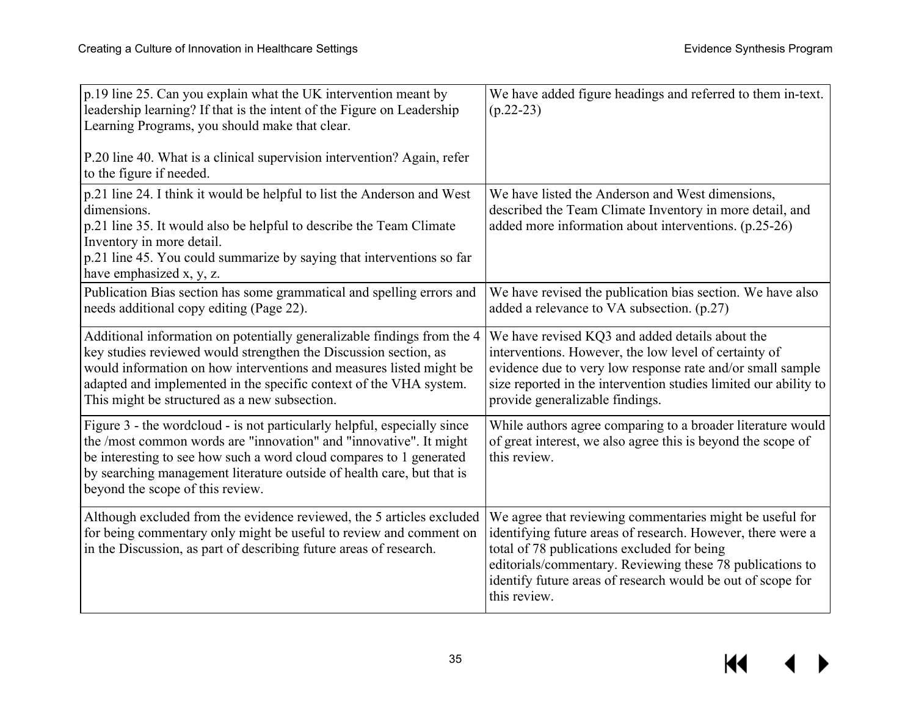| p.19 line 25. Can you explain what the UK intervention meant by<br>leadership learning? If that is the intent of the Figure on Leadership<br>Learning Programs, you should make that clear.<br>P.20 line 40. What is a clinical supervision intervention? Again, refer<br>to the figure if needed.                                        | We have added figure headings and referred to them in-text.<br>$(p.22-23)$                                                                                                                                                                                                                                         |
|-------------------------------------------------------------------------------------------------------------------------------------------------------------------------------------------------------------------------------------------------------------------------------------------------------------------------------------------|--------------------------------------------------------------------------------------------------------------------------------------------------------------------------------------------------------------------------------------------------------------------------------------------------------------------|
| p.21 line 24. I think it would be helpful to list the Anderson and West<br>dimensions.<br>p.21 line 35. It would also be helpful to describe the Team Climate<br>Inventory in more detail.<br>p.21 line 45. You could summarize by saying that interventions so far<br>have emphasized x, y, z.                                           | We have listed the Anderson and West dimensions,<br>described the Team Climate Inventory in more detail, and<br>added more information about interventions. (p.25-26)                                                                                                                                              |
| Publication Bias section has some grammatical and spelling errors and<br>needs additional copy editing (Page 22).                                                                                                                                                                                                                         | We have revised the publication bias section. We have also<br>added a relevance to VA subsection. (p.27)                                                                                                                                                                                                           |
| Additional information on potentially generalizable findings from the 4<br>key studies reviewed would strengthen the Discussion section, as<br>would information on how interventions and measures listed might be<br>adapted and implemented in the specific context of the VHA system.<br>This might be structured as a new subsection. | We have revised KQ3 and added details about the<br>interventions. However, the low level of certainty of<br>evidence due to very low response rate and/or small sample<br>size reported in the intervention studies limited our ability to<br>provide generalizable findings.                                      |
| Figure 3 - the wordcloud - is not particularly helpful, especially since<br>the /most common words are "innovation" and "innovative". It might<br>be interesting to see how such a word cloud compares to 1 generated<br>by searching management literature outside of health care, but that is<br>beyond the scope of this review.       | While authors agree comparing to a broader literature would<br>of great interest, we also agree this is beyond the scope of<br>this review.                                                                                                                                                                        |
| Although excluded from the evidence reviewed, the 5 articles excluded<br>for being commentary only might be useful to review and comment on<br>in the Discussion, as part of describing future areas of research.                                                                                                                         | We agree that reviewing commentaries might be useful for<br>identifying future areas of research. However, there were a<br>total of 78 publications excluded for being<br>editorials/commentary. Reviewing these 78 publications to<br>identify future areas of research would be out of scope for<br>this review. |

 $\overline{\mathbf{M}}$ ▶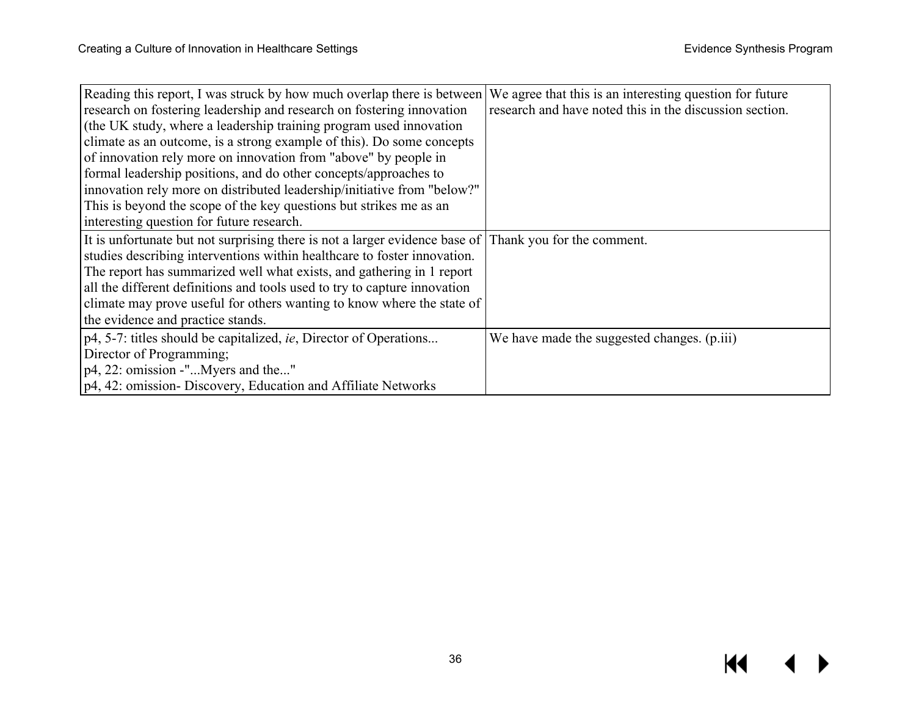| Reading this report, I was struck by how much overlap there is between       | We agree that this is an interesting question for future |
|------------------------------------------------------------------------------|----------------------------------------------------------|
| research on fostering leadership and research on fostering innovation        | research and have noted this in the discussion section.  |
| (the UK study, where a leadership training program used innovation           |                                                          |
| climate as an outcome, is a strong example of this). Do some concepts        |                                                          |
| of innovation rely more on innovation from "above" by people in              |                                                          |
| formal leadership positions, and do other concepts/approaches to             |                                                          |
| innovation rely more on distributed leadership/initiative from "below?"      |                                                          |
| This is beyond the scope of the key questions but strikes me as an           |                                                          |
| interesting question for future research.                                    |                                                          |
| It is unfortunate but not surprising there is not a larger evidence base of  | Thank you for the comment.                               |
| studies describing interventions within healthcare to foster innovation.     |                                                          |
| The report has summarized well what exists, and gathering in 1 report        |                                                          |
| all the different definitions and tools used to try to capture innovation    |                                                          |
| climate may prove useful for others wanting to know where the state of       |                                                          |
| the evidence and practice stands.                                            |                                                          |
| $p4$ , 5-7: titles should be capitalized, <i>ie</i> , Director of Operations | We have made the suggested changes. (p.iii)              |
| Director of Programming;                                                     |                                                          |
| $p4, 22$ : omission -" Myers and the"                                        |                                                          |
| p4, 42: omission- Discovery, Education and Affiliate Networks                |                                                          |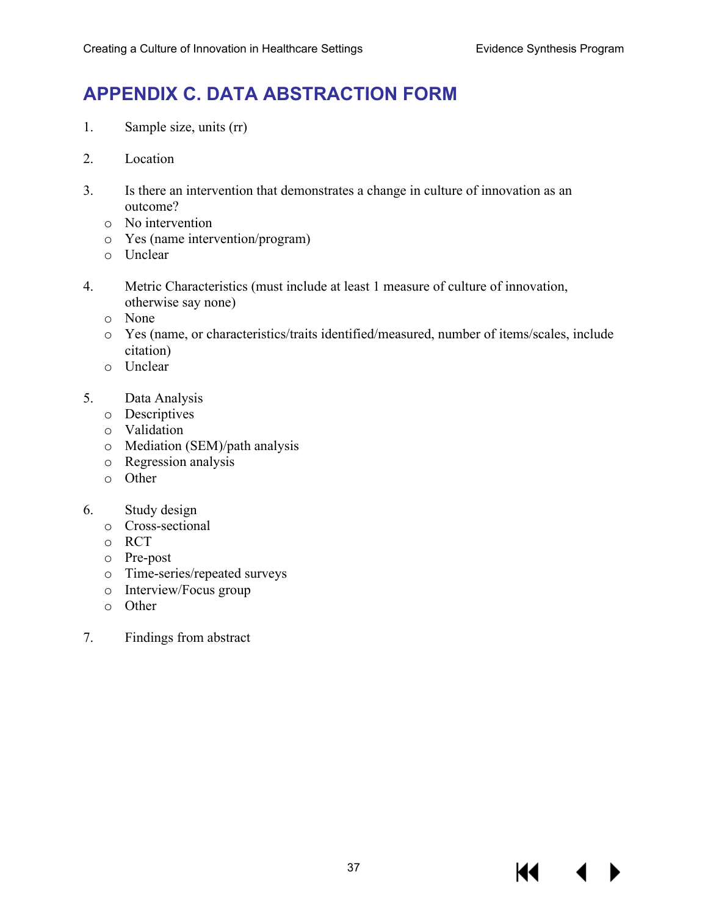# **APPENDIX C. DATA ABSTRACTION FORM**

- 1. Sample size, units (rr)
- 2. Location
- 3. Is there an intervention that demonstrates a change in culture of innovation as an outcome?
	- o No intervention
	- o Yes (name intervention/program)
	- o Unclear
- 4. Metric Characteristics (must include at least 1 measure of culture of innovation, otherwise say none)
	- o None
	- o Yes (name, or characteristics/traits identified/measured, number of items/scales, include citation)
	- o Unclear
- 5. Data Analysis
	- o Descriptives
	- o Validation
	- o Mediation (SEM)/path analysis
	- o Regression analysis
	- o Other
- 6. Study design
	- o Cross-sectional
	- o RCT
	- o Pre-post
	- o Time-series/repeated surveys
	- o Interview/Focus group
	- o Other
- 7. Findings from abstract

К€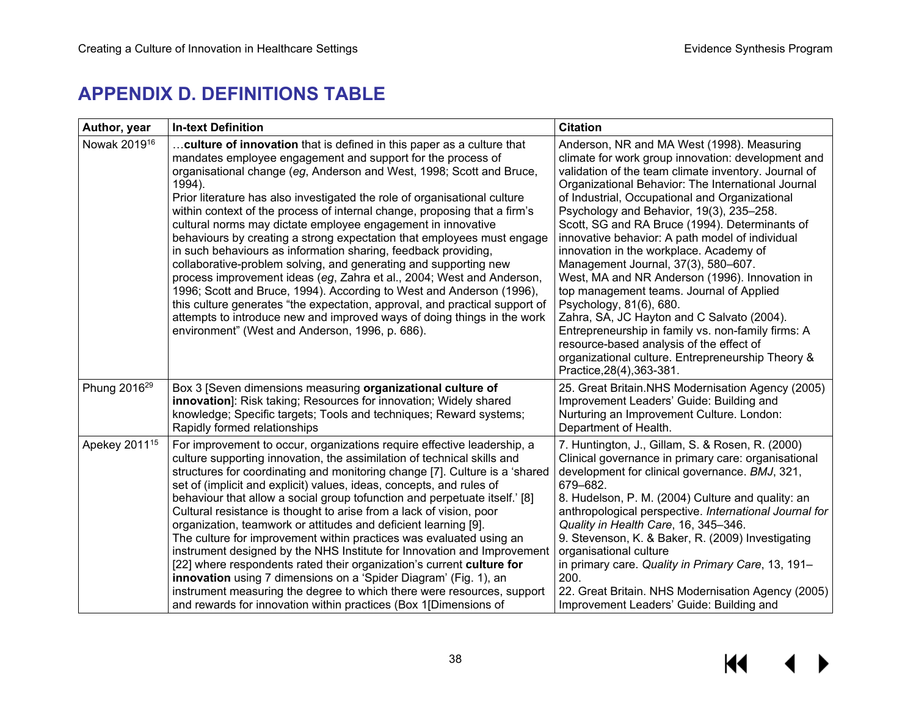# **APPENDIX D. DEFINITIONS TABLE**

| Author, year              | <b>In-text Definition</b>                                                                                                                                                                                                                                                                                                                                                                                                                                                                                                                                                                                                                                                                                                                                                                                                                                                                                                                                                                                                      | <b>Citation</b>                                                                                                                                                                                                                                                                                                                                                                                                                                                                                                                                                                                                                                                                                                                                                                                                                                                |
|---------------------------|--------------------------------------------------------------------------------------------------------------------------------------------------------------------------------------------------------------------------------------------------------------------------------------------------------------------------------------------------------------------------------------------------------------------------------------------------------------------------------------------------------------------------------------------------------------------------------------------------------------------------------------------------------------------------------------------------------------------------------------------------------------------------------------------------------------------------------------------------------------------------------------------------------------------------------------------------------------------------------------------------------------------------------|----------------------------------------------------------------------------------------------------------------------------------------------------------------------------------------------------------------------------------------------------------------------------------------------------------------------------------------------------------------------------------------------------------------------------------------------------------------------------------------------------------------------------------------------------------------------------------------------------------------------------------------------------------------------------------------------------------------------------------------------------------------------------------------------------------------------------------------------------------------|
| Nowak 2019 <sup>16</sup>  | culture of innovation that is defined in this paper as a culture that<br>mandates employee engagement and support for the process of<br>organisational change (eg, Anderson and West, 1998; Scott and Bruce,<br>1994).<br>Prior literature has also investigated the role of organisational culture<br>within context of the process of internal change, proposing that a firm's<br>cultural norms may dictate employee engagement in innovative<br>behaviours by creating a strong expectation that employees must engage<br>in such behaviours as information sharing, feedback providing,<br>collaborative-problem solving, and generating and supporting new<br>process improvement ideas (eg, Zahra et al., 2004; West and Anderson,<br>1996; Scott and Bruce, 1994). According to West and Anderson (1996),<br>this culture generates "the expectation, approval, and practical support of<br>attempts to introduce new and improved ways of doing things in the work<br>environment" (West and Anderson, 1996, p. 686). | Anderson, NR and MA West (1998). Measuring<br>climate for work group innovation: development and<br>validation of the team climate inventory. Journal of<br>Organizational Behavior: The International Journal<br>of Industrial, Occupational and Organizational<br>Psychology and Behavior, 19(3), 235-258.<br>Scott, SG and RA Bruce (1994). Determinants of<br>innovative behavior: A path model of individual<br>innovation in the workplace. Academy of<br>Management Journal, 37(3), 580-607.<br>West, MA and NR Anderson (1996). Innovation in<br>top management teams. Journal of Applied<br>Psychology, 81(6), 680.<br>Zahra, SA, JC Hayton and C Salvato (2004).<br>Entrepreneurship in family vs. non-family firms: A<br>resource-based analysis of the effect of<br>organizational culture. Entrepreneurship Theory &<br>Practice, 28(4), 363-381. |
| Phung 2016 <sup>29</sup>  | Box 3 [Seven dimensions measuring organizational culture of<br>innovation]: Risk taking; Resources for innovation; Widely shared<br>knowledge; Specific targets; Tools and techniques; Reward systems;<br>Rapidly formed relationships                                                                                                                                                                                                                                                                                                                                                                                                                                                                                                                                                                                                                                                                                                                                                                                         | 25. Great Britain.NHS Modernisation Agency (2005)<br>Improvement Leaders' Guide: Building and<br>Nurturing an Improvement Culture. London:<br>Department of Health.                                                                                                                                                                                                                                                                                                                                                                                                                                                                                                                                                                                                                                                                                            |
| Apekey 2011 <sup>15</sup> | For improvement to occur, organizations require effective leadership, a<br>culture supporting innovation, the assimilation of technical skills and<br>structures for coordinating and monitoring change [7]. Culture is a 'shared<br>set of (implicit and explicit) values, ideas, concepts, and rules of<br>behaviour that allow a social group tofunction and perpetuate itself.' [8]<br>Cultural resistance is thought to arise from a lack of vision, poor<br>organization, teamwork or attitudes and deficient learning [9].<br>The culture for improvement within practices was evaluated using an<br>instrument designed by the NHS Institute for Innovation and Improvement<br>[22] where respondents rated their organization's current culture for<br>innovation using 7 dimensions on a 'Spider Diagram' (Fig. 1), an<br>instrument measuring the degree to which there were resources, support<br>and rewards for innovation within practices (Box 1[Dimensions of                                                 | 7. Huntington, J., Gillam, S. & Rosen, R. (2000)<br>Clinical governance in primary care: organisational<br>development for clinical governance. BMJ, 321,<br>679-682.<br>8. Hudelson, P. M. (2004) Culture and quality: an<br>anthropological perspective. International Journal for<br>Quality in Health Care, 16, 345-346.<br>9. Stevenson, K. & Baker, R. (2009) Investigating<br>organisational culture<br>in primary care. Quality in Primary Care, 13, 191-<br>200.<br>22. Great Britain. NHS Modernisation Agency (2005)<br>Improvement Leaders' Guide: Building and                                                                                                                                                                                                                                                                                    |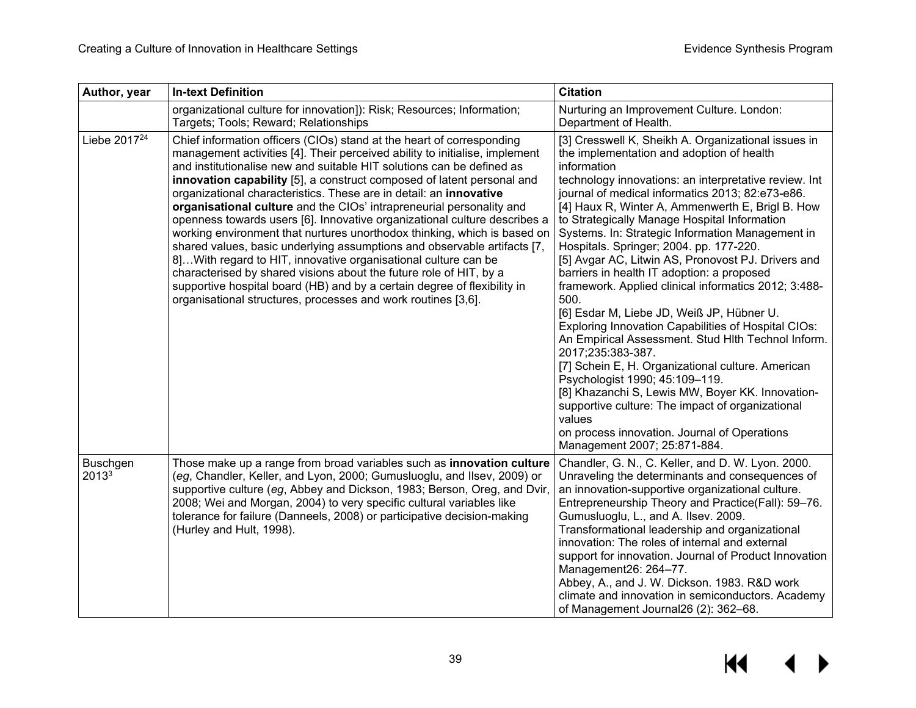| Author, year             | <b>In-text Definition</b>                                                                                                                                                                                                                                                                                                                                                                                                                                                                                                                                                                                                                                                                                                                                                                                                                                                                                                                                                       | <b>Citation</b>                                                                                                                                                                                                                                                                                                                                                                                                                                                                                                                                                                                                                                                                                                                                                                                                                                                                                                                                                                                                                                                             |
|--------------------------|---------------------------------------------------------------------------------------------------------------------------------------------------------------------------------------------------------------------------------------------------------------------------------------------------------------------------------------------------------------------------------------------------------------------------------------------------------------------------------------------------------------------------------------------------------------------------------------------------------------------------------------------------------------------------------------------------------------------------------------------------------------------------------------------------------------------------------------------------------------------------------------------------------------------------------------------------------------------------------|-----------------------------------------------------------------------------------------------------------------------------------------------------------------------------------------------------------------------------------------------------------------------------------------------------------------------------------------------------------------------------------------------------------------------------------------------------------------------------------------------------------------------------------------------------------------------------------------------------------------------------------------------------------------------------------------------------------------------------------------------------------------------------------------------------------------------------------------------------------------------------------------------------------------------------------------------------------------------------------------------------------------------------------------------------------------------------|
|                          | organizational culture for innovation]): Risk; Resources; Information;<br>Targets; Tools; Reward; Relationships                                                                                                                                                                                                                                                                                                                                                                                                                                                                                                                                                                                                                                                                                                                                                                                                                                                                 | Nurturing an Improvement Culture. London:<br>Department of Health.                                                                                                                                                                                                                                                                                                                                                                                                                                                                                                                                                                                                                                                                                                                                                                                                                                                                                                                                                                                                          |
| Liebe 2017 <sup>24</sup> | Chief information officers (CIOs) stand at the heart of corresponding<br>management activities [4]. Their perceived ability to initialise, implement<br>and institutionalise new and suitable HIT solutions can be defined as<br>innovation capability [5], a construct composed of latent personal and<br>organizational characteristics. These are in detail: an innovative<br>organisational culture and the CIOs' intrapreneurial personality and<br>openness towards users [6]. Innovative organizational culture describes a<br>working environment that nurtures unorthodox thinking, which is based on<br>shared values, basic underlying assumptions and observable artifacts [7,<br>8]With regard to HIT, innovative organisational culture can be<br>characterised by shared visions about the future role of HIT, by a<br>supportive hospital board (HB) and by a certain degree of flexibility in<br>organisational structures, processes and work routines [3,6]. | [3] Cresswell K, Sheikh A. Organizational issues in<br>the implementation and adoption of health<br>information<br>technology innovations: an interpretative review. Int<br>journal of medical informatics 2013; 82:e73-e86.<br>[4] Haux R, Winter A, Ammenwerth E, Brigl B. How<br>to Strategically Manage Hospital Information<br>Systems. In: Strategic Information Management in<br>Hospitals. Springer; 2004. pp. 177-220.<br>[5] Avgar AC, Litwin AS, Pronovost PJ. Drivers and<br>barriers in health IT adoption: a proposed<br>framework. Applied clinical informatics 2012; 3:488-<br>500.<br>[6] Esdar M, Liebe JD, Weiß JP, Hübner U.<br>Exploring Innovation Capabilities of Hospital CIOs:<br>An Empirical Assessment. Stud Hlth Technol Inform.<br>2017;235:383-387.<br>[7] Schein E, H. Organizational culture. American<br>Psychologist 1990; 45:109-119.<br>[8] Khazanchi S, Lewis MW, Boyer KK. Innovation-<br>supportive culture: The impact of organizational<br>values<br>on process innovation. Journal of Operations<br>Management 2007; 25:871-884. |
| <b>Buschgen</b><br>20133 | Those make up a range from broad variables such as innovation culture<br>(eg, Chandler, Keller, and Lyon, 2000; Gumusluoglu, and Ilsev, 2009) or<br>supportive culture (eg, Abbey and Dickson, 1983; Berson, Oreg, and Dvir,<br>2008; Wei and Morgan, 2004) to very specific cultural variables like<br>tolerance for failure (Danneels, 2008) or participative decision-making<br>(Hurley and Hult, 1998).                                                                                                                                                                                                                                                                                                                                                                                                                                                                                                                                                                     | Chandler, G. N., C. Keller, and D. W. Lyon. 2000.<br>Unraveling the determinants and consequences of<br>an innovation-supportive organizational culture.<br>Entrepreneurship Theory and Practice(Fall): 59-76.<br>Gumusluoglu, L., and A. Ilsev. 2009.<br>Transformational leadership and organizational<br>innovation: The roles of internal and external<br>support for innovation. Journal of Product Innovation<br>Management26: 264-77.<br>Abbey, A., and J. W. Dickson. 1983. R&D work<br>climate and innovation in semiconductors. Academy<br>of Management Journal26 (2): 362-68.                                                                                                                                                                                                                                                                                                                                                                                                                                                                                   |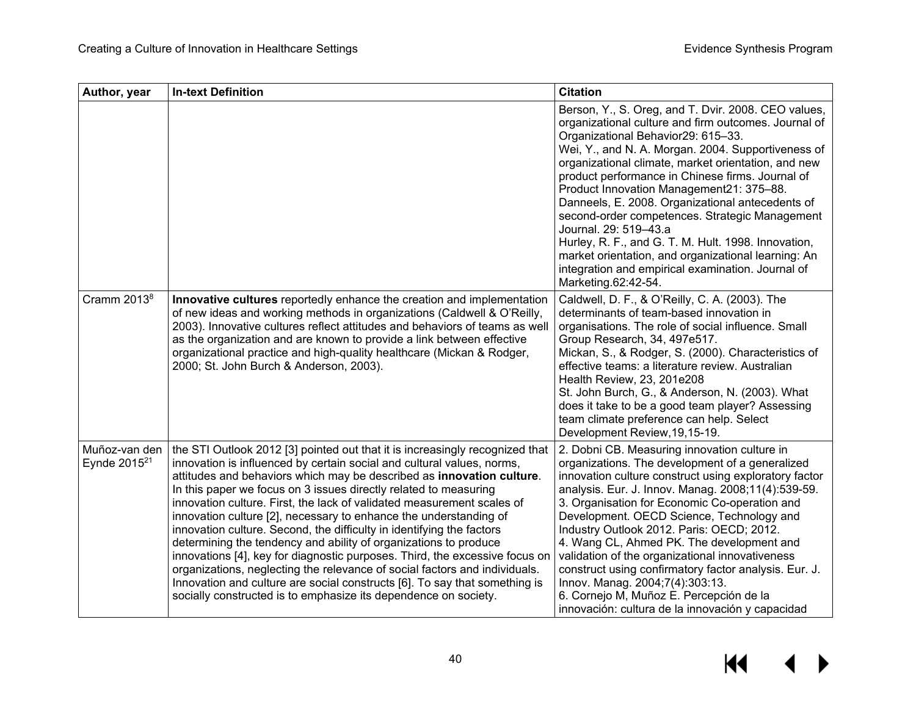| Author, year                              | <b>In-text Definition</b>                                                                                                                                                                                                                                                                                                                                                                                                                                                                                                                                                                                                                                                                                                                                                                                                                                                                                     | <b>Citation</b>                                                                                                                                                                                                                                                                                                                                                                                                                                                                                                                                                                                                                                                                         |
|-------------------------------------------|---------------------------------------------------------------------------------------------------------------------------------------------------------------------------------------------------------------------------------------------------------------------------------------------------------------------------------------------------------------------------------------------------------------------------------------------------------------------------------------------------------------------------------------------------------------------------------------------------------------------------------------------------------------------------------------------------------------------------------------------------------------------------------------------------------------------------------------------------------------------------------------------------------------|-----------------------------------------------------------------------------------------------------------------------------------------------------------------------------------------------------------------------------------------------------------------------------------------------------------------------------------------------------------------------------------------------------------------------------------------------------------------------------------------------------------------------------------------------------------------------------------------------------------------------------------------------------------------------------------------|
|                                           |                                                                                                                                                                                                                                                                                                                                                                                                                                                                                                                                                                                                                                                                                                                                                                                                                                                                                                               | Berson, Y., S. Oreg, and T. Dvir. 2008. CEO values,<br>organizational culture and firm outcomes. Journal of<br>Organizational Behavior29: 615-33.<br>Wei, Y., and N. A. Morgan. 2004. Supportiveness of<br>organizational climate, market orientation, and new<br>product performance in Chinese firms. Journal of<br>Product Innovation Management21: 375-88.<br>Danneels, E. 2008. Organizational antecedents of<br>second-order competences. Strategic Management<br>Journal. 29: 519-43.a<br>Hurley, R. F., and G. T. M. Hult. 1998. Innovation,<br>market orientation, and organizational learning: An<br>integration and empirical examination. Journal of<br>Marketing.62:42-54. |
| Cramm 2013 <sup>8</sup>                   | Innovative cultures reportedly enhance the creation and implementation<br>of new ideas and working methods in organizations (Caldwell & O'Reilly,<br>2003). Innovative cultures reflect attitudes and behaviors of teams as well<br>as the organization and are known to provide a link between effective<br>organizational practice and high-quality healthcare (Mickan & Rodger,<br>2000; St. John Burch & Anderson, 2003).                                                                                                                                                                                                                                                                                                                                                                                                                                                                                 | Caldwell, D. F., & O'Reilly, C. A. (2003). The<br>determinants of team-based innovation in<br>organisations. The role of social influence. Small<br>Group Research, 34, 497e517.<br>Mickan, S., & Rodger, S. (2000). Characteristics of<br>effective teams: a literature review. Australian<br>Health Review, 23, 201e208<br>St. John Burch, G., & Anderson, N. (2003). What<br>does it take to be a good team player? Assessing<br>team climate preference can help. Select<br>Development Review, 19, 15-19.                                                                                                                                                                          |
| Muñoz-van den<br>Eynde 2015 <sup>21</sup> | the STI Outlook 2012 [3] pointed out that it is increasingly recognized that<br>innovation is influenced by certain social and cultural values, norms,<br>attitudes and behaviors which may be described as innovation culture.<br>In this paper we focus on 3 issues directly related to measuring<br>innovation culture. First, the lack of validated measurement scales of<br>innovation culture [2], necessary to enhance the understanding of<br>innovation culture. Second, the difficulty in identifying the factors<br>determining the tendency and ability of organizations to produce<br>innovations [4], key for diagnostic purposes. Third, the excessive focus on<br>organizations, neglecting the relevance of social factors and individuals.<br>Innovation and culture are social constructs [6]. To say that something is<br>socially constructed is to emphasize its dependence on society. | 2. Dobni CB. Measuring innovation culture in<br>organizations. The development of a generalized<br>innovation culture construct using exploratory factor<br>analysis. Eur. J. Innov. Manag. 2008;11(4):539-59.<br>3. Organisation for Economic Co-operation and<br>Development. OECD Science, Technology and<br>Industry Outlook 2012. Paris: OECD; 2012.<br>4. Wang CL, Ahmed PK. The development and<br>validation of the organizational innovativeness<br>construct using confirmatory factor analysis. Eur. J.<br>Innov. Manag. 2004;7(4):303:13.<br>6. Cornejo M, Muñoz E. Percepción de la<br>innovación: cultura de la innovación y capacidad                                    |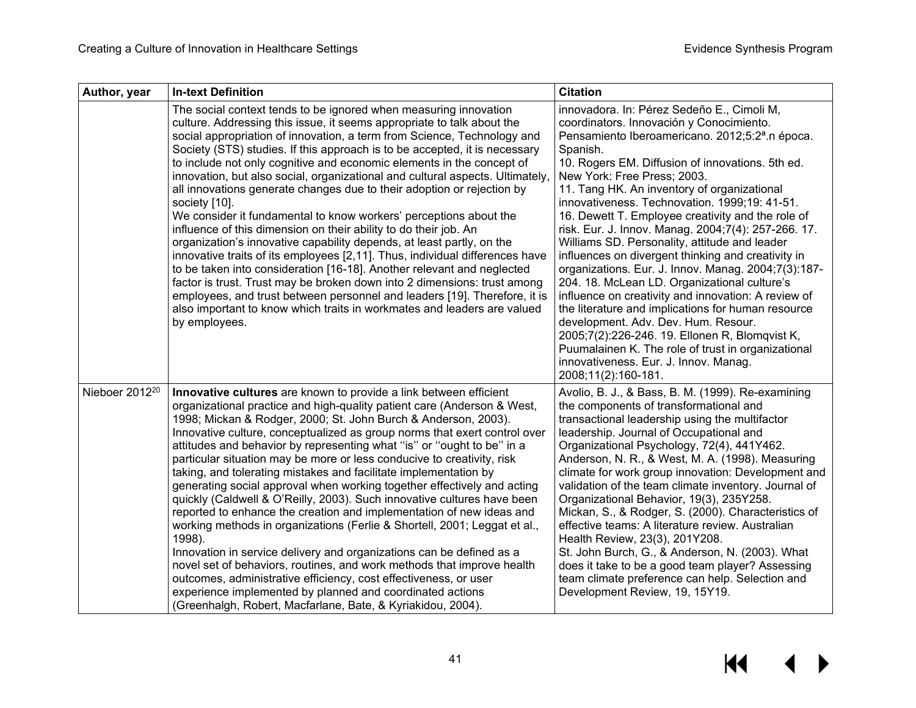| Author, year               | <b>In-text Definition</b>                                                                                                                                                                                                                                                                                                                                                                                                                                                                                                                                                                                                                                                                                                                                                                                                                                                                                                                                                                                                                                                                                                                                                                  | <b>Citation</b>                                                                                                                                                                                                                                                                                                                                                                                                                                                                                                                                                                                                                                                                                                                                                                                                                                                                                                                                                                                            |
|----------------------------|--------------------------------------------------------------------------------------------------------------------------------------------------------------------------------------------------------------------------------------------------------------------------------------------------------------------------------------------------------------------------------------------------------------------------------------------------------------------------------------------------------------------------------------------------------------------------------------------------------------------------------------------------------------------------------------------------------------------------------------------------------------------------------------------------------------------------------------------------------------------------------------------------------------------------------------------------------------------------------------------------------------------------------------------------------------------------------------------------------------------------------------------------------------------------------------------|------------------------------------------------------------------------------------------------------------------------------------------------------------------------------------------------------------------------------------------------------------------------------------------------------------------------------------------------------------------------------------------------------------------------------------------------------------------------------------------------------------------------------------------------------------------------------------------------------------------------------------------------------------------------------------------------------------------------------------------------------------------------------------------------------------------------------------------------------------------------------------------------------------------------------------------------------------------------------------------------------------|
|                            | The social context tends to be ignored when measuring innovation<br>culture. Addressing this issue, it seems appropriate to talk about the<br>social appropriation of innovation, a term from Science, Technology and<br>Society (STS) studies. If this approach is to be accepted, it is necessary<br>to include not only cognitive and economic elements in the concept of<br>innovation, but also social, organizational and cultural aspects. Ultimately,<br>all innovations generate changes due to their adoption or rejection by<br>society [10].<br>We consider it fundamental to know workers' perceptions about the<br>influence of this dimension on their ability to do their job. An<br>organization's innovative capability depends, at least partly, on the<br>innovative traits of its employees [2,11]. Thus, individual differences have<br>to be taken into consideration [16-18]. Another relevant and neglected<br>factor is trust. Trust may be broken down into 2 dimensions: trust among<br>employees, and trust between personnel and leaders [19]. Therefore, it is<br>also important to know which traits in workmates and leaders are valued<br>by employees.  | innovadora. In: Pérez Sedeño E., Cimoli M,<br>coordinators. Innovación y Conocimiento.<br>Pensamiento Iberoamericano. 2012;5:2 <sup>a</sup> .n época.<br>Spanish.<br>10. Rogers EM. Diffusion of innovations. 5th ed.<br>New York: Free Press; 2003.<br>11. Tang HK. An inventory of organizational<br>innovativeness. Technovation. 1999;19: 41-51.<br>16. Dewett T. Employee creativity and the role of<br>risk. Eur. J. Innov. Manag. 2004;7(4): 257-266. 17.<br>Williams SD. Personality, attitude and leader<br>influences on divergent thinking and creativity in<br>organizations. Eur. J. Innov. Manag. 2004;7(3):187-<br>204. 18. McLean LD. Organizational culture's<br>influence on creativity and innovation: A review of<br>the literature and implications for human resource<br>development. Adv. Dev. Hum. Resour.<br>2005;7(2):226-246. 19. Ellonen R, Blomqvist K,<br>Puumalainen K. The role of trust in organizational<br>innovativeness. Eur. J. Innov. Manag.<br>2008;11(2):160-181. |
| Nieboer 2012 <sup>20</sup> | Innovative cultures are known to provide a link between efficient<br>organizational practice and high-quality patient care (Anderson & West,<br>1998; Mickan & Rodger, 2000; St. John Burch & Anderson, 2003).<br>Innovative culture, conceptualized as group norms that exert control over<br>attitudes and behavior by representing what "is" or "ought to be" in a<br>particular situation may be more or less conducive to creativity, risk<br>taking, and tolerating mistakes and facilitate implementation by<br>generating social approval when working together effectively and acting<br>quickly (Caldwell & O'Reilly, 2003). Such innovative cultures have been<br>reported to enhance the creation and implementation of new ideas and<br>working methods in organizations (Ferlie & Shortell, 2001; Leggat et al.,<br>1998).<br>Innovation in service delivery and organizations can be defined as a<br>novel set of behaviors, routines, and work methods that improve health<br>outcomes, administrative efficiency, cost effectiveness, or user<br>experience implemented by planned and coordinated actions<br>(Greenhalgh, Robert, Macfarlane, Bate, & Kyriakidou, 2004). | Avolio, B. J., & Bass, B. M. (1999). Re-examining<br>the components of transformational and<br>transactional leadership using the multifactor<br>leadership. Journal of Occupational and<br>Organizational Psychology, 72(4), 441Y462.<br>Anderson, N. R., & West, M. A. (1998). Measuring<br>climate for work group innovation: Development and<br>validation of the team climate inventory. Journal of<br>Organizational Behavior, 19(3), 235Y258.<br>Mickan, S., & Rodger, S. (2000). Characteristics of<br>effective teams: A literature review. Australian<br>Health Review, 23(3), 201Y208.<br>St. John Burch, G., & Anderson, N. (2003). What<br>does it take to be a good team player? Assessing<br>team climate preference can help. Selection and<br>Development Review, 19, 15Y19.                                                                                                                                                                                                              |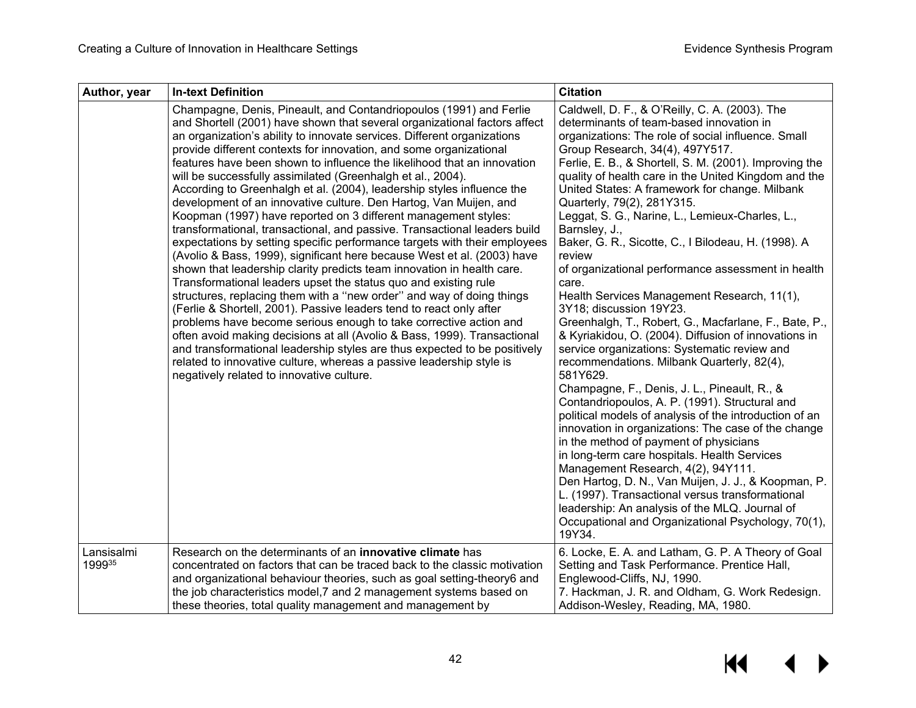| Author, year         | <b>In-text Definition</b>                                                                                                                                                                                                                                                                                                                                                                                                                                                                                                                                                                                                                                                                                                                                                                                                                                                                                                                                                                                                                                                                                                                                                                                                                                                                                                                                                                                                                                                                                                                        | <b>Citation</b>                                                                                                                                                                                                                                                                                                                                                                                                                                                                                                                                                                                                                                                                                                                                                                                                                                                                                                                                                                                                                                                                                                                                                                                                                                                                                                                                                                                                                                                                |
|----------------------|--------------------------------------------------------------------------------------------------------------------------------------------------------------------------------------------------------------------------------------------------------------------------------------------------------------------------------------------------------------------------------------------------------------------------------------------------------------------------------------------------------------------------------------------------------------------------------------------------------------------------------------------------------------------------------------------------------------------------------------------------------------------------------------------------------------------------------------------------------------------------------------------------------------------------------------------------------------------------------------------------------------------------------------------------------------------------------------------------------------------------------------------------------------------------------------------------------------------------------------------------------------------------------------------------------------------------------------------------------------------------------------------------------------------------------------------------------------------------------------------------------------------------------------------------|--------------------------------------------------------------------------------------------------------------------------------------------------------------------------------------------------------------------------------------------------------------------------------------------------------------------------------------------------------------------------------------------------------------------------------------------------------------------------------------------------------------------------------------------------------------------------------------------------------------------------------------------------------------------------------------------------------------------------------------------------------------------------------------------------------------------------------------------------------------------------------------------------------------------------------------------------------------------------------------------------------------------------------------------------------------------------------------------------------------------------------------------------------------------------------------------------------------------------------------------------------------------------------------------------------------------------------------------------------------------------------------------------------------------------------------------------------------------------------|
|                      | Champagne, Denis, Pineault, and Contandriopoulos (1991) and Ferlie<br>and Shortell (2001) have shown that several organizational factors affect<br>an organization's ability to innovate services. Different organizations<br>provide different contexts for innovation, and some organizational<br>features have been shown to influence the likelihood that an innovation<br>will be successfully assimilated (Greenhalgh et al., 2004).<br>According to Greenhalgh et al. (2004), leadership styles influence the<br>development of an innovative culture. Den Hartog, Van Muijen, and<br>Koopman (1997) have reported on 3 different management styles:<br>transformational, transactional, and passive. Transactional leaders build<br>expectations by setting specific performance targets with their employees<br>(Avolio & Bass, 1999), significant here because West et al. (2003) have<br>shown that leadership clarity predicts team innovation in health care.<br>Transformational leaders upset the status quo and existing rule<br>structures, replacing them with a "new order" and way of doing things<br>(Ferlie & Shortell, 2001). Passive leaders tend to react only after<br>problems have become serious enough to take corrective action and<br>often avoid making decisions at all (Avolio & Bass, 1999). Transactional<br>and transformational leadership styles are thus expected to be positively<br>related to innovative culture, whereas a passive leadership style is<br>negatively related to innovative culture. | Caldwell, D. F., & O'Reilly, C. A. (2003). The<br>determinants of team-based innovation in<br>organizations: The role of social influence. Small<br>Group Research, 34(4), 497Y517.<br>Ferlie, E. B., & Shortell, S. M. (2001). Improving the<br>quality of health care in the United Kingdom and the<br>United States: A framework for change. Milbank<br>Quarterly, 79(2), 281Y315.<br>Leggat, S. G., Narine, L., Lemieux-Charles, L.,<br>Barnsley, J.,<br>Baker, G. R., Sicotte, C., I Bilodeau, H. (1998). A<br>review<br>of organizational performance assessment in health<br>care.<br>Health Services Management Research, 11(1),<br>3Y18; discussion 19Y23.<br>Greenhalgh, T., Robert, G., Macfarlane, F., Bate, P.,<br>& Kyriakidou, O. (2004). Diffusion of innovations in<br>service organizations: Systematic review and<br>recommendations. Milbank Quarterly, 82(4),<br>581Y629.<br>Champagne, F., Denis, J. L., Pineault, R., &<br>Contandriopoulos, A. P. (1991). Structural and<br>political models of analysis of the introduction of an<br>innovation in organizations: The case of the change<br>in the method of payment of physicians<br>in long-term care hospitals. Health Services<br>Management Research, 4(2), 94Y111.<br>Den Hartog, D. N., Van Muijen, J. J., & Koopman, P.<br>L. (1997). Transactional versus transformational<br>leadership: An analysis of the MLQ. Journal of<br>Occupational and Organizational Psychology, 70(1),<br>19Y34. |
| Lansisalmi<br>199935 | Research on the determinants of an <b>innovative climate</b> has<br>concentrated on factors that can be traced back to the classic motivation<br>and organizational behaviour theories, such as goal setting-theory6 and<br>the job characteristics model, 7 and 2 management systems based on<br>these theories, total quality management and management by                                                                                                                                                                                                                                                                                                                                                                                                                                                                                                                                                                                                                                                                                                                                                                                                                                                                                                                                                                                                                                                                                                                                                                                     | 6. Locke, E. A. and Latham, G. P. A Theory of Goal<br>Setting and Task Performance. Prentice Hall,<br>Englewood-Cliffs, NJ, 1990.<br>7. Hackman, J. R. and Oldham, G. Work Redesign.<br>Addison-Wesley, Reading, MA, 1980.                                                                                                                                                                                                                                                                                                                                                                                                                                                                                                                                                                                                                                                                                                                                                                                                                                                                                                                                                                                                                                                                                                                                                                                                                                                     |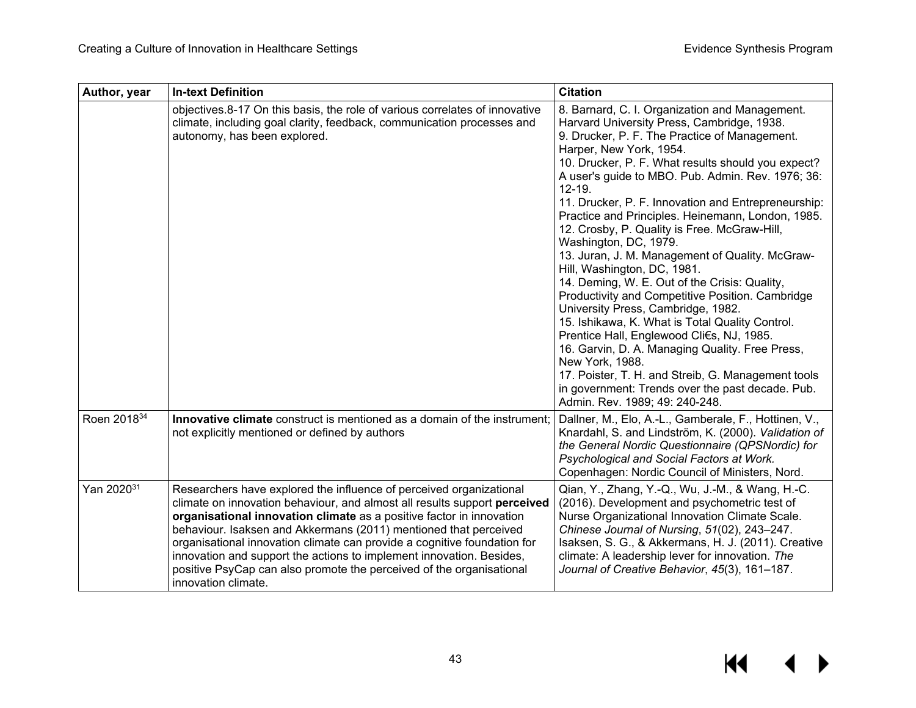| Author, year           | <b>In-text Definition</b>                                                                                                                                                                                                                                                                                                                                                                                                                                                                                                                       | <b>Citation</b>                                                                                                                                                                                                                                                                                                                                                                                                                                                                                                                                                                                                                                                                                                                                                                                                                                                                                                                                                                                                                       |
|------------------------|-------------------------------------------------------------------------------------------------------------------------------------------------------------------------------------------------------------------------------------------------------------------------------------------------------------------------------------------------------------------------------------------------------------------------------------------------------------------------------------------------------------------------------------------------|---------------------------------------------------------------------------------------------------------------------------------------------------------------------------------------------------------------------------------------------------------------------------------------------------------------------------------------------------------------------------------------------------------------------------------------------------------------------------------------------------------------------------------------------------------------------------------------------------------------------------------------------------------------------------------------------------------------------------------------------------------------------------------------------------------------------------------------------------------------------------------------------------------------------------------------------------------------------------------------------------------------------------------------|
|                        | objectives.8-17 On this basis, the role of various correlates of innovative<br>climate, including goal clarity, feedback, communication processes and<br>autonomy, has been explored.                                                                                                                                                                                                                                                                                                                                                           | 8. Barnard, C. I. Organization and Management.<br>Harvard University Press, Cambridge, 1938.<br>9. Drucker, P. F. The Practice of Management.<br>Harper, New York, 1954.<br>10. Drucker, P. F. What results should you expect?<br>A user's guide to MBO. Pub. Admin. Rev. 1976; 36:<br>$12 - 19.$<br>11. Drucker, P. F. Innovation and Entrepreneurship:<br>Practice and Principles. Heinemann, London, 1985.<br>12. Crosby, P. Quality is Free. McGraw-Hill,<br>Washington, DC, 1979.<br>13. Juran, J. M. Management of Quality. McGraw-<br>Hill, Washington, DC, 1981.<br>14. Deming, W. E. Out of the Crisis: Quality,<br>Productivity and Competitive Position. Cambridge<br>University Press, Cambridge, 1982.<br>15. Ishikawa, K. What is Total Quality Control.<br>Prentice Hall, Englewood Cli€s, NJ, 1985.<br>16. Garvin, D. A. Managing Quality. Free Press,<br>New York, 1988.<br>17. Poister, T. H. and Streib, G. Management tools<br>in government: Trends over the past decade. Pub.<br>Admin. Rev. 1989; 49: 240-248. |
| Roen 201834            | Innovative climate construct is mentioned as a domain of the instrument;<br>not explicitly mentioned or defined by authors                                                                                                                                                                                                                                                                                                                                                                                                                      | Dallner, M., Elo, A.-L., Gamberale, F., Hottinen, V.,<br>Knardahl, S. and Lindström, K. (2000). Validation of<br>the General Nordic Questionnaire (QPSNordic) for<br>Psychological and Social Factors at Work.<br>Copenhagen: Nordic Council of Ministers, Nord.                                                                                                                                                                                                                                                                                                                                                                                                                                                                                                                                                                                                                                                                                                                                                                      |
| Yan 2020 <sup>31</sup> | Researchers have explored the influence of perceived organizational<br>climate on innovation behaviour, and almost all results support perceived<br>organisational innovation climate as a positive factor in innovation<br>behaviour. Isaksen and Akkermans (2011) mentioned that perceived<br>organisational innovation climate can provide a cognitive foundation for<br>innovation and support the actions to implement innovation. Besides,<br>positive PsyCap can also promote the perceived of the organisational<br>innovation climate. | Qian, Y., Zhang, Y.-Q., Wu, J.-M., & Wang, H.-C.<br>(2016). Development and psychometric test of<br>Nurse Organizational Innovation Climate Scale.<br>Chinese Journal of Nursing, 51(02), 243-247.<br>Isaksen, S. G., & Akkermans, H. J. (2011). Creative<br>climate: A leadership lever for innovation. The<br>Journal of Creative Behavior, 45(3), 161-187.                                                                                                                                                                                                                                                                                                                                                                                                                                                                                                                                                                                                                                                                         |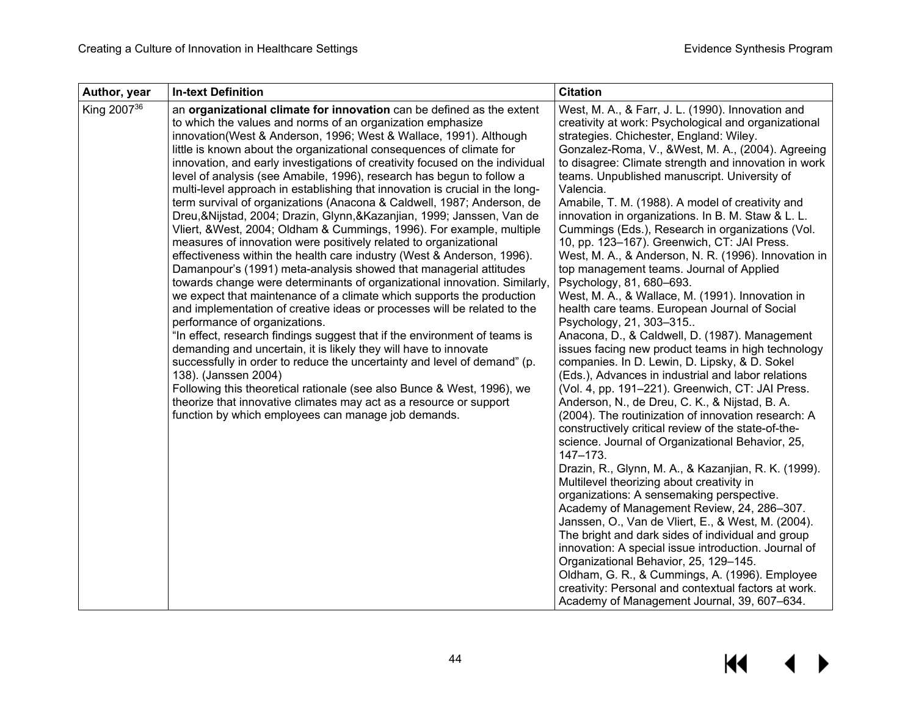| Author, year            | <b>In-text Definition</b>                                                                                                                                                                                                                                                                                                                                                                                                                                                                                                                                                                                                                                                                                                                                                                                                                                                                                                                                                                                                                                                                                                                                                                                                                                                                                                                                                                                                                                                                                                                                                                                                                                                                                  | <b>Citation</b>                                                                                                                                                                                                                                                                                                                                                                                                                                                                                                                                                                                                                                                                                                                                                                                                                                                                                                                                                                                                                                                                                                                                                                                                                                                                                                                                                                                                                                                                                                                                                                                                                                                                                                                                                                                                                                                                     |
|-------------------------|------------------------------------------------------------------------------------------------------------------------------------------------------------------------------------------------------------------------------------------------------------------------------------------------------------------------------------------------------------------------------------------------------------------------------------------------------------------------------------------------------------------------------------------------------------------------------------------------------------------------------------------------------------------------------------------------------------------------------------------------------------------------------------------------------------------------------------------------------------------------------------------------------------------------------------------------------------------------------------------------------------------------------------------------------------------------------------------------------------------------------------------------------------------------------------------------------------------------------------------------------------------------------------------------------------------------------------------------------------------------------------------------------------------------------------------------------------------------------------------------------------------------------------------------------------------------------------------------------------------------------------------------------------------------------------------------------------|-------------------------------------------------------------------------------------------------------------------------------------------------------------------------------------------------------------------------------------------------------------------------------------------------------------------------------------------------------------------------------------------------------------------------------------------------------------------------------------------------------------------------------------------------------------------------------------------------------------------------------------------------------------------------------------------------------------------------------------------------------------------------------------------------------------------------------------------------------------------------------------------------------------------------------------------------------------------------------------------------------------------------------------------------------------------------------------------------------------------------------------------------------------------------------------------------------------------------------------------------------------------------------------------------------------------------------------------------------------------------------------------------------------------------------------------------------------------------------------------------------------------------------------------------------------------------------------------------------------------------------------------------------------------------------------------------------------------------------------------------------------------------------------------------------------------------------------------------------------------------------------|
| King 2007 <sup>36</sup> | an organizational climate for innovation can be defined as the extent<br>to which the values and norms of an organization emphasize<br>innovation(West & Anderson, 1996; West & Wallace, 1991). Although<br>little is known about the organizational consequences of climate for<br>innovation, and early investigations of creativity focused on the individual<br>level of analysis (see Amabile, 1996), research has begun to follow a<br>multi-level approach in establishing that innovation is crucial in the long-<br>term survival of organizations (Anacona & Caldwell, 1987; Anderson, de<br>Dreu, & Nijstad, 2004; Drazin, Glynn, & Kazanjian, 1999; Janssen, Van de<br>Vliert, & West, 2004; Oldham & Cummings, 1996). For example, multiple<br>measures of innovation were positively related to organizational<br>effectiveness within the health care industry (West & Anderson, 1996).<br>Damanpour's (1991) meta-analysis showed that managerial attitudes<br>towards change were determinants of organizational innovation. Similarly,<br>we expect that maintenance of a climate which supports the production<br>and implementation of creative ideas or processes will be related to the<br>performance of organizations.<br>"In effect, research findings suggest that if the environment of teams is<br>demanding and uncertain, it is likely they will have to innovate<br>successfully in order to reduce the uncertainty and level of demand" (p.<br>138). (Janssen 2004)<br>Following this theoretical rationale (see also Bunce & West, 1996), we<br>theorize that innovative climates may act as a resource or support<br>function by which employees can manage job demands. | West, M. A., & Farr, J. L. (1990). Innovation and<br>creativity at work: Psychological and organizational<br>strategies. Chichester, England: Wiley.<br>Gonzalez-Roma, V., &West, M. A., (2004). Agreeing<br>to disagree: Climate strength and innovation in work<br>teams. Unpublished manuscript. University of<br>Valencia.<br>Amabile, T. M. (1988). A model of creativity and<br>innovation in organizations. In B. M. Staw & L. L.<br>Cummings (Eds.), Research in organizations (Vol.<br>10, pp. 123-167). Greenwich, CT: JAI Press.<br>West, M. A., & Anderson, N. R. (1996). Innovation in<br>top management teams. Journal of Applied<br>Psychology, 81, 680-693.<br>West, M. A., & Wallace, M. (1991). Innovation in<br>health care teams. European Journal of Social<br>Psychology, 21, 303-315<br>Anacona, D., & Caldwell, D. (1987). Management<br>issues facing new product teams in high technology<br>companies. In D. Lewin, D. Lipsky, & D. Sokel<br>(Eds.), Advances in industrial and labor relations<br>(Vol. 4, pp. 191-221). Greenwich, CT: JAI Press.<br>Anderson, N., de Dreu, C. K., & Nijstad, B. A.<br>(2004). The routinization of innovation research: A<br>constructively critical review of the state-of-the-<br>science. Journal of Organizational Behavior, 25,<br>147-173.<br>Drazin, R., Glynn, M. A., & Kazanjian, R. K. (1999).<br>Multilevel theorizing about creativity in<br>organizations: A sensemaking perspective.<br>Academy of Management Review, 24, 286-307.<br>Janssen, O., Van de Vliert, E., & West, M. (2004).<br>The bright and dark sides of individual and group<br>innovation: A special issue introduction. Journal of<br>Organizational Behavior, 25, 129-145.<br>Oldham, G. R., & Cummings, A. (1996). Employee<br>creativity: Personal and contextual factors at work.<br>Academy of Management Journal, 39, 607-634. |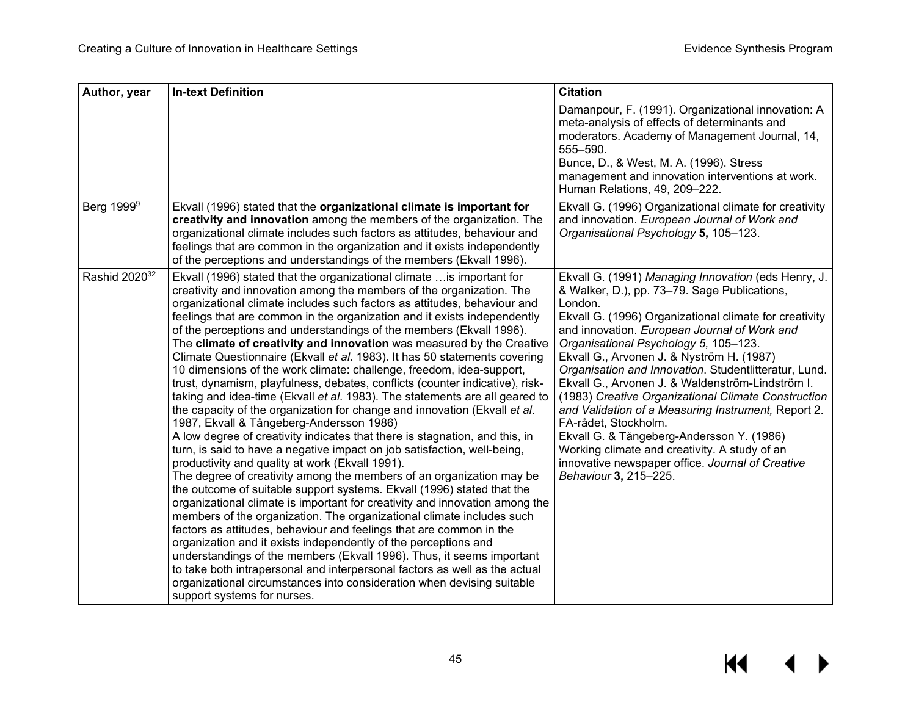| Author, year              | <b>In-text Definition</b>                                                                                                                                                                                                                                                                                                                                                                                                                                                                                                                                                                                                                                                                                                                                                                                                                                                                                                                                                                                                                                                                                                                                                                                                                                                                                                                                                                                                                                                                                                                                                                                                                                                                                                                                                                                                             | <b>Citation</b>                                                                                                                                                                                                                                                                                                                                                                                                                                                                                                                                                                                                                                                                                                                              |
|---------------------------|---------------------------------------------------------------------------------------------------------------------------------------------------------------------------------------------------------------------------------------------------------------------------------------------------------------------------------------------------------------------------------------------------------------------------------------------------------------------------------------------------------------------------------------------------------------------------------------------------------------------------------------------------------------------------------------------------------------------------------------------------------------------------------------------------------------------------------------------------------------------------------------------------------------------------------------------------------------------------------------------------------------------------------------------------------------------------------------------------------------------------------------------------------------------------------------------------------------------------------------------------------------------------------------------------------------------------------------------------------------------------------------------------------------------------------------------------------------------------------------------------------------------------------------------------------------------------------------------------------------------------------------------------------------------------------------------------------------------------------------------------------------------------------------------------------------------------------------|----------------------------------------------------------------------------------------------------------------------------------------------------------------------------------------------------------------------------------------------------------------------------------------------------------------------------------------------------------------------------------------------------------------------------------------------------------------------------------------------------------------------------------------------------------------------------------------------------------------------------------------------------------------------------------------------------------------------------------------------|
|                           |                                                                                                                                                                                                                                                                                                                                                                                                                                                                                                                                                                                                                                                                                                                                                                                                                                                                                                                                                                                                                                                                                                                                                                                                                                                                                                                                                                                                                                                                                                                                                                                                                                                                                                                                                                                                                                       | Damanpour, F. (1991). Organizational innovation: A<br>meta-analysis of effects of determinants and<br>moderators. Academy of Management Journal, 14,<br>555-590.<br>Bunce, D., & West, M. A. (1996). Stress<br>management and innovation interventions at work.<br>Human Relations, 49, 209-222.                                                                                                                                                                                                                                                                                                                                                                                                                                             |
| Berg 1999 <sup>9</sup>    | Ekvall (1996) stated that the organizational climate is important for<br>creativity and innovation among the members of the organization. The<br>organizational climate includes such factors as attitudes, behaviour and<br>feelings that are common in the organization and it exists independently<br>of the perceptions and understandings of the members (Ekvall 1996).                                                                                                                                                                                                                                                                                                                                                                                                                                                                                                                                                                                                                                                                                                                                                                                                                                                                                                                                                                                                                                                                                                                                                                                                                                                                                                                                                                                                                                                          | Ekvall G. (1996) Organizational climate for creativity<br>and innovation. European Journal of Work and<br>Organisational Psychology 5, 105-123.                                                                                                                                                                                                                                                                                                                                                                                                                                                                                                                                                                                              |
| Rashid 2020 <sup>32</sup> | Ekvall (1996) stated that the organizational climate  is important for<br>creativity and innovation among the members of the organization. The<br>organizational climate includes such factors as attitudes, behaviour and<br>feelings that are common in the organization and it exists independently<br>of the perceptions and understandings of the members (Ekvall 1996).<br>The climate of creativity and innovation was measured by the Creative<br>Climate Questionnaire (Ekvall et al. 1983). It has 50 statements covering<br>10 dimensions of the work climate: challenge, freedom, idea-support,<br>trust, dynamism, playfulness, debates, conflicts (counter indicative), risk-<br>taking and idea-time (Ekvall et al. 1983). The statements are all geared to<br>the capacity of the organization for change and innovation (Ekvall et al.<br>1987, Ekvall & Tångeberg-Andersson 1986)<br>A low degree of creativity indicates that there is stagnation, and this, in<br>turn, is said to have a negative impact on job satisfaction, well-being,<br>productivity and quality at work (Ekvall 1991).<br>The degree of creativity among the members of an organization may be<br>the outcome of suitable support systems. Ekvall (1996) stated that the<br>organizational climate is important for creativity and innovation among the<br>members of the organization. The organizational climate includes such<br>factors as attitudes, behaviour and feelings that are common in the<br>organization and it exists independently of the perceptions and<br>understandings of the members (Ekvall 1996). Thus, it seems important<br>to take both intrapersonal and interpersonal factors as well as the actual<br>organizational circumstances into consideration when devising suitable<br>support systems for nurses. | Ekvall G. (1991) Managing Innovation (eds Henry, J.<br>& Walker, D.), pp. 73–79. Sage Publications,<br>London.<br>Ekvall G. (1996) Organizational climate for creativity<br>and innovation. European Journal of Work and<br>Organisational Psychology 5, 105-123.<br>Ekvall G., Arvonen J. & Nyström H. (1987)<br>Organisation and Innovation. Studentlitteratur, Lund.<br>Ekvall G., Arvonen J. & Waldenström-Lindström I.<br>(1983) Creative Organizational Climate Construction<br>and Validation of a Measuring Instrument, Report 2.<br>FA-rådet, Stockholm.<br>Ekvall G. & Tångeberg-Andersson Y. (1986)<br>Working climate and creativity. A study of an<br>innovative newspaper office. Journal of Creative<br>Behaviour 3, 215-225. |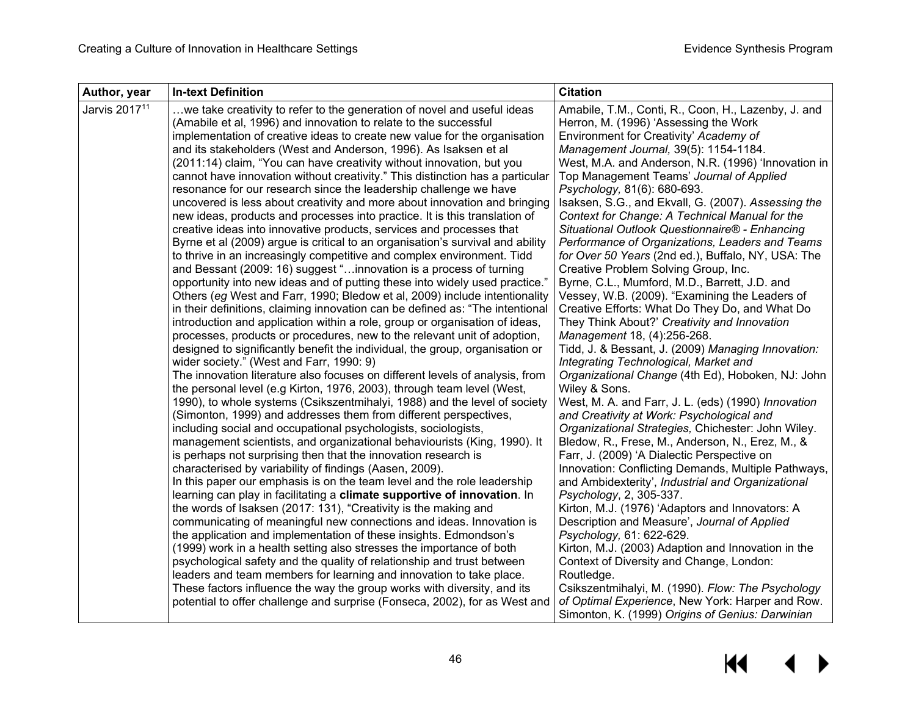| Author, year              | <b>In-text Definition</b>                                                                                                                                | <b>Citation</b>                                                                                      |
|---------------------------|----------------------------------------------------------------------------------------------------------------------------------------------------------|------------------------------------------------------------------------------------------------------|
| Jarvis 2017 <sup>11</sup> | we take creativity to refer to the generation of novel and useful ideas                                                                                  | Amabile, T.M., Conti, R., Coon, H., Lazenby, J. and                                                  |
|                           | (Amabile et al, 1996) and innovation to relate to the successful                                                                                         | Herron, M. (1996) 'Assessing the Work                                                                |
|                           | implementation of creative ideas to create new value for the organisation                                                                                | Environment for Creativity' Academy of                                                               |
|                           | and its stakeholders (West and Anderson, 1996). As Isaksen et al                                                                                         | Management Journal, 39(5): 1154-1184.                                                                |
|                           | (2011:14) claim, "You can have creativity without innovation, but you                                                                                    | West, M.A. and Anderson, N.R. (1996) 'Innovation in                                                  |
|                           | cannot have innovation without creativity." This distinction has a particular                                                                            | Top Management Teams' Journal of Applied                                                             |
|                           | resonance for our research since the leadership challenge we have                                                                                        | Psychology, 81(6): 680-693.                                                                          |
|                           | uncovered is less about creativity and more about innovation and bringing                                                                                | Isaksen, S.G., and Ekvall, G. (2007). Assessing the                                                  |
|                           | new ideas, products and processes into practice. It is this translation of                                                                               | Context for Change: A Technical Manual for the                                                       |
|                           | creative ideas into innovative products, services and processes that                                                                                     | Situational Outlook Questionnaire® - Enhancing                                                       |
|                           | Byrne et al (2009) argue is critical to an organisation's survival and ability                                                                           | Performance of Organizations, Leaders and Teams                                                      |
|                           | to thrive in an increasingly competitive and complex environment. Tidd                                                                                   | for Over 50 Years (2nd ed.), Buffalo, NY, USA: The                                                   |
|                           | and Bessant (2009: 16) suggest "innovation is a process of turning                                                                                       | Creative Problem Solving Group, Inc.                                                                 |
|                           | opportunity into new ideas and of putting these into widely used practice."                                                                              | Byrne, C.L., Mumford, M.D., Barrett, J.D. and                                                        |
|                           | Others (eg West and Farr, 1990; Bledow et al, 2009) include intentionality                                                                               | Vessey, W.B. (2009). "Examining the Leaders of                                                       |
|                           | in their definitions, claiming innovation can be defined as: "The intentional                                                                            | Creative Efforts: What Do They Do, and What Do                                                       |
|                           | introduction and application within a role, group or organisation of ideas,                                                                              | They Think About?' Creativity and Innovation                                                         |
|                           | processes, products or procedures, new to the relevant unit of adoption,<br>designed to significantly benefit the individual, the group, organisation or | Management 18, (4):256-268.<br>Tidd, J. & Bessant, J. (2009) Managing Innovation:                    |
|                           | wider society." (West and Farr, 1990: 9)                                                                                                                 | Integrating Technological, Market and                                                                |
|                           | The innovation literature also focuses on different levels of analysis, from                                                                             | Organizational Change (4th Ed), Hoboken, NJ: John                                                    |
|                           | the personal level (e.g Kirton, 1976, 2003), through team level (West,                                                                                   | Wiley & Sons.                                                                                        |
|                           | 1990), to whole systems (Csikszentmihalyi, 1988) and the level of society                                                                                | West, M. A. and Farr, J. L. (eds) (1990) Innovation                                                  |
|                           | (Simonton, 1999) and addresses them from different perspectives,                                                                                         | and Creativity at Work: Psychological and                                                            |
|                           | including social and occupational psychologists, sociologists,                                                                                           | Organizational Strategies, Chichester: John Wiley.                                                   |
|                           | management scientists, and organizational behaviourists (King, 1990). It                                                                                 | Bledow, R., Frese, M., Anderson, N., Erez, M., &                                                     |
|                           | is perhaps not surprising then that the innovation research is                                                                                           | Farr, J. (2009) 'A Dialectic Perspective on                                                          |
|                           | characterised by variability of findings (Aasen, 2009).                                                                                                  | Innovation: Conflicting Demands, Multiple Pathways,                                                  |
|                           | In this paper our emphasis is on the team level and the role leadership                                                                                  | and Ambidexterity', Industrial and Organizational                                                    |
|                           | learning can play in facilitating a climate supportive of innovation. In                                                                                 | Psychology, 2, 305-337.                                                                              |
|                           | the words of Isaksen (2017: 131), "Creativity is the making and                                                                                          | Kirton, M.J. (1976) 'Adaptors and Innovators: A                                                      |
|                           | communicating of meaningful new connections and ideas. Innovation is                                                                                     | Description and Measure', Journal of Applied                                                         |
|                           | the application and implementation of these insights. Edmondson's                                                                                        | Psychology, 61: 622-629.                                                                             |
|                           | (1999) work in a health setting also stresses the importance of both                                                                                     | Kirton, M.J. (2003) Adaption and Innovation in the                                                   |
|                           | psychological safety and the quality of relationship and trust between                                                                                   | Context of Diversity and Change, London:                                                             |
|                           | leaders and team members for learning and innovation to take place.                                                                                      | Routledge.                                                                                           |
|                           | These factors influence the way the group works with diversity, and its                                                                                  | Csikszentmihalyi, M. (1990). Flow: The Psychology                                                    |
|                           | potential to offer challenge and surprise (Fonseca, 2002), for as West and                                                                               | of Optimal Experience, New York: Harper and Row.<br>Simonton, K. (1999) Origins of Genius: Darwinian |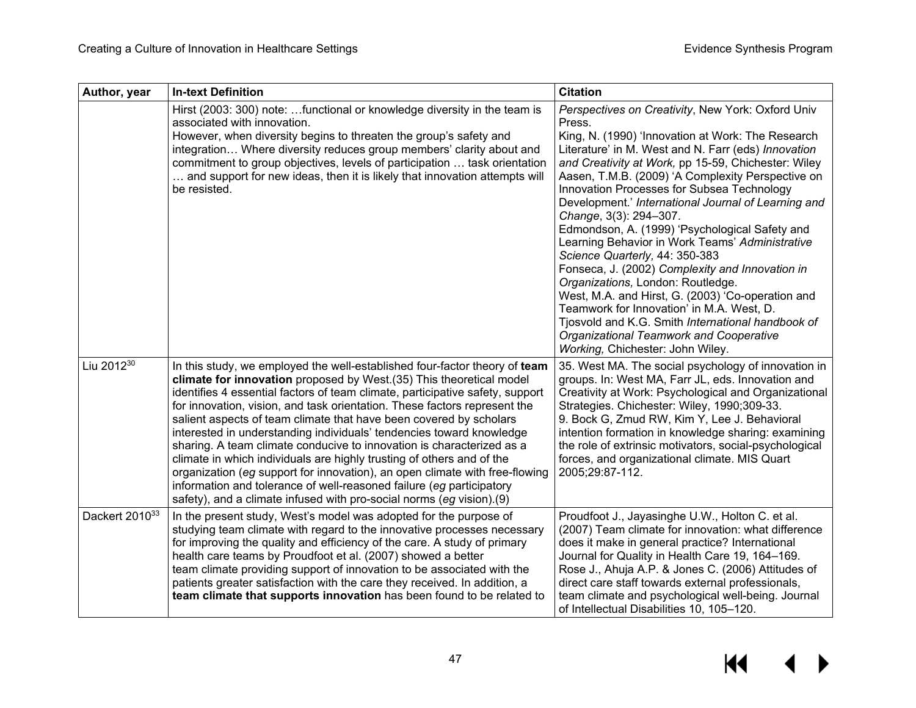| Author, year           | <b>In-text Definition</b>                                                                                                                                                                                                                                                                                                                                                                                                                                                                                                                                                                                                                                                                                                                                                                                                                      | <b>Citation</b>                                                                                                                                                                                                                                                                                                                                                                                                                                                                                                                                                                                                                                                                                                                                                                                                                                                                         |
|------------------------|------------------------------------------------------------------------------------------------------------------------------------------------------------------------------------------------------------------------------------------------------------------------------------------------------------------------------------------------------------------------------------------------------------------------------------------------------------------------------------------------------------------------------------------------------------------------------------------------------------------------------------------------------------------------------------------------------------------------------------------------------------------------------------------------------------------------------------------------|-----------------------------------------------------------------------------------------------------------------------------------------------------------------------------------------------------------------------------------------------------------------------------------------------------------------------------------------------------------------------------------------------------------------------------------------------------------------------------------------------------------------------------------------------------------------------------------------------------------------------------------------------------------------------------------------------------------------------------------------------------------------------------------------------------------------------------------------------------------------------------------------|
|                        | Hirst (2003: 300) note: functional or knowledge diversity in the team is<br>associated with innovation.<br>However, when diversity begins to threaten the group's safety and<br>integration Where diversity reduces group members' clarity about and<br>commitment to group objectives, levels of participation  task orientation<br>and support for new ideas, then it is likely that innovation attempts will<br>be resisted.                                                                                                                                                                                                                                                                                                                                                                                                                | Perspectives on Creativity, New York: Oxford Univ<br>Press.<br>King, N. (1990) 'Innovation at Work: The Research<br>Literature' in M. West and N. Farr (eds) Innovation<br>and Creativity at Work, pp 15-59, Chichester: Wiley<br>Aasen, T.M.B. (2009) 'A Complexity Perspective on<br>Innovation Processes for Subsea Technology<br>Development.' International Journal of Learning and<br>Change, 3(3): 294-307.<br>Edmondson, A. (1999) 'Psychological Safety and<br>Learning Behavior in Work Teams' Administrative<br>Science Quarterly, 44: 350-383<br>Fonseca, J. (2002) Complexity and Innovation in<br>Organizations, London: Routledge.<br>West, M.A. and Hirst, G. (2003) 'Co-operation and<br>Teamwork for Innovation' in M.A. West, D.<br>Tjosvold and K.G. Smith International handbook of<br>Organizational Teamwork and Cooperative<br>Working, Chichester: John Wiley. |
| Liu 2012 <sup>30</sup> | In this study, we employed the well-established four-factor theory of team<br>climate for innovation proposed by West.(35) This theoretical model<br>identifies 4 essential factors of team climate, participative safety, support<br>for innovation, vision, and task orientation. These factors represent the<br>salient aspects of team climate that have been covered by scholars<br>interested in understanding individuals' tendencies toward knowledge<br>sharing. A team climate conducive to innovation is characterized as a<br>climate in which individuals are highly trusting of others and of the<br>organization (eg support for innovation), an open climate with free-flowing<br>information and tolerance of well-reasoned failure (eg participatory<br>safety), and a climate infused with pro-social norms (eg vision).(9) | 35. West MA. The social psychology of innovation in<br>groups. In: West MA, Farr JL, eds. Innovation and<br>Creativity at Work: Psychological and Organizational<br>Strategies. Chichester: Wiley, 1990;309-33.<br>9. Bock G, Zmud RW, Kim Y, Lee J. Behavioral<br>intention formation in knowledge sharing: examining<br>the role of extrinsic motivators, social-psychological<br>forces, and organizational climate. MIS Quart<br>2005;29:87-112.                                                                                                                                                                                                                                                                                                                                                                                                                                    |
| Dackert 201033         | In the present study, West's model was adopted for the purpose of<br>studying team climate with regard to the innovative processes necessary<br>for improving the quality and efficiency of the care. A study of primary<br>health care teams by Proudfoot et al. (2007) showed a better<br>team climate providing support of innovation to be associated with the<br>patients greater satisfaction with the care they received. In addition, a<br>team climate that supports innovation has been found to be related to                                                                                                                                                                                                                                                                                                                       | Proudfoot J., Jayasinghe U.W., Holton C. et al.<br>(2007) Team climate for innovation: what difference<br>does it make in general practice? International<br>Journal for Quality in Health Care 19, 164-169.<br>Rose J., Ahuja A.P. & Jones C. (2006) Attitudes of<br>direct care staff towards external professionals,<br>team climate and psychological well-being. Journal<br>of Intellectual Disabilities 10, 105-120.                                                                                                                                                                                                                                                                                                                                                                                                                                                              |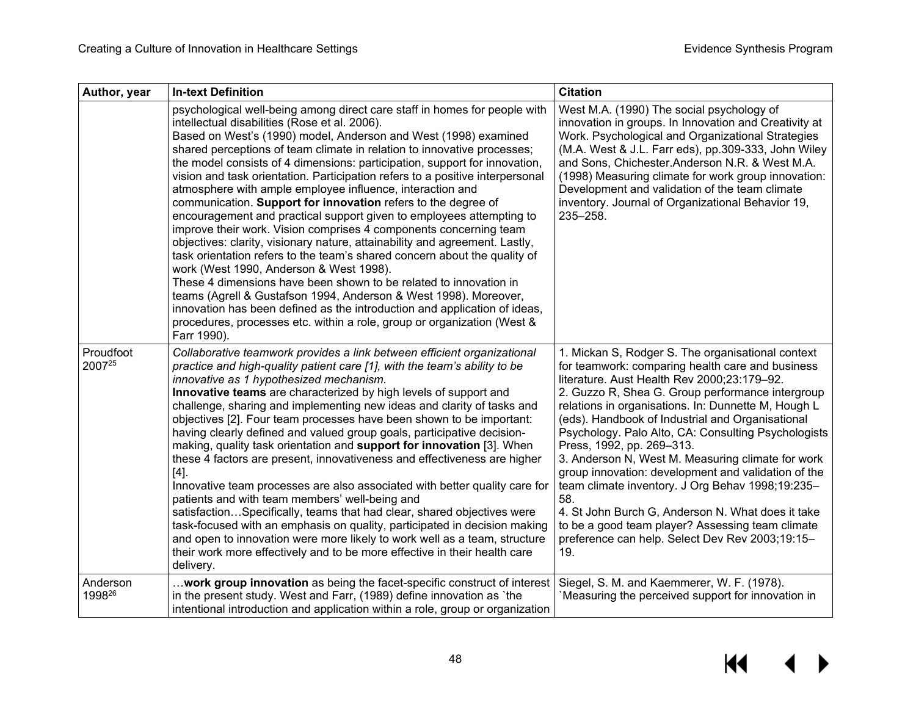| Author, year        | <b>In-text Definition</b>                                                                                                                                                                                                                                                                                                                                                                                                                                                                                                                                                                                                                                                                                                                                                                                                                                                                                                                                                                                                                                                                                                                                                                                                                 | <b>Citation</b>                                                                                                                                                                                                                                                                                                                                                                                                                                                                                                                                                                                                                                                                                                                                   |
|---------------------|-------------------------------------------------------------------------------------------------------------------------------------------------------------------------------------------------------------------------------------------------------------------------------------------------------------------------------------------------------------------------------------------------------------------------------------------------------------------------------------------------------------------------------------------------------------------------------------------------------------------------------------------------------------------------------------------------------------------------------------------------------------------------------------------------------------------------------------------------------------------------------------------------------------------------------------------------------------------------------------------------------------------------------------------------------------------------------------------------------------------------------------------------------------------------------------------------------------------------------------------|---------------------------------------------------------------------------------------------------------------------------------------------------------------------------------------------------------------------------------------------------------------------------------------------------------------------------------------------------------------------------------------------------------------------------------------------------------------------------------------------------------------------------------------------------------------------------------------------------------------------------------------------------------------------------------------------------------------------------------------------------|
|                     | psychological well-being among direct care staff in homes for people with<br>intellectual disabilities (Rose et al. 2006).<br>Based on West's (1990) model, Anderson and West (1998) examined<br>shared perceptions of team climate in relation to innovative processes;<br>the model consists of 4 dimensions: participation, support for innovation,<br>vision and task orientation. Participation refers to a positive interpersonal<br>atmosphere with ample employee influence, interaction and<br>communication. Support for innovation refers to the degree of<br>encouragement and practical support given to employees attempting to<br>improve their work. Vision comprises 4 components concerning team<br>objectives: clarity, visionary nature, attainability and agreement. Lastly,<br>task orientation refers to the team's shared concern about the quality of<br>work (West 1990, Anderson & West 1998).<br>These 4 dimensions have been shown to be related to innovation in<br>teams (Agrell & Gustafson 1994, Anderson & West 1998). Moreover,<br>innovation has been defined as the introduction and application of ideas,<br>procedures, processes etc. within a role, group or organization (West &<br>Farr 1990). | West M.A. (1990) The social psychology of<br>innovation in groups. In Innovation and Creativity at<br>Work. Psychological and Organizational Strategies<br>(M.A. West & J.L. Farr eds), pp.309-333, John Wiley<br>and Sons, Chichester.Anderson N.R. & West M.A.<br>(1998) Measuring climate for work group innovation:<br>Development and validation of the team climate<br>inventory. Journal of Organizational Behavior 19,<br>235-258.                                                                                                                                                                                                                                                                                                        |
| Proudfoot<br>200725 | Collaborative teamwork provides a link between efficient organizational<br>practice and high-quality patient care [1], with the team's ability to be<br>innovative as 1 hypothesized mechanism.<br>Innovative teams are characterized by high levels of support and<br>challenge, sharing and implementing new ideas and clarity of tasks and<br>objectives [2]. Four team processes have been shown to be important:<br>having clearly defined and valued group goals, participative decision-<br>making, quality task orientation and support for innovation [3]. When<br>these 4 factors are present, innovativeness and effectiveness are higher<br>$[4]$ .<br>Innovative team processes are also associated with better quality care for<br>patients and with team members' well-being and<br>satisfactionSpecifically, teams that had clear, shared objectives were<br>task-focused with an emphasis on quality, participated in decision making<br>and open to innovation were more likely to work well as a team, structure<br>their work more effectively and to be more effective in their health care<br>delivery.                                                                                                             | 1. Mickan S, Rodger S. The organisational context<br>for teamwork: comparing health care and business<br>literature. Aust Health Rev 2000;23:179-92.<br>2. Guzzo R, Shea G. Group performance intergroup<br>relations in organisations. In: Dunnette M, Hough L<br>(eds). Handbook of Industrial and Organisational<br>Psychology. Palo Alto, CA: Consulting Psychologists<br>Press, 1992, pp. 269-313.<br>3. Anderson N, West M. Measuring climate for work<br>group innovation: development and validation of the<br>team climate inventory. J Org Behav 1998;19:235-<br>58.<br>4. St John Burch G, Anderson N. What does it take<br>to be a good team player? Assessing team climate<br>preference can help. Select Dev Rev 2003;19:15-<br>19. |
| Anderson<br>199826  | work group innovation as being the facet-specific construct of interest<br>in the present study. West and Farr, (1989) define innovation as 'the<br>intentional introduction and application within a role, group or organization                                                                                                                                                                                                                                                                                                                                                                                                                                                                                                                                                                                                                                                                                                                                                                                                                                                                                                                                                                                                         | Siegel, S. M. and Kaemmerer, W. F. (1978).<br>Measuring the perceived support for innovation in                                                                                                                                                                                                                                                                                                                                                                                                                                                                                                                                                                                                                                                   |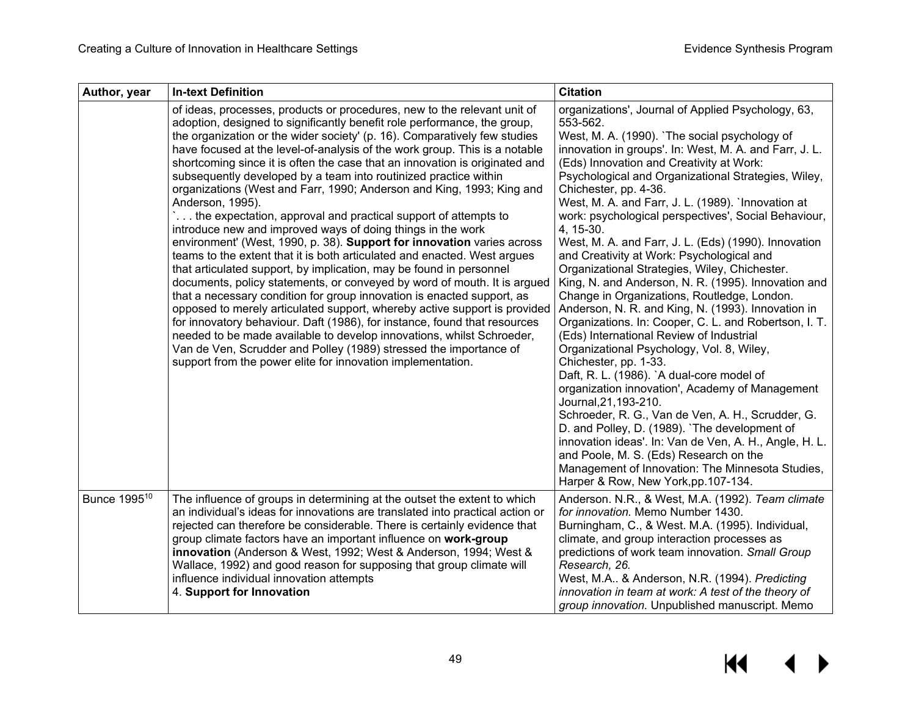| Author, year             | <b>In-text Definition</b>                                                                                                                                                                                                                                                                                                                                                                                                                                                                                                                                                                                                                                                                                                                                                                                                                                                                                                                                                                                                                                                                                                                                                                                                                                                                                                                                                                                                                                  | <b>Citation</b>                                                                                                                                                                                                                                                                                                                                                                                                                                                                                                                                                                                                                                                                                                                                                                                                                                                                                                                                                                                                                                                                                                                                                                                                                                                                                                                                              |
|--------------------------|------------------------------------------------------------------------------------------------------------------------------------------------------------------------------------------------------------------------------------------------------------------------------------------------------------------------------------------------------------------------------------------------------------------------------------------------------------------------------------------------------------------------------------------------------------------------------------------------------------------------------------------------------------------------------------------------------------------------------------------------------------------------------------------------------------------------------------------------------------------------------------------------------------------------------------------------------------------------------------------------------------------------------------------------------------------------------------------------------------------------------------------------------------------------------------------------------------------------------------------------------------------------------------------------------------------------------------------------------------------------------------------------------------------------------------------------------------|--------------------------------------------------------------------------------------------------------------------------------------------------------------------------------------------------------------------------------------------------------------------------------------------------------------------------------------------------------------------------------------------------------------------------------------------------------------------------------------------------------------------------------------------------------------------------------------------------------------------------------------------------------------------------------------------------------------------------------------------------------------------------------------------------------------------------------------------------------------------------------------------------------------------------------------------------------------------------------------------------------------------------------------------------------------------------------------------------------------------------------------------------------------------------------------------------------------------------------------------------------------------------------------------------------------------------------------------------------------|
|                          | of ideas, processes, products or procedures, new to the relevant unit of<br>adoption, designed to significantly benefit role performance, the group,<br>the organization or the wider society' (p. 16). Comparatively few studies<br>have focused at the level-of-analysis of the work group. This is a notable<br>shortcoming since it is often the case that an innovation is originated and<br>subsequently developed by a team into routinized practice within<br>organizations (West and Farr, 1990; Anderson and King, 1993; King and<br>Anderson, 1995).<br>the expectation, approval and practical support of attempts to<br>introduce new and improved ways of doing things in the work<br>environment' (West, 1990, p. 38). Support for innovation varies across<br>teams to the extent that it is both articulated and enacted. West argues<br>that articulated support, by implication, may be found in personnel<br>documents, policy statements, or conveyed by word of mouth. It is argued<br>that a necessary condition for group innovation is enacted support, as<br>opposed to merely articulated support, whereby active support is provided<br>for innovatory behaviour. Daft (1986), for instance, found that resources<br>needed to be made available to develop innovations, whilst Schroeder,<br>Van de Ven, Scrudder and Polley (1989) stressed the importance of<br>support from the power elite for innovation implementation. | organizations', Journal of Applied Psychology, 63,<br>553-562.<br>West, M. A. (1990). `The social psychology of<br>innovation in groups'. In: West, M. A. and Farr, J. L.<br>(Eds) Innovation and Creativity at Work:<br>Psychological and Organizational Strategies, Wiley,<br>Chichester, pp. 4-36.<br>West, M. A. and Farr, J. L. (1989). `Innovation at<br>work: psychological perspectives', Social Behaviour,<br>4, 15-30.<br>West, M. A. and Farr, J. L. (Eds) (1990). Innovation<br>and Creativity at Work: Psychological and<br>Organizational Strategies, Wiley, Chichester.<br>King, N. and Anderson, N. R. (1995). Innovation and<br>Change in Organizations, Routledge, London.<br>Anderson, N. R. and King, N. (1993). Innovation in<br>Organizations. In: Cooper, C. L. and Robertson, I. T.<br>(Eds) International Review of Industrial<br>Organizational Psychology, Vol. 8, Wiley,<br>Chichester, pp. 1-33.<br>Daft, R. L. (1986). `A dual-core model of<br>organization innovation', Academy of Management<br>Journal, 21, 193-210.<br>Schroeder, R. G., Van de Ven, A. H., Scrudder, G.<br>D. and Polley, D. (1989). 'The development of<br>innovation ideas'. In: Van de Ven, A. H., Angle, H. L.<br>and Poole, M. S. (Eds) Research on the<br>Management of Innovation: The Minnesota Studies,<br>Harper & Row, New York, pp. 107-134. |
| Bunce 1995 <sup>10</sup> | The influence of groups in determining at the outset the extent to which<br>an individual's ideas for innovations are translated into practical action or<br>rejected can therefore be considerable. There is certainly evidence that<br>group climate factors have an important influence on work-group<br>innovation (Anderson & West, 1992; West & Anderson, 1994; West &<br>Wallace, 1992) and good reason for supposing that group climate will<br>influence individual innovation attempts<br>4. Support for Innovation                                                                                                                                                                                                                                                                                                                                                                                                                                                                                                                                                                                                                                                                                                                                                                                                                                                                                                                              | Anderson. N.R., & West, M.A. (1992). Team climate<br>for innovation. Memo Number 1430.<br>Burningham, C., & West. M.A. (1995). Individual,<br>climate, and group interaction processes as<br>predictions of work team innovation. Small Group<br>Research, 26.<br>West, M.A & Anderson, N.R. (1994). Predicting<br>innovation in team at work: A test of the theory of<br>group innovation. Unpublished manuscript. Memo                                                                                                                                                                                                                                                                                                                                                                                                                                                                                                                                                                                                                                                                                                                                                                                                                                                                                                                                     |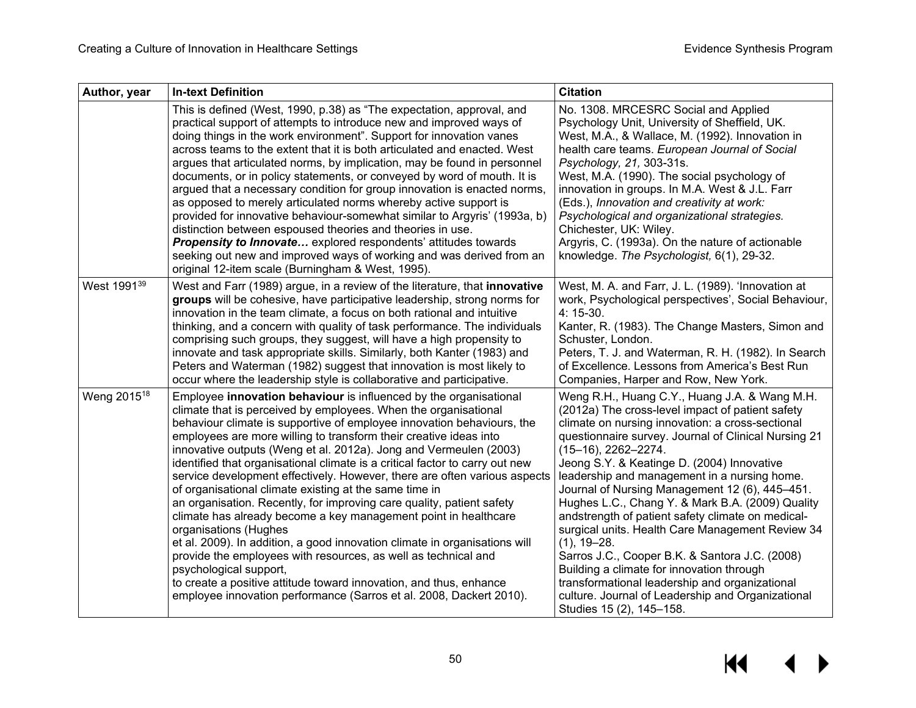| Author, year            | <b>In-text Definition</b>                                                                                                                                                                                                                                                                                                                                                                                                                                                                                                                                                                                                                                                                                                                                                                                                                                                                                                                                                                                                                                                   | <b>Citation</b>                                                                                                                                                                                                                                                                                                                                                                                                                                                                                                                                                                                                                                                                                                                                                                                           |
|-------------------------|-----------------------------------------------------------------------------------------------------------------------------------------------------------------------------------------------------------------------------------------------------------------------------------------------------------------------------------------------------------------------------------------------------------------------------------------------------------------------------------------------------------------------------------------------------------------------------------------------------------------------------------------------------------------------------------------------------------------------------------------------------------------------------------------------------------------------------------------------------------------------------------------------------------------------------------------------------------------------------------------------------------------------------------------------------------------------------|-----------------------------------------------------------------------------------------------------------------------------------------------------------------------------------------------------------------------------------------------------------------------------------------------------------------------------------------------------------------------------------------------------------------------------------------------------------------------------------------------------------------------------------------------------------------------------------------------------------------------------------------------------------------------------------------------------------------------------------------------------------------------------------------------------------|
|                         | This is defined (West, 1990, p.38) as "The expectation, approval, and<br>practical support of attempts to introduce new and improved ways of<br>doing things in the work environment". Support for innovation vanes<br>across teams to the extent that it is both articulated and enacted. West<br>argues that articulated norms, by implication, may be found in personnel<br>documents, or in policy statements, or conveyed by word of mouth. It is<br>argued that a necessary condition for group innovation is enacted norms,<br>as opposed to merely articulated norms whereby active support is<br>provided for innovative behaviour-somewhat similar to Argyris' (1993a, b)<br>distinction between espoused theories and theories in use.<br><b>Propensity to Innovate</b> explored respondents' attitudes towards<br>seeking out new and improved ways of working and was derived from an<br>original 12-item scale (Burningham & West, 1995).                                                                                                                     | No. 1308. MRCESRC Social and Applied<br>Psychology Unit, University of Sheffield, UK.<br>West, M.A., & Wallace, M. (1992). Innovation in<br>health care teams. European Journal of Social<br>Psychology, 21, 303-31s.<br>West, M.A. (1990). The social psychology of<br>innovation in groups. In M.A. West & J.L. Farr<br>(Eds.), Innovation and creativity at work:<br>Psychological and organizational strategies.<br>Chichester, UK: Wiley.<br>Argyris, C. (1993a). On the nature of actionable<br>knowledge. The Psychologist, 6(1), 29-32.                                                                                                                                                                                                                                                           |
| West 1991 <sup>39</sup> | West and Farr (1989) argue, in a review of the literature, that innovative<br>groups will be cohesive, have participative leadership, strong norms for<br>innovation in the team climate, a focus on both rational and intuitive<br>thinking, and a concern with quality of task performance. The individuals<br>comprising such groups, they suggest, will have a high propensity to<br>innovate and task appropriate skills. Similarly, both Kanter (1983) and<br>Peters and Waterman (1982) suggest that innovation is most likely to<br>occur where the leadership style is collaborative and participative.                                                                                                                                                                                                                                                                                                                                                                                                                                                            | West, M. A. and Farr, J. L. (1989). 'Innovation at<br>work, Psychological perspectives', Social Behaviour,<br>4: 15-30.<br>Kanter, R. (1983). The Change Masters, Simon and<br>Schuster, London.<br>Peters, T. J. and Waterman, R. H. (1982). In Search<br>of Excellence. Lessons from America's Best Run<br>Companies, Harper and Row, New York.                                                                                                                                                                                                                                                                                                                                                                                                                                                         |
| Weng 2015 <sup>18</sup> | Employee innovation behaviour is influenced by the organisational<br>climate that is perceived by employees. When the organisational<br>behaviour climate is supportive of employee innovation behaviours, the<br>employees are more willing to transform their creative ideas into<br>innovative outputs (Weng et al. 2012a). Jong and Vermeulen (2003)<br>identified that organisational climate is a critical factor to carry out new<br>service development effectively. However, there are often various aspects<br>of organisational climate existing at the same time in<br>an organisation. Recently, for improving care quality, patient safety<br>climate has already become a key management point in healthcare<br>organisations (Hughes<br>et al. 2009). In addition, a good innovation climate in organisations will<br>provide the employees with resources, as well as technical and<br>psychological support,<br>to create a positive attitude toward innovation, and thus, enhance<br>employee innovation performance (Sarros et al. 2008, Dackert 2010). | Weng R.H., Huang C.Y., Huang J.A. & Wang M.H.<br>(2012a) The cross-level impact of patient safety<br>climate on nursing innovation: a cross-sectional<br>questionnaire survey. Journal of Clinical Nursing 21<br>$(15-16)$ , 2262-2274.<br>Jeong S.Y. & Keatinge D. (2004) Innovative<br>leadership and management in a nursing home.<br>Journal of Nursing Management 12 (6), 445-451.<br>Hughes L.C., Chang Y. & Mark B.A. (2009) Quality<br>andstrength of patient safety climate on medical-<br>surgical units. Health Care Management Review 34<br>$(1), 19 - 28.$<br>Sarros J.C., Cooper B.K. & Santora J.C. (2008)<br>Building a climate for innovation through<br>transformational leadership and organizational<br>culture. Journal of Leadership and Organizational<br>Studies 15 (2), 145-158. |

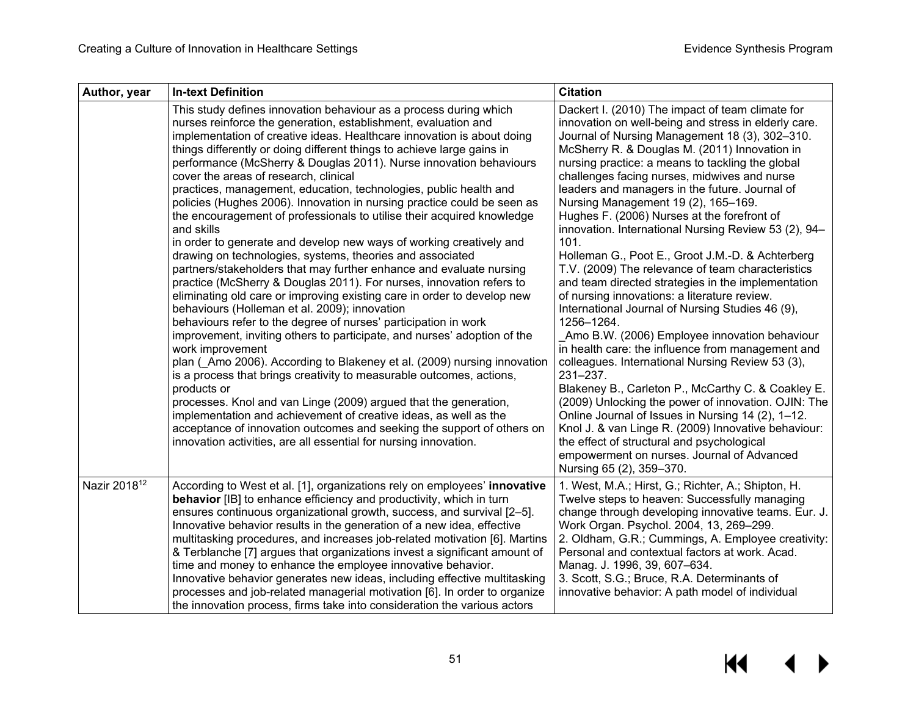| Author, year             | <b>In-text Definition</b>                                                                                                                                                                                                                                                                                                                                                                                                                                                                                                                                                                                                                                                                                                                                                                                                                                                                                                                                                                                                                                                                                                                                                                                                                                                                                                                                                                                                                                                                                                                                                                                                                                                                | <b>Citation</b>                                                                                                                                                                                                                                                                                                                                                                                                                                                                                                                                                                                                                                                                                                                                                                                                                                                                                                                                                                                                                                                                                                                                                                                                                                                                                                                 |
|--------------------------|------------------------------------------------------------------------------------------------------------------------------------------------------------------------------------------------------------------------------------------------------------------------------------------------------------------------------------------------------------------------------------------------------------------------------------------------------------------------------------------------------------------------------------------------------------------------------------------------------------------------------------------------------------------------------------------------------------------------------------------------------------------------------------------------------------------------------------------------------------------------------------------------------------------------------------------------------------------------------------------------------------------------------------------------------------------------------------------------------------------------------------------------------------------------------------------------------------------------------------------------------------------------------------------------------------------------------------------------------------------------------------------------------------------------------------------------------------------------------------------------------------------------------------------------------------------------------------------------------------------------------------------------------------------------------------------|---------------------------------------------------------------------------------------------------------------------------------------------------------------------------------------------------------------------------------------------------------------------------------------------------------------------------------------------------------------------------------------------------------------------------------------------------------------------------------------------------------------------------------------------------------------------------------------------------------------------------------------------------------------------------------------------------------------------------------------------------------------------------------------------------------------------------------------------------------------------------------------------------------------------------------------------------------------------------------------------------------------------------------------------------------------------------------------------------------------------------------------------------------------------------------------------------------------------------------------------------------------------------------------------------------------------------------|
|                          | This study defines innovation behaviour as a process during which<br>nurses reinforce the generation, establishment, evaluation and<br>implementation of creative ideas. Healthcare innovation is about doing<br>things differently or doing different things to achieve large gains in<br>performance (McSherry & Douglas 2011). Nurse innovation behaviours<br>cover the areas of research, clinical<br>practices, management, education, technologies, public health and<br>policies (Hughes 2006). Innovation in nursing practice could be seen as<br>the encouragement of professionals to utilise their acquired knowledge<br>and skills<br>in order to generate and develop new ways of working creatively and<br>drawing on technologies, systems, theories and associated<br>partners/stakeholders that may further enhance and evaluate nursing<br>practice (McSherry & Douglas 2011). For nurses, innovation refers to<br>eliminating old care or improving existing care in order to develop new<br>behaviours (Holleman et al. 2009); innovation<br>behaviours refer to the degree of nurses' participation in work<br>improvement, inviting others to participate, and nurses' adoption of the<br>work improvement<br>plan (Amo 2006). According to Blakeney et al. (2009) nursing innovation<br>is a process that brings creativity to measurable outcomes, actions,<br>products or<br>processes. Knol and van Linge (2009) argued that the generation,<br>implementation and achievement of creative ideas, as well as the<br>acceptance of innovation outcomes and seeking the support of others on<br>innovation activities, are all essential for nursing innovation. | Dackert I. (2010) The impact of team climate for<br>innovation on well-being and stress in elderly care.<br>Journal of Nursing Management 18 (3), 302-310.<br>McSherry R. & Douglas M. (2011) Innovation in<br>nursing practice: a means to tackling the global<br>challenges facing nurses, midwives and nurse<br>leaders and managers in the future. Journal of<br>Nursing Management 19 (2), 165-169.<br>Hughes F. (2006) Nurses at the forefront of<br>innovation. International Nursing Review 53 (2), 94-<br>101.<br>Holleman G., Poot E., Groot J.M.-D. & Achterberg<br>T.V. (2009) The relevance of team characteristics<br>and team directed strategies in the implementation<br>of nursing innovations: a literature review.<br>International Journal of Nursing Studies 46 (9),<br>1256-1264.<br>Amo B.W. (2006) Employee innovation behaviour<br>in health care: the influence from management and<br>colleagues. International Nursing Review 53 (3),<br>231-237.<br>Blakeney B., Carleton P., McCarthy C. & Coakley E.<br>(2009) Unlocking the power of innovation. OJIN: The<br>Online Journal of Issues in Nursing 14 (2), 1-12.<br>Knol J. & van Linge R. (2009) Innovative behaviour:<br>the effect of structural and psychological<br>empowerment on nurses. Journal of Advanced<br>Nursing 65 (2), 359-370. |
| Nazir 2018 <sup>12</sup> | According to West et al. [1], organizations rely on employees' innovative<br>behavior [IB] to enhance efficiency and productivity, which in turn<br>ensures continuous organizational growth, success, and survival [2-5].<br>Innovative behavior results in the generation of a new idea, effective<br>multitasking procedures, and increases job-related motivation [6]. Martins<br>& Terblanche [7] argues that organizations invest a significant amount of<br>time and money to enhance the employee innovative behavior.<br>Innovative behavior generates new ideas, including effective multitasking<br>processes and job-related managerial motivation [6]. In order to organize<br>the innovation process, firms take into consideration the various actors                                                                                                                                                                                                                                                                                                                                                                                                                                                                                                                                                                                                                                                                                                                                                                                                                                                                                                                     | 1. West, M.A.; Hirst, G.; Richter, A.; Shipton, H.<br>Twelve steps to heaven: Successfully managing<br>change through developing innovative teams. Eur. J.<br>Work Organ. Psychol. 2004, 13, 269-299.<br>2. Oldham, G.R.; Cummings, A. Employee creativity:<br>Personal and contextual factors at work. Acad.<br>Manag. J. 1996, 39, 607-634.<br>3. Scott, S.G.; Bruce, R.A. Determinants of<br>innovative behavior: A path model of individual                                                                                                                                                                                                                                                                                                                                                                                                                                                                                                                                                                                                                                                                                                                                                                                                                                                                                 |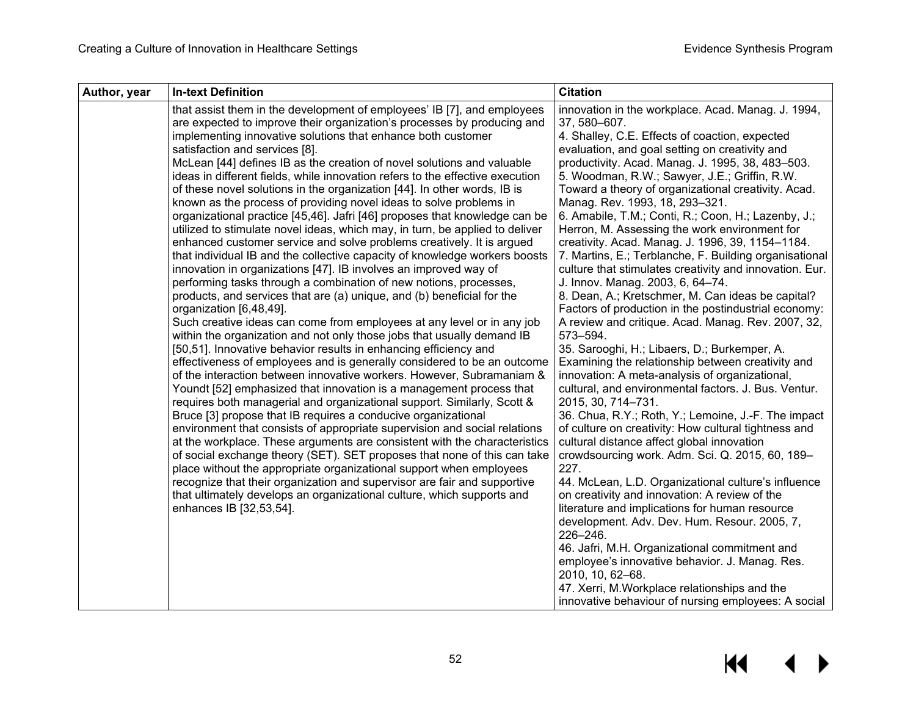| Author, year | <b>In-text Definition</b>                                                                                                                                                                                                                                                                                                                                                                                                                                                                                                                                                                                                                                                                                                                                                                                                                                                                                                                                                                                                                                                                                                                                                                                                                                                                                                                                                                                                                                                                                                                                                                                                                                                                                                                                                                                                                                                                                                                                                                                                                                                                                                                                                                                                         | <b>Citation</b>                                                                                                                                                                                                                                                                                                                                                                                                                                                                                                                                                                                                                                                                                                                                                                                                                                                                                                                                                                                                                                                                                                                                                                                                                                                                                                                                                                                                                                                                                                                                                                                                                                                                                                                                                                            |
|--------------|-----------------------------------------------------------------------------------------------------------------------------------------------------------------------------------------------------------------------------------------------------------------------------------------------------------------------------------------------------------------------------------------------------------------------------------------------------------------------------------------------------------------------------------------------------------------------------------------------------------------------------------------------------------------------------------------------------------------------------------------------------------------------------------------------------------------------------------------------------------------------------------------------------------------------------------------------------------------------------------------------------------------------------------------------------------------------------------------------------------------------------------------------------------------------------------------------------------------------------------------------------------------------------------------------------------------------------------------------------------------------------------------------------------------------------------------------------------------------------------------------------------------------------------------------------------------------------------------------------------------------------------------------------------------------------------------------------------------------------------------------------------------------------------------------------------------------------------------------------------------------------------------------------------------------------------------------------------------------------------------------------------------------------------------------------------------------------------------------------------------------------------------------------------------------------------------------------------------------------------|--------------------------------------------------------------------------------------------------------------------------------------------------------------------------------------------------------------------------------------------------------------------------------------------------------------------------------------------------------------------------------------------------------------------------------------------------------------------------------------------------------------------------------------------------------------------------------------------------------------------------------------------------------------------------------------------------------------------------------------------------------------------------------------------------------------------------------------------------------------------------------------------------------------------------------------------------------------------------------------------------------------------------------------------------------------------------------------------------------------------------------------------------------------------------------------------------------------------------------------------------------------------------------------------------------------------------------------------------------------------------------------------------------------------------------------------------------------------------------------------------------------------------------------------------------------------------------------------------------------------------------------------------------------------------------------------------------------------------------------------------------------------------------------------|
|              | that assist them in the development of employees' IB [7], and employees<br>are expected to improve their organization's processes by producing and<br>implementing innovative solutions that enhance both customer<br>satisfaction and services [8].<br>McLean [44] defines IB as the creation of novel solutions and valuable<br>ideas in different fields, while innovation refers to the effective execution<br>of these novel solutions in the organization [44]. In other words, IB is<br>known as the process of providing novel ideas to solve problems in<br>organizational practice [45,46]. Jafri [46] proposes that knowledge can be<br>utilized to stimulate novel ideas, which may, in turn, be applied to deliver<br>enhanced customer service and solve problems creatively. It is argued<br>that individual IB and the collective capacity of knowledge workers boosts<br>innovation in organizations [47]. IB involves an improved way of<br>performing tasks through a combination of new notions, processes,<br>products, and services that are (a) unique, and (b) beneficial for the<br>organization [6,48,49].<br>Such creative ideas can come from employees at any level or in any job<br>within the organization and not only those jobs that usually demand IB<br>[50,51]. Innovative behavior results in enhancing efficiency and<br>effectiveness of employees and is generally considered to be an outcome<br>of the interaction between innovative workers. However, Subramaniam &<br>Youndt [52] emphasized that innovation is a management process that<br>requires both managerial and organizational support. Similarly, Scott &<br>Bruce [3] propose that IB requires a conducive organizational<br>environment that consists of appropriate supervision and social relations<br>at the workplace. These arguments are consistent with the characteristics<br>of social exchange theory (SET). SET proposes that none of this can take<br>place without the appropriate organizational support when employees<br>recognize that their organization and supervisor are fair and supportive<br>that ultimately develops an organizational culture, which supports and<br>enhances IB [32,53,54]. | innovation in the workplace. Acad. Manag. J. 1994,<br>37, 580-607.<br>4. Shalley, C.E. Effects of coaction, expected<br>evaluation, and goal setting on creativity and<br>productivity. Acad. Manag. J. 1995, 38, 483-503.<br>5. Woodman, R.W.; Sawyer, J.E.; Griffin, R.W.<br>Toward a theory of organizational creativity. Acad.<br>Manag. Rev. 1993, 18, 293-321.<br>6. Amabile, T.M.; Conti, R.; Coon, H.; Lazenby, J.;<br>Herron, M. Assessing the work environment for<br>creativity. Acad. Manag. J. 1996, 39, 1154-1184.<br>7. Martins, E.; Terblanche, F. Building organisational<br>culture that stimulates creativity and innovation. Eur.<br>J. Innov. Manag. 2003, 6, 64-74.<br>8. Dean, A.; Kretschmer, M. Can ideas be capital?<br>Factors of production in the postindustrial economy:<br>A review and critique. Acad. Manag. Rev. 2007, 32,<br>573-594.<br>35. Sarooghi, H.; Libaers, D.; Burkemper, A.<br>Examining the relationship between creativity and<br>innovation: A meta-analysis of organizational,<br>cultural, and environmental factors. J. Bus. Ventur.<br>2015, 30, 714-731.<br>36. Chua, R.Y.; Roth, Y.; Lemoine, J.-F. The impact<br>of culture on creativity: How cultural tightness and<br>cultural distance affect global innovation<br>crowdsourcing work. Adm. Sci. Q. 2015, 60, 189-<br>227.<br>44. McLean, L.D. Organizational culture's influence<br>on creativity and innovation: A review of the<br>literature and implications for human resource<br>development. Adv. Dev. Hum. Resour. 2005, 7,<br>226-246.<br>46. Jafri, M.H. Organizational commitment and<br>employee's innovative behavior. J. Manag. Res.<br>2010, 10, 62-68.<br>47. Xerri, M. Workplace relationships and the<br>innovative behaviour of nursing employees: A social |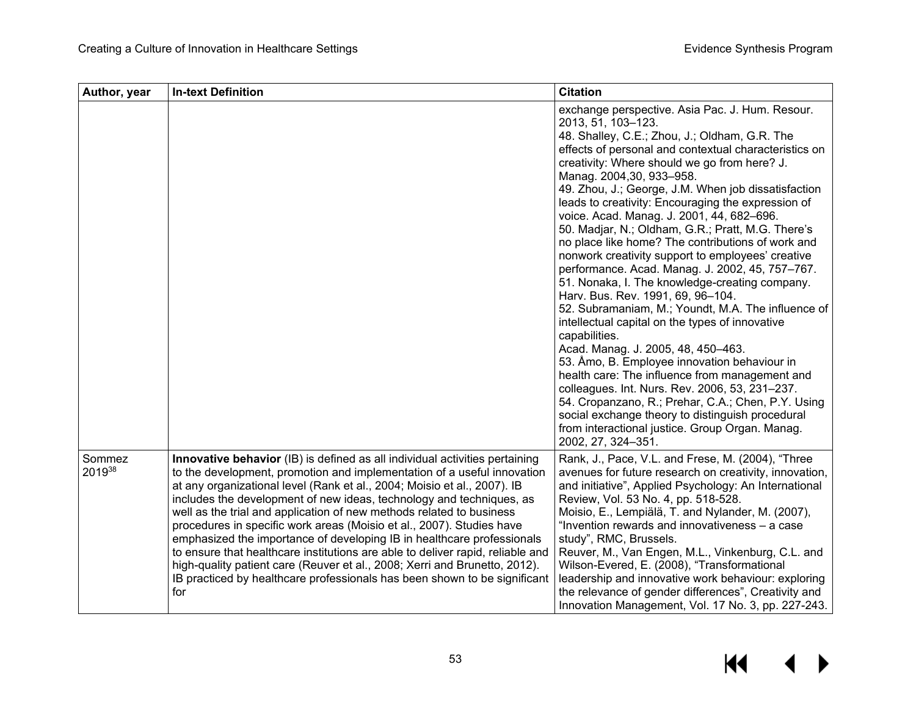| Author, year     | <b>In-text Definition</b>                                                                                                                                                                                                                                                                                                                                                                                                                                                                                                                                                                                                                                                                                                                                                                 | <b>Citation</b>                                                                                                                                                                                                                                                                                                                                                                                                                                                                                                                                                                                                                                                                                                                                                                                                                                                                                                                                                                                                                                                                                                                                                                                                                       |
|------------------|-------------------------------------------------------------------------------------------------------------------------------------------------------------------------------------------------------------------------------------------------------------------------------------------------------------------------------------------------------------------------------------------------------------------------------------------------------------------------------------------------------------------------------------------------------------------------------------------------------------------------------------------------------------------------------------------------------------------------------------------------------------------------------------------|---------------------------------------------------------------------------------------------------------------------------------------------------------------------------------------------------------------------------------------------------------------------------------------------------------------------------------------------------------------------------------------------------------------------------------------------------------------------------------------------------------------------------------------------------------------------------------------------------------------------------------------------------------------------------------------------------------------------------------------------------------------------------------------------------------------------------------------------------------------------------------------------------------------------------------------------------------------------------------------------------------------------------------------------------------------------------------------------------------------------------------------------------------------------------------------------------------------------------------------|
|                  |                                                                                                                                                                                                                                                                                                                                                                                                                                                                                                                                                                                                                                                                                                                                                                                           | exchange perspective. Asia Pac. J. Hum. Resour.<br>2013, 51, 103-123.<br>48. Shalley, C.E.; Zhou, J.; Oldham, G.R. The<br>effects of personal and contextual characteristics on<br>creativity: Where should we go from here? J.<br>Manag. 2004,30, 933-958.<br>49. Zhou, J.; George, J.M. When job dissatisfaction<br>leads to creativity: Encouraging the expression of<br>voice. Acad. Manag. J. 2001, 44, 682-696.<br>50. Madjar, N.; Oldham, G.R.; Pratt, M.G. There's<br>no place like home? The contributions of work and<br>nonwork creativity support to employees' creative<br>performance. Acad. Manag. J. 2002, 45, 757-767.<br>51. Nonaka, I. The knowledge-creating company.<br>Harv. Bus. Rev. 1991, 69, 96-104.<br>52. Subramaniam, M.; Youndt, M.A. The influence of<br>intellectual capital on the types of innovative<br>capabilities.<br>Acad. Manag. J. 2005, 48, 450-463.<br>53. Åmo, B. Employee innovation behaviour in<br>health care: The influence from management and<br>colleagues. Int. Nurs. Rev. 2006, 53, 231-237.<br>54. Cropanzano, R.; Prehar, C.A.; Chen, P.Y. Using<br>social exchange theory to distinguish procedural<br>from interactional justice. Group Organ. Manag.<br>2002, 27, 324-351. |
| Sommez<br>201938 | Innovative behavior (IB) is defined as all individual activities pertaining<br>to the development, promotion and implementation of a useful innovation<br>at any organizational level (Rank et al., 2004; Moisio et al., 2007). IB<br>includes the development of new ideas, technology and techniques, as<br>well as the trial and application of new methods related to business<br>procedures in specific work areas (Moisio et al., 2007). Studies have<br>emphasized the importance of developing IB in healthcare professionals<br>to ensure that healthcare institutions are able to deliver rapid, reliable and<br>high-quality patient care (Reuver et al., 2008; Xerri and Brunetto, 2012).<br>IB practiced by healthcare professionals has been shown to be significant<br>for | Rank, J., Pace, V.L. and Frese, M. (2004), "Three<br>avenues for future research on creativity, innovation,<br>and initiative", Applied Psychology: An International<br>Review, Vol. 53 No. 4, pp. 518-528.<br>Moisio, E., Lempiälä, T. and Nylander, M. (2007),<br>"Invention rewards and innovativeness - a case<br>study", RMC, Brussels.<br>Reuver, M., Van Engen, M.L., Vinkenburg, C.L. and<br>Wilson-Evered, E. (2008), "Transformational<br>leadership and innovative work behaviour: exploring<br>the relevance of gender differences", Creativity and<br>Innovation Management, Vol. 17 No. 3, pp. 227-243.                                                                                                                                                                                                                                                                                                                                                                                                                                                                                                                                                                                                                 |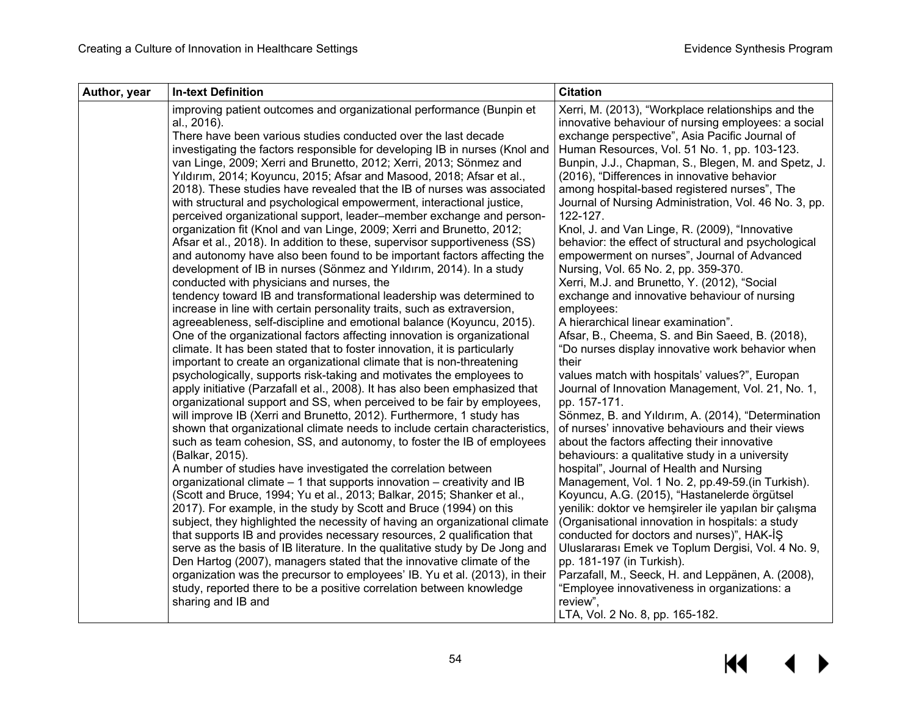| <b>In-text Definition</b><br>Author, year                                                                                                             | <b>Citation</b>                                                                                           |
|-------------------------------------------------------------------------------------------------------------------------------------------------------|-----------------------------------------------------------------------------------------------------------|
| improving patient outcomes and organizational performance (Bunpin et<br>al., 2016).                                                                   | Xerri, M. (2013), "Workplace relationships and the<br>innovative behaviour of nursing employees: a social |
| There have been various studies conducted over the last decade                                                                                        | exchange perspective", Asia Pacific Journal of                                                            |
| investigating the factors responsible for developing IB in nurses (Knol and                                                                           | Human Resources, Vol. 51 No. 1, pp. 103-123.                                                              |
| van Linge, 2009; Xerri and Brunetto, 2012; Xerri, 2013; Sönmez and                                                                                    | Bunpin, J.J., Chapman, S., Blegen, M. and Spetz, J.                                                       |
| Yıldırım, 2014; Koyuncu, 2015; Afsar and Masood, 2018; Afsar et al.,                                                                                  | (2016), "Differences in innovative behavior                                                               |
| 2018). These studies have revealed that the IB of nurses was associated                                                                               | among hospital-based registered nurses", The                                                              |
| with structural and psychological empowerment, interactional justice,                                                                                 | Journal of Nursing Administration, Vol. 46 No. 3, pp.                                                     |
| perceived organizational support, leader-member exchange and person-                                                                                  | 122-127.                                                                                                  |
| organization fit (Knol and van Linge, 2009; Xerri and Brunetto, 2012;                                                                                 | Knol, J. and Van Linge, R. (2009), "Innovative                                                            |
| Afsar et al., 2018). In addition to these, supervisor supportiveness (SS)                                                                             | behavior: the effect of structural and psychological                                                      |
| and autonomy have also been found to be important factors affecting the                                                                               | empowerment on nurses", Journal of Advanced                                                               |
| development of IB in nurses (Sönmez and Yıldırım, 2014). In a study                                                                                   | Nursing, Vol. 65 No. 2, pp. 359-370.                                                                      |
| conducted with physicians and nurses, the                                                                                                             | Xerri, M.J. and Brunetto, Y. (2012), "Social                                                              |
| tendency toward IB and transformational leadership was determined to                                                                                  | exchange and innovative behaviour of nursing                                                              |
| increase in line with certain personality traits, such as extraversion,                                                                               | employees:                                                                                                |
| agreeableness, self-discipline and emotional balance (Koyuncu, 2015).                                                                                 | A hierarchical linear examination".<br>Afsar, B., Cheema, S. and Bin Saeed, B. (2018),                    |
| One of the organizational factors affecting innovation is organizational<br>climate. It has been stated that to foster innovation, it is particularly | "Do nurses display innovative work behavior when                                                          |
| important to create an organizational climate that is non-threatening                                                                                 | their                                                                                                     |
| psychologically, supports risk-taking and motivates the employees to                                                                                  | values match with hospitals' values?", Europan                                                            |
| apply initiative (Parzafall et al., 2008). It has also been emphasized that                                                                           | Journal of Innovation Management, Vol. 21, No. 1,                                                         |
| organizational support and SS, when perceived to be fair by employees,                                                                                | pp. 157-171.                                                                                              |
| will improve IB (Xerri and Brunetto, 2012). Furthermore, 1 study has                                                                                  | Sönmez, B. and Yıldırım, A. (2014), "Determination                                                        |
| shown that organizational climate needs to include certain characteristics,                                                                           | of nurses' innovative behaviours and their views                                                          |
| such as team cohesion, SS, and autonomy, to foster the IB of employees                                                                                | about the factors affecting their innovative                                                              |
| (Balkar, 2015).                                                                                                                                       | behaviours: a qualitative study in a university                                                           |
| A number of studies have investigated the correlation between                                                                                         | hospital", Journal of Health and Nursing                                                                  |
| organizational climate - 1 that supports innovation - creativity and IB                                                                               | Management, Vol. 1 No. 2, pp.49-59.(in Turkish).                                                          |
| (Scott and Bruce, 1994; Yu et al., 2013; Balkar, 2015; Shanker et al.,                                                                                | Koyuncu, A.G. (2015), "Hastanelerde örgütsel                                                              |
| 2017). For example, in the study by Scott and Bruce (1994) on this                                                                                    | yenilik: doktor ve hemşireler ile yapılan bir çalışma                                                     |
| subject, they highlighted the necessity of having an organizational climate                                                                           | (Organisational innovation in hospitals: a study                                                          |
| that supports IB and provides necessary resources, 2 qualification that                                                                               | conducted for doctors and nurses)", HAK-IS                                                                |
| serve as the basis of IB literature. In the qualitative study by De Jong and                                                                          | Uluslararası Emek ve Toplum Dergisi, Vol. 4 No. 9,                                                        |
| Den Hartog (2007), managers stated that the innovative climate of the                                                                                 | pp. 181-197 (in Turkish).                                                                                 |
| organization was the precursor to employees' IB. Yu et al. (2013), in their<br>study, reported there to be a positive correlation between knowledge   | Parzafall, M., Seeck, H. and Leppänen, A. (2008),<br>"Employee innovativeness in organizations: a         |
| sharing and IB and                                                                                                                                    | review",                                                                                                  |
|                                                                                                                                                       | LTA, Vol. 2 No. 8, pp. 165-182.                                                                           |

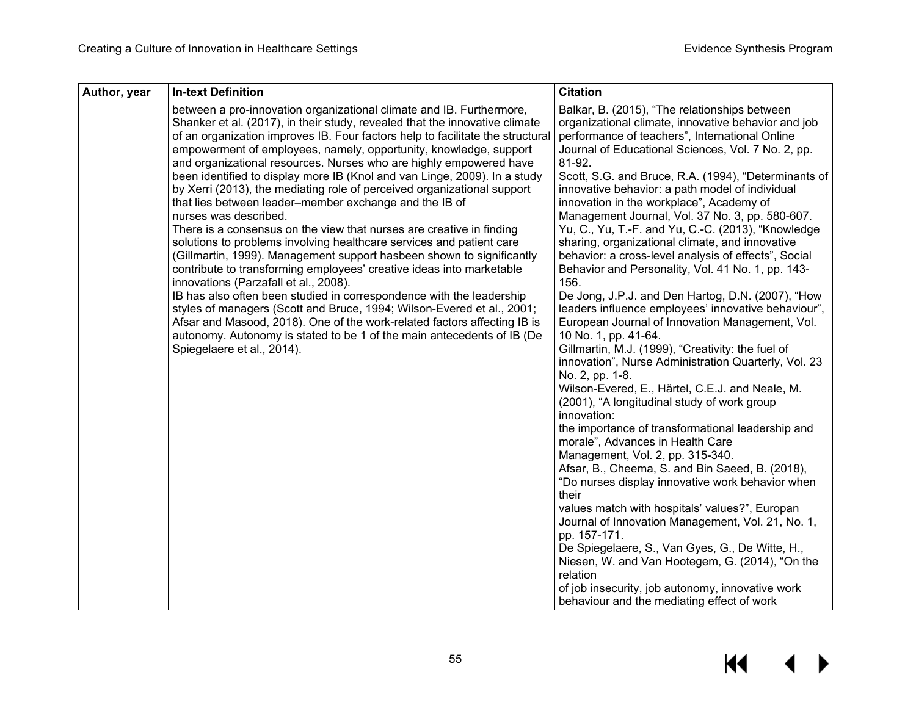| Author, year<br><b>In-text Definition</b>                                                                                                                                                                                                                                                                                                                                                                                                                                                                                                                                                                                                                                                                                                                                                                                                                                                                                                                                                                                                                                                                                                                                                                                                                                                                   | <b>Citation</b>                                                                                                                                                                                                                                                                                                                                                                                                                                                                                                                                                                                                                                                                                                                                                                                                                                                                                                                                                                                                                                                                                                                                                                                                                                                                                                                                                                                                                                                                                                                                                                                                                                                                                |
|-------------------------------------------------------------------------------------------------------------------------------------------------------------------------------------------------------------------------------------------------------------------------------------------------------------------------------------------------------------------------------------------------------------------------------------------------------------------------------------------------------------------------------------------------------------------------------------------------------------------------------------------------------------------------------------------------------------------------------------------------------------------------------------------------------------------------------------------------------------------------------------------------------------------------------------------------------------------------------------------------------------------------------------------------------------------------------------------------------------------------------------------------------------------------------------------------------------------------------------------------------------------------------------------------------------|------------------------------------------------------------------------------------------------------------------------------------------------------------------------------------------------------------------------------------------------------------------------------------------------------------------------------------------------------------------------------------------------------------------------------------------------------------------------------------------------------------------------------------------------------------------------------------------------------------------------------------------------------------------------------------------------------------------------------------------------------------------------------------------------------------------------------------------------------------------------------------------------------------------------------------------------------------------------------------------------------------------------------------------------------------------------------------------------------------------------------------------------------------------------------------------------------------------------------------------------------------------------------------------------------------------------------------------------------------------------------------------------------------------------------------------------------------------------------------------------------------------------------------------------------------------------------------------------------------------------------------------------------------------------------------------------|
| between a pro-innovation organizational climate and IB. Furthermore,<br>Shanker et al. (2017), in their study, revealed that the innovative climate<br>of an organization improves IB. Four factors help to facilitate the structural<br>empowerment of employees, namely, opportunity, knowledge, support<br>and organizational resources. Nurses who are highly empowered have<br>been identified to display more IB (Knol and van Linge, 2009). In a study<br>by Xerri (2013), the mediating role of perceived organizational support<br>that lies between leader-member exchange and the IB of<br>nurses was described.<br>There is a consensus on the view that nurses are creative in finding<br>solutions to problems involving healthcare services and patient care<br>(Gillmartin, 1999). Management support hasbeen shown to significantly<br>contribute to transforming employees' creative ideas into marketable<br>innovations (Parzafall et al., 2008).<br>IB has also often been studied in correspondence with the leadership<br>styles of managers (Scott and Bruce, 1994; Wilson-Evered et al., 2001;<br>Afsar and Masood, 2018). One of the work-related factors affecting IB is<br>autonomy. Autonomy is stated to be 1 of the main antecedents of IB (De<br>Spiegelaere et al., 2014). | Balkar, B. (2015), "The relationships between<br>organizational climate, innovative behavior and job<br>performance of teachers", International Online<br>Journal of Educational Sciences, Vol. 7 No. 2, pp.<br>81-92.<br>Scott, S.G. and Bruce, R.A. (1994), "Determinants of<br>innovative behavior: a path model of individual<br>innovation in the workplace", Academy of<br>Management Journal, Vol. 37 No. 3, pp. 580-607.<br>Yu, C., Yu, T.-F. and Yu, C.-C. (2013), "Knowledge<br>sharing, organizational climate, and innovative<br>behavior: a cross-level analysis of effects", Social<br>Behavior and Personality, Vol. 41 No. 1, pp. 143-<br>156.<br>De Jong, J.P.J. and Den Hartog, D.N. (2007), "How<br>leaders influence employees' innovative behaviour",<br>European Journal of Innovation Management, Vol.<br>10 No. 1, pp. 41-64.<br>Gillmartin, M.J. (1999), "Creativity: the fuel of<br>innovation", Nurse Administration Quarterly, Vol. 23<br>No. 2, pp. 1-8.<br>Wilson-Evered, E., Härtel, C.E.J. and Neale, M.<br>(2001), "A longitudinal study of work group<br>innovation:<br>the importance of transformational leadership and<br>morale", Advances in Health Care<br>Management, Vol. 2, pp. 315-340.<br>Afsar, B., Cheema, S. and Bin Saeed, B. (2018),<br>"Do nurses display innovative work behavior when<br>their<br>values match with hospitals' values?", Europan<br>Journal of Innovation Management, Vol. 21, No. 1,<br>pp. 157-171.<br>De Spiegelaere, S., Van Gyes, G., De Witte, H.,<br>Niesen, W. and Van Hootegem, G. (2014), "On the<br>relation<br>of job insecurity, job autonomy, innovative work<br>behaviour and the mediating effect of work |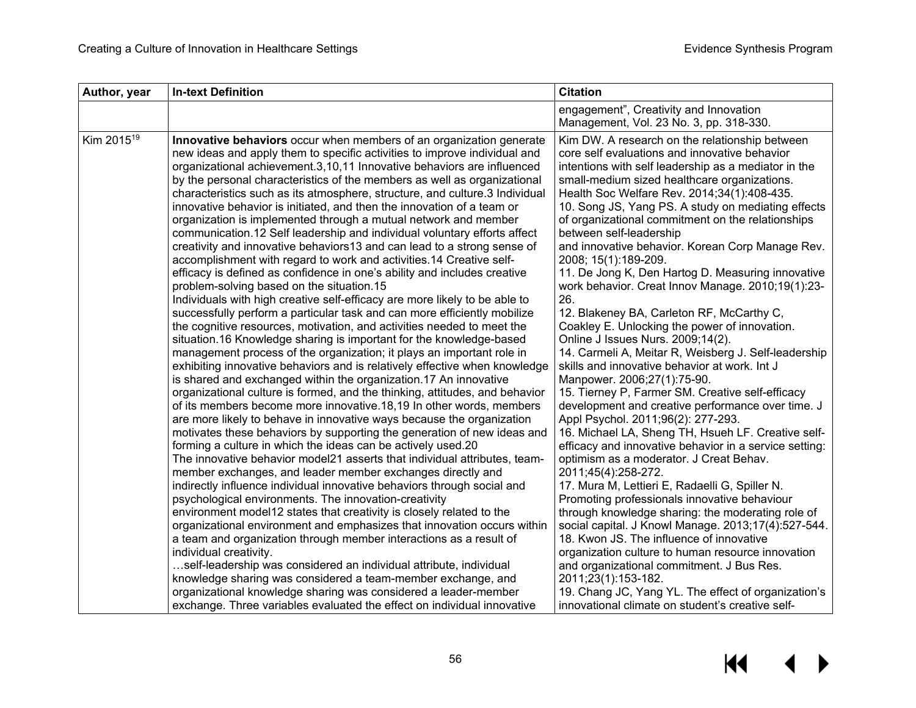| Author, year           | <b>In-text Definition</b>                                                                                                                                                                                                                                                                                                                                                                                                                                                                                                                                                                                                                                                                                                                                                                                                                                                                                                                                                                                                                                                                                                                                                                                                                                                                                                                                                                                                                                                                                                                                                                                                                                                                                                                                                                                                                                                                                                                                                                                                                                                                                                                                                                                                                                                                                                                                                                                                                                                                                                                             | <b>Citation</b>                                                                                                                                                                                                                                                                                                                                                                                                                                                                                                                                                                                                                                                                                                                                                                                                                                                                                                                                                                                                                                                                                                                                                                                                                                                                                                                                                                                                                                                                                                                                                                                                                                 |
|------------------------|-------------------------------------------------------------------------------------------------------------------------------------------------------------------------------------------------------------------------------------------------------------------------------------------------------------------------------------------------------------------------------------------------------------------------------------------------------------------------------------------------------------------------------------------------------------------------------------------------------------------------------------------------------------------------------------------------------------------------------------------------------------------------------------------------------------------------------------------------------------------------------------------------------------------------------------------------------------------------------------------------------------------------------------------------------------------------------------------------------------------------------------------------------------------------------------------------------------------------------------------------------------------------------------------------------------------------------------------------------------------------------------------------------------------------------------------------------------------------------------------------------------------------------------------------------------------------------------------------------------------------------------------------------------------------------------------------------------------------------------------------------------------------------------------------------------------------------------------------------------------------------------------------------------------------------------------------------------------------------------------------------------------------------------------------------------------------------------------------------------------------------------------------------------------------------------------------------------------------------------------------------------------------------------------------------------------------------------------------------------------------------------------------------------------------------------------------------------------------------------------------------------------------------------------------------|-------------------------------------------------------------------------------------------------------------------------------------------------------------------------------------------------------------------------------------------------------------------------------------------------------------------------------------------------------------------------------------------------------------------------------------------------------------------------------------------------------------------------------------------------------------------------------------------------------------------------------------------------------------------------------------------------------------------------------------------------------------------------------------------------------------------------------------------------------------------------------------------------------------------------------------------------------------------------------------------------------------------------------------------------------------------------------------------------------------------------------------------------------------------------------------------------------------------------------------------------------------------------------------------------------------------------------------------------------------------------------------------------------------------------------------------------------------------------------------------------------------------------------------------------------------------------------------------------------------------------------------------------|
|                        |                                                                                                                                                                                                                                                                                                                                                                                                                                                                                                                                                                                                                                                                                                                                                                                                                                                                                                                                                                                                                                                                                                                                                                                                                                                                                                                                                                                                                                                                                                                                                                                                                                                                                                                                                                                                                                                                                                                                                                                                                                                                                                                                                                                                                                                                                                                                                                                                                                                                                                                                                       | engagement", Creativity and Innovation<br>Management, Vol. 23 No. 3, pp. 318-330.                                                                                                                                                                                                                                                                                                                                                                                                                                                                                                                                                                                                                                                                                                                                                                                                                                                                                                                                                                                                                                                                                                                                                                                                                                                                                                                                                                                                                                                                                                                                                               |
| Kim 2015 <sup>19</sup> | Innovative behaviors occur when members of an organization generate<br>new ideas and apply them to specific activities to improve individual and<br>organizational achievement.3,10,11 Innovative behaviors are influenced<br>by the personal characteristics of the members as well as organizational<br>characteristics such as its atmosphere, structure, and culture.3 Individual<br>innovative behavior is initiated, and then the innovation of a team or<br>organization is implemented through a mutual network and member<br>communication.12 Self leadership and individual voluntary efforts affect<br>creativity and innovative behaviors13 and can lead to a strong sense of<br>accomplishment with regard to work and activities. 14 Creative self-<br>efficacy is defined as confidence in one's ability and includes creative<br>problem-solving based on the situation.15<br>Individuals with high creative self-efficacy are more likely to be able to<br>successfully perform a particular task and can more efficiently mobilize<br>the cognitive resources, motivation, and activities needed to meet the<br>situation.16 Knowledge sharing is important for the knowledge-based<br>management process of the organization; it plays an important role in<br>exhibiting innovative behaviors and is relatively effective when knowledge<br>is shared and exchanged within the organization.17 An innovative<br>organizational culture is formed, and the thinking, attitudes, and behavior<br>of its members become more innovative.18,19 In other words, members<br>are more likely to behave in innovative ways because the organization<br>motivates these behaviors by supporting the generation of new ideas and<br>forming a culture in which the ideas can be actively used.20<br>The innovative behavior model21 asserts that individual attributes, team-<br>member exchanges, and leader member exchanges directly and<br>indirectly influence individual innovative behaviors through social and<br>psychological environments. The innovation-creativity<br>environment model12 states that creativity is closely related to the<br>organizational environment and emphasizes that innovation occurs within<br>a team and organization through member interactions as a result of<br>individual creativity.<br>self-leadership was considered an individual attribute, individual<br>knowledge sharing was considered a team-member exchange, and<br>organizational knowledge sharing was considered a leader-member | Kim DW. A research on the relationship between<br>core self evaluations and innovative behavior<br>intentions with self leadership as a mediator in the<br>small-medium sized healthcare organizations.<br>Health Soc Welfare Rev. 2014;34(1):408-435.<br>10. Song JS, Yang PS. A study on mediating effects<br>of organizational commitment on the relationships<br>between self-leadership<br>and innovative behavior. Korean Corp Manage Rev.<br>2008; 15(1):189-209.<br>11. De Jong K, Den Hartog D. Measuring innovative<br>work behavior. Creat Innov Manage. 2010;19(1):23-<br>26.<br>12. Blakeney BA, Carleton RF, McCarthy C,<br>Coakley E. Unlocking the power of innovation.<br>Online J Issues Nurs. 2009;14(2).<br>14. Carmeli A, Meitar R, Weisberg J. Self-leadership<br>skills and innovative behavior at work. Int J<br>Manpower. 2006;27(1):75-90.<br>15. Tierney P, Farmer SM. Creative self-efficacy<br>development and creative performance over time. J<br>Appl Psychol. 2011;96(2): 277-293.<br>16. Michael LA, Sheng TH, Hsueh LF. Creative self-<br>efficacy and innovative behavior in a service setting:<br>optimism as a moderator. J Creat Behav.<br>2011;45(4):258-272.<br>17. Mura M, Lettieri E, Radaelli G, Spiller N.<br>Promoting professionals innovative behaviour<br>through knowledge sharing: the moderating role of<br>social capital. J Knowl Manage. 2013;17(4):527-544.<br>18. Kwon JS. The influence of innovative<br>organization culture to human resource innovation<br>and organizational commitment. J Bus Res.<br>2011;23(1):153-182.<br>19. Chang JC, Yang YL. The effect of organization's |
|                        | exchange. Three variables evaluated the effect on individual innovative                                                                                                                                                                                                                                                                                                                                                                                                                                                                                                                                                                                                                                                                                                                                                                                                                                                                                                                                                                                                                                                                                                                                                                                                                                                                                                                                                                                                                                                                                                                                                                                                                                                                                                                                                                                                                                                                                                                                                                                                                                                                                                                                                                                                                                                                                                                                                                                                                                                                               | innovational climate on student's creative self-                                                                                                                                                                                                                                                                                                                                                                                                                                                                                                                                                                                                                                                                                                                                                                                                                                                                                                                                                                                                                                                                                                                                                                                                                                                                                                                                                                                                                                                                                                                                                                                                |

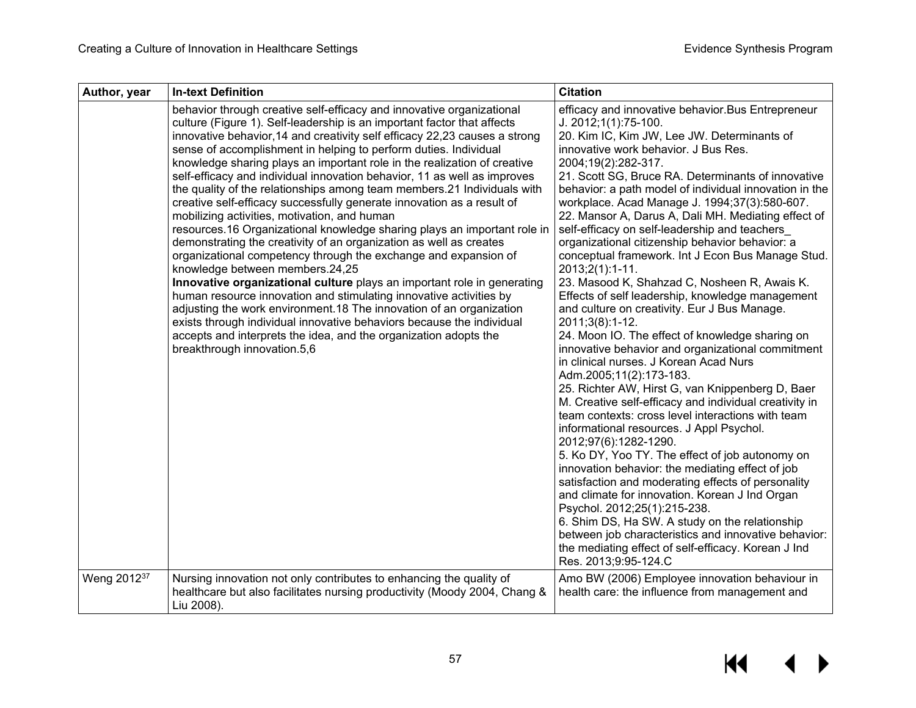| Author, year            | <b>In-text Definition</b>                                                                                                                                                                                                                                                                                                                                                                                                                                                                                                                                                                                                                                                                                                                                                                                                                                                                                                                                                                                                                                                                                                                                                                                                                                                                                                    | <b>Citation</b>                                                                                                                                                                                                                                                                                                                                                                                                                                                                                                                                                                                                                                                                                                                                                                                                                                                                                                                                                                                                                                                                                                                                                                                                                                                                                                                                                                                                                                                                                                                                                                                                                  |
|-------------------------|------------------------------------------------------------------------------------------------------------------------------------------------------------------------------------------------------------------------------------------------------------------------------------------------------------------------------------------------------------------------------------------------------------------------------------------------------------------------------------------------------------------------------------------------------------------------------------------------------------------------------------------------------------------------------------------------------------------------------------------------------------------------------------------------------------------------------------------------------------------------------------------------------------------------------------------------------------------------------------------------------------------------------------------------------------------------------------------------------------------------------------------------------------------------------------------------------------------------------------------------------------------------------------------------------------------------------|----------------------------------------------------------------------------------------------------------------------------------------------------------------------------------------------------------------------------------------------------------------------------------------------------------------------------------------------------------------------------------------------------------------------------------------------------------------------------------------------------------------------------------------------------------------------------------------------------------------------------------------------------------------------------------------------------------------------------------------------------------------------------------------------------------------------------------------------------------------------------------------------------------------------------------------------------------------------------------------------------------------------------------------------------------------------------------------------------------------------------------------------------------------------------------------------------------------------------------------------------------------------------------------------------------------------------------------------------------------------------------------------------------------------------------------------------------------------------------------------------------------------------------------------------------------------------------------------------------------------------------|
|                         | behavior through creative self-efficacy and innovative organizational<br>culture (Figure 1). Self-leadership is an important factor that affects<br>innovative behavior, 14 and creativity self efficacy 22, 23 causes a strong<br>sense of accomplishment in helping to perform duties. Individual<br>knowledge sharing plays an important role in the realization of creative<br>self-efficacy and individual innovation behavior, 11 as well as improves<br>the quality of the relationships among team members.21 Individuals with<br>creative self-efficacy successfully generate innovation as a result of<br>mobilizing activities, motivation, and human<br>resources.16 Organizational knowledge sharing plays an important role in<br>demonstrating the creativity of an organization as well as creates<br>organizational competency through the exchange and expansion of<br>knowledge between members.24,25<br>Innovative organizational culture plays an important role in generating<br>human resource innovation and stimulating innovative activities by<br>adjusting the work environment.18 The innovation of an organization<br>exists through individual innovative behaviors because the individual<br>accepts and interprets the idea, and the organization adopts the<br>breakthrough innovation.5,6 | efficacy and innovative behavior. Bus Entrepreneur<br>J. 2012;1(1):75-100.<br>20. Kim IC, Kim JW, Lee JW. Determinants of<br>innovative work behavior. J Bus Res.<br>2004;19(2):282-317.<br>21. Scott SG, Bruce RA. Determinants of innovative<br>behavior: a path model of individual innovation in the<br>workplace. Acad Manage J. 1994;37(3):580-607.<br>22. Mansor A, Darus A, Dali MH. Mediating effect of<br>self-efficacy on self-leadership and teachers<br>organizational citizenship behavior behavior: a<br>conceptual framework. Int J Econ Bus Manage Stud.<br>2013;2(1):1-11.<br>23. Masood K, Shahzad C, Nosheen R, Awais K.<br>Effects of self leadership, knowledge management<br>and culture on creativity. Eur J Bus Manage.<br>2011;3(8):1-12.<br>24. Moon IO. The effect of knowledge sharing on<br>innovative behavior and organizational commitment<br>in clinical nurses. J Korean Acad Nurs<br>Adm.2005;11(2):173-183.<br>25. Richter AW, Hirst G, van Knippenberg D, Baer<br>M. Creative self-efficacy and individual creativity in<br>team contexts: cross level interactions with team<br>informational resources. J Appl Psychol.<br>2012;97(6):1282-1290.<br>5. Ko DY, Yoo TY. The effect of job autonomy on<br>innovation behavior: the mediating effect of job<br>satisfaction and moderating effects of personality<br>and climate for innovation. Korean J Ind Organ<br>Psychol. 2012;25(1):215-238.<br>6. Shim DS, Ha SW. A study on the relationship<br>between job characteristics and innovative behavior:<br>the mediating effect of self-efficacy. Korean J Ind<br>Res. 2013;9:95-124.C |
| Weng 2012 <sup>37</sup> | Nursing innovation not only contributes to enhancing the quality of<br>healthcare but also facilitates nursing productivity (Moody 2004, Chang &<br>Liu 2008).                                                                                                                                                                                                                                                                                                                                                                                                                                                                                                                                                                                                                                                                                                                                                                                                                                                                                                                                                                                                                                                                                                                                                               | Amo BW (2006) Employee innovation behaviour in<br>health care: the influence from management and                                                                                                                                                                                                                                                                                                                                                                                                                                                                                                                                                                                                                                                                                                                                                                                                                                                                                                                                                                                                                                                                                                                                                                                                                                                                                                                                                                                                                                                                                                                                 |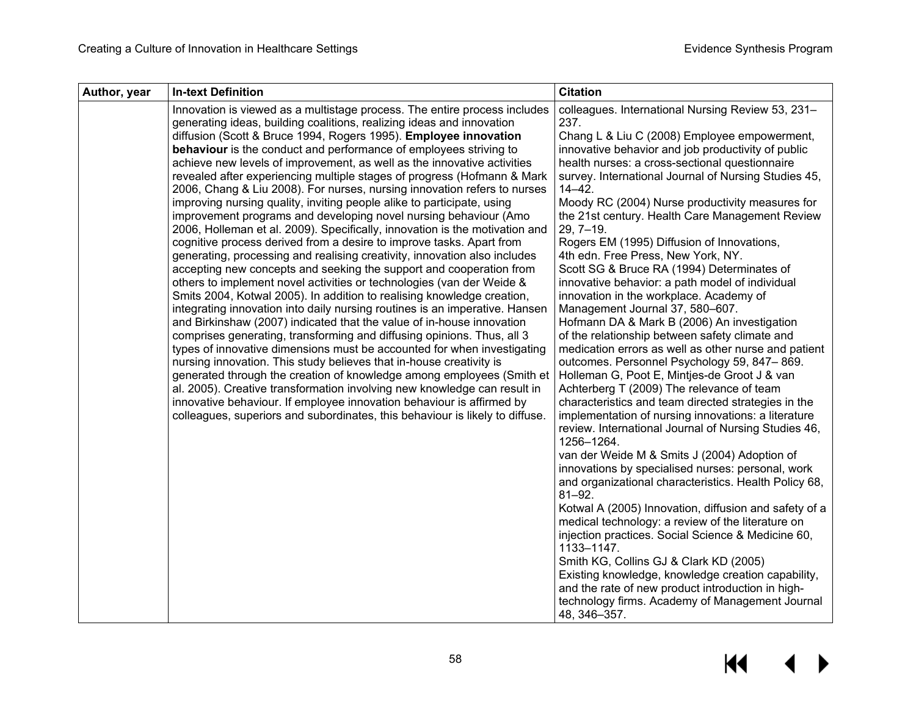| Author, year | <b>In-text Definition</b>                                                                                                                                                                                                                                                                                                                                                                                                                                                                                                                                                                                                                                                                                                                                                                                                                                                                                                                                                                                                                                                                                                                                                                                                                                                                                                                                                                                                                                                                                                                                                                                                                                                                                                                                                                                                                   | <b>Citation</b>                                                                                                                                                                                                                                                                                                                                                                                                                                                                                                                                                                                                                                                                                                                                                                                                                                                                                                                                                                                                                                                                                                                                                                                                                                                                                                                                                                                                                                                                                                                                                                                                                                                                                                                                                   |
|--------------|---------------------------------------------------------------------------------------------------------------------------------------------------------------------------------------------------------------------------------------------------------------------------------------------------------------------------------------------------------------------------------------------------------------------------------------------------------------------------------------------------------------------------------------------------------------------------------------------------------------------------------------------------------------------------------------------------------------------------------------------------------------------------------------------------------------------------------------------------------------------------------------------------------------------------------------------------------------------------------------------------------------------------------------------------------------------------------------------------------------------------------------------------------------------------------------------------------------------------------------------------------------------------------------------------------------------------------------------------------------------------------------------------------------------------------------------------------------------------------------------------------------------------------------------------------------------------------------------------------------------------------------------------------------------------------------------------------------------------------------------------------------------------------------------------------------------------------------------|-------------------------------------------------------------------------------------------------------------------------------------------------------------------------------------------------------------------------------------------------------------------------------------------------------------------------------------------------------------------------------------------------------------------------------------------------------------------------------------------------------------------------------------------------------------------------------------------------------------------------------------------------------------------------------------------------------------------------------------------------------------------------------------------------------------------------------------------------------------------------------------------------------------------------------------------------------------------------------------------------------------------------------------------------------------------------------------------------------------------------------------------------------------------------------------------------------------------------------------------------------------------------------------------------------------------------------------------------------------------------------------------------------------------------------------------------------------------------------------------------------------------------------------------------------------------------------------------------------------------------------------------------------------------------------------------------------------------------------------------------------------------|
|              | Innovation is viewed as a multistage process. The entire process includes<br>generating ideas, building coalitions, realizing ideas and innovation<br>diffusion (Scott & Bruce 1994, Rogers 1995). Employee innovation<br>behaviour is the conduct and performance of employees striving to<br>achieve new levels of improvement, as well as the innovative activities<br>revealed after experiencing multiple stages of progress (Hofmann & Mark<br>2006, Chang & Liu 2008). For nurses, nursing innovation refers to nurses<br>improving nursing quality, inviting people alike to participate, using<br>improvement programs and developing novel nursing behaviour (Amo<br>2006, Holleman et al. 2009). Specifically, innovation is the motivation and<br>cognitive process derived from a desire to improve tasks. Apart from<br>generating, processing and realising creativity, innovation also includes<br>accepting new concepts and seeking the support and cooperation from<br>others to implement novel activities or technologies (van der Weide &<br>Smits 2004, Kotwal 2005). In addition to realising knowledge creation,<br>integrating innovation into daily nursing routines is an imperative. Hansen<br>and Birkinshaw (2007) indicated that the value of in-house innovation<br>comprises generating, transforming and diffusing opinions. Thus, all 3<br>types of innovative dimensions must be accounted for when investigating<br>nursing innovation. This study believes that in-house creativity is<br>generated through the creation of knowledge among employees (Smith et<br>al. 2005). Creative transformation involving new knowledge can result in<br>innovative behaviour. If employee innovation behaviour is affirmed by<br>colleagues, superiors and subordinates, this behaviour is likely to diffuse. | colleagues. International Nursing Review 53, 231-<br>237.<br>Chang L & Liu C (2008) Employee empowerment,<br>innovative behavior and job productivity of public<br>health nurses: a cross-sectional questionnaire<br>survey. International Journal of Nursing Studies 45,<br>$14 - 42$ .<br>Moody RC (2004) Nurse productivity measures for<br>the 21st century. Health Care Management Review<br>$29, 7 - 19.$<br>Rogers EM (1995) Diffusion of Innovations,<br>4th edn. Free Press, New York, NY.<br>Scott SG & Bruce RA (1994) Determinates of<br>innovative behavior: a path model of individual<br>innovation in the workplace. Academy of<br>Management Journal 37, 580-607.<br>Hofmann DA & Mark B (2006) An investigation<br>of the relationship between safety climate and<br>medication errors as well as other nurse and patient<br>outcomes. Personnel Psychology 59, 847-869.<br>Holleman G, Poot E, Mintjes-de Groot J & van<br>Achterberg T (2009) The relevance of team<br>characteristics and team directed strategies in the<br>implementation of nursing innovations: a literature<br>review. International Journal of Nursing Studies 46,<br>1256-1264.<br>van der Weide M & Smits J (2004) Adoption of<br>innovations by specialised nurses: personal, work<br>and organizational characteristics. Health Policy 68,<br>$81 - 92.$<br>Kotwal A (2005) Innovation, diffusion and safety of a<br>medical technology: a review of the literature on<br>injection practices. Social Science & Medicine 60,<br>1133-1147.<br>Smith KG, Collins GJ & Clark KD (2005)<br>Existing knowledge, knowledge creation capability,<br>and the rate of new product introduction in high-<br>technology firms. Academy of Management Journal<br>48, 346-357. |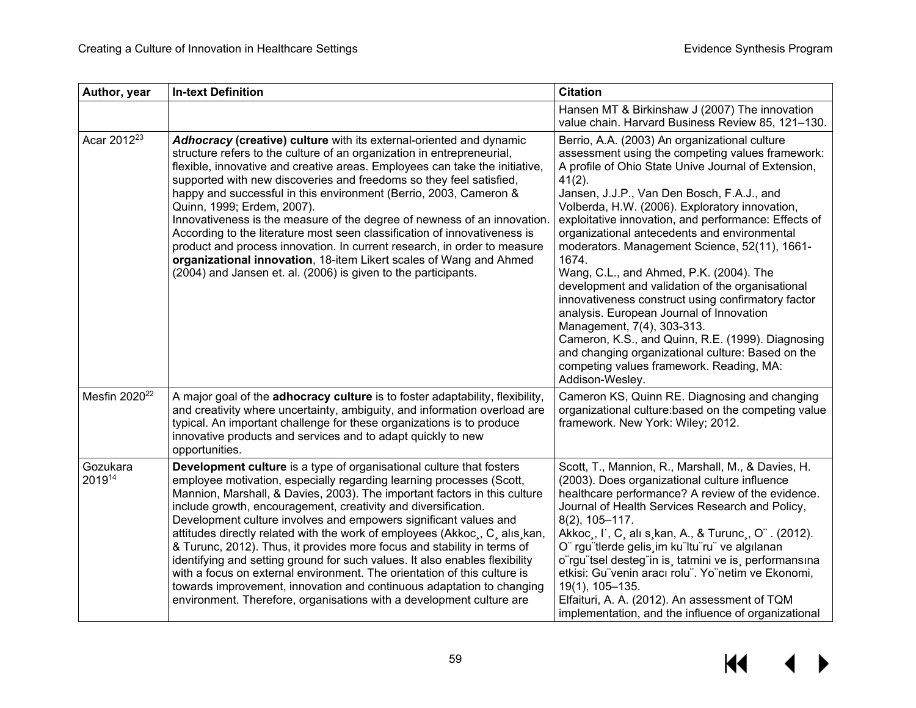| Author, year              | <b>In-text Definition</b>                                                                                                                                                                                                                                                                                                                                                                                                                                                                                                                                                                                                                                                                                                                                                                                                             | <b>Citation</b>                                                                                                                                                                                                                                                                                                                                                                                                                                                                                                                                                                                                                                                                                                                                                                                                                                 |
|---------------------------|---------------------------------------------------------------------------------------------------------------------------------------------------------------------------------------------------------------------------------------------------------------------------------------------------------------------------------------------------------------------------------------------------------------------------------------------------------------------------------------------------------------------------------------------------------------------------------------------------------------------------------------------------------------------------------------------------------------------------------------------------------------------------------------------------------------------------------------|-------------------------------------------------------------------------------------------------------------------------------------------------------------------------------------------------------------------------------------------------------------------------------------------------------------------------------------------------------------------------------------------------------------------------------------------------------------------------------------------------------------------------------------------------------------------------------------------------------------------------------------------------------------------------------------------------------------------------------------------------------------------------------------------------------------------------------------------------|
|                           |                                                                                                                                                                                                                                                                                                                                                                                                                                                                                                                                                                                                                                                                                                                                                                                                                                       | Hansen MT & Birkinshaw J (2007) The innovation<br>value chain. Harvard Business Review 85, 121-130.                                                                                                                                                                                                                                                                                                                                                                                                                                                                                                                                                                                                                                                                                                                                             |
| Acar 2012 <sup>23</sup>   | Adhocracy (creative) culture with its external-oriented and dynamic<br>structure refers to the culture of an organization in entrepreneurial,<br>flexible, innovative and creative areas. Employees can take the initiative,<br>supported with new discoveries and freedoms so they feel satisfied,<br>happy and successful in this environment (Berrio, 2003, Cameron &<br>Quinn, 1999; Erdem, 2007).<br>Innovativeness is the measure of the degree of newness of an innovation.<br>According to the literature most seen classification of innovativeness is<br>product and process innovation. In current research, in order to measure<br>organizational innovation, 18-item Likert scales of Wang and Ahmed<br>(2004) and Jansen et. al. (2006) is given to the participants.                                                   | Berrio, A.A. (2003) An organizational culture<br>assessment using the competing values framework:<br>A profile of Ohio State Unive Journal of Extension,<br>$41(2)$ .<br>Jansen, J.J.P., Van Den Bosch, F.A.J., and<br>Volberda, H.W. (2006). Exploratory innovation,<br>exploitative innovation, and performance: Effects of<br>organizational antecedents and environmental<br>moderators. Management Science, 52(11), 1661-<br>1674.<br>Wang, C.L., and Ahmed, P.K. (2004). The<br>development and validation of the organisational<br>innovativeness construct using confirmatory factor<br>analysis. European Journal of Innovation<br>Management, 7(4), 303-313.<br>Cameron, K.S., and Quinn, R.E. (1999). Diagnosing<br>and changing organizational culture: Based on the<br>competing values framework. Reading, MA:<br>Addison-Wesley. |
| Mesfin 2020 <sup>22</sup> | A major goal of the adhocracy culture is to foster adaptability, flexibility,<br>and creativity where uncertainty, ambiguity, and information overload are<br>typical. An important challenge for these organizations is to produce<br>innovative products and services and to adapt quickly to new<br>opportunities.                                                                                                                                                                                                                                                                                                                                                                                                                                                                                                                 | Cameron KS, Quinn RE. Diagnosing and changing<br>organizational culture: based on the competing value<br>framework. New York: Wiley; 2012.                                                                                                                                                                                                                                                                                                                                                                                                                                                                                                                                                                                                                                                                                                      |
| Gozukara<br>201914        | Development culture is a type of organisational culture that fosters<br>employee motivation, especially regarding learning processes (Scott,<br>Mannion, Marshall, & Davies, 2003). The important factors in this culture<br>include growth, encouragement, creativity and diversification.<br>Development culture involves and empowers significant values and<br>attitudes directly related with the work of employees (Akkoc, C, alis, kan,<br>& Turunc, 2012). Thus, it provides more focus and stability in terms of<br>identifying and setting ground for such values. It also enables flexibility<br>with a focus on external environment. The orientation of this culture is<br>towards improvement, innovation and continuous adaptation to changing<br>environment. Therefore, organisations with a development culture are | Scott, T., Mannion, R., Marshall, M., & Davies, H.<br>(2003). Does organizational culture influence<br>healthcare performance? A review of the evidence.<br>Journal of Health Services Research and Policy,<br>$8(2)$ , 105-117.<br>Akkoc,, I', C, alı s, kan, A., & Turunc,, O". (2012).<br>O" rgu"tlerde gelis, im ku"ltu"ru" ve algılanan<br>o"rgu"tsel desteg"in is, tatmini ve is, performansina<br>etkisi: Gu"venin aracı rolu". Yo"netim ve Ekonomi,<br>19(1), 105-135.<br>Elfaituri, A. A. (2012). An assessment of TQM<br>implementation, and the influence of organizational                                                                                                                                                                                                                                                          |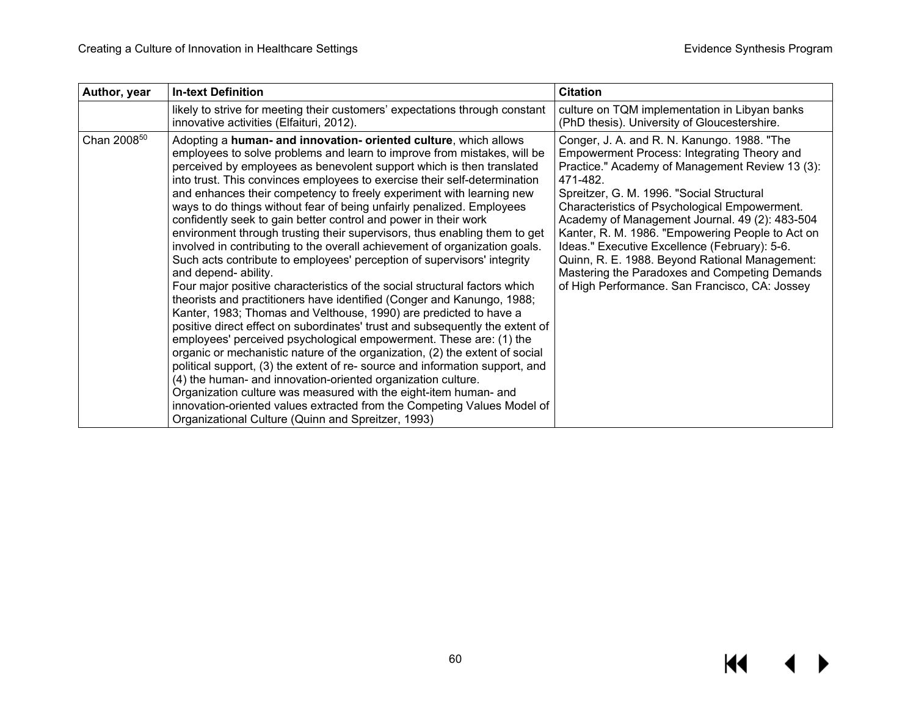| Author, year            | <b>In-text Definition</b>                                                                                                                                                                                                                                                                                                                                                                                                                                                                                                                                                                                                                                                                                                                                                                                                                                                                                                                                                                                                                                                                                                                                                                                                                                                                                                                                                                                                                                                                                                                                                                                  | <b>Citation</b>                                                                                                                                                                                                                                                                                                                                                                                                                                                                                                                                                     |
|-------------------------|------------------------------------------------------------------------------------------------------------------------------------------------------------------------------------------------------------------------------------------------------------------------------------------------------------------------------------------------------------------------------------------------------------------------------------------------------------------------------------------------------------------------------------------------------------------------------------------------------------------------------------------------------------------------------------------------------------------------------------------------------------------------------------------------------------------------------------------------------------------------------------------------------------------------------------------------------------------------------------------------------------------------------------------------------------------------------------------------------------------------------------------------------------------------------------------------------------------------------------------------------------------------------------------------------------------------------------------------------------------------------------------------------------------------------------------------------------------------------------------------------------------------------------------------------------------------------------------------------------|---------------------------------------------------------------------------------------------------------------------------------------------------------------------------------------------------------------------------------------------------------------------------------------------------------------------------------------------------------------------------------------------------------------------------------------------------------------------------------------------------------------------------------------------------------------------|
|                         | likely to strive for meeting their customers' expectations through constant<br>innovative activities (Elfaituri, 2012).                                                                                                                                                                                                                                                                                                                                                                                                                                                                                                                                                                                                                                                                                                                                                                                                                                                                                                                                                                                                                                                                                                                                                                                                                                                                                                                                                                                                                                                                                    | culture on TQM implementation in Libyan banks<br>(PhD thesis). University of Gloucestershire.                                                                                                                                                                                                                                                                                                                                                                                                                                                                       |
| Chan 2008 <sup>50</sup> | Adopting a human- and innovation- oriented culture, which allows<br>employees to solve problems and learn to improve from mistakes, will be<br>perceived by employees as benevolent support which is then translated<br>into trust. This convinces employees to exercise their self-determination<br>and enhances their competency to freely experiment with learning new<br>ways to do things without fear of being unfairly penalized. Employees<br>confidently seek to gain better control and power in their work<br>environment through trusting their supervisors, thus enabling them to get<br>involved in contributing to the overall achievement of organization goals.<br>Such acts contribute to employees' perception of supervisors' integrity<br>and depend- ability.<br>Four major positive characteristics of the social structural factors which<br>theorists and practitioners have identified (Conger and Kanungo, 1988;<br>Kanter, 1983; Thomas and Velthouse, 1990) are predicted to have a<br>positive direct effect on subordinates' trust and subsequently the extent of<br>employees' perceived psychological empowerment. These are: (1) the<br>organic or mechanistic nature of the organization, (2) the extent of social<br>political support, (3) the extent of re- source and information support, and<br>(4) the human- and innovation-oriented organization culture.<br>Organization culture was measured with the eight-item human- and<br>innovation-oriented values extracted from the Competing Values Model of<br>Organizational Culture (Quinn and Spreitzer, 1993) | Conger, J. A. and R. N. Kanungo. 1988. "The<br>Empowerment Process: Integrating Theory and<br>Practice." Academy of Management Review 13 (3):<br>471-482.<br>Spreitzer, G. M. 1996. "Social Structural<br>Characteristics of Psychological Empowerment.<br>Academy of Management Journal. 49 (2): 483-504<br>Kanter, R. M. 1986. "Empowering People to Act on<br>Ideas." Executive Excellence (February): 5-6.<br>Quinn, R. E. 1988. Beyond Rational Management:<br>Mastering the Paradoxes and Competing Demands<br>of High Performance. San Francisco, CA: Jossey |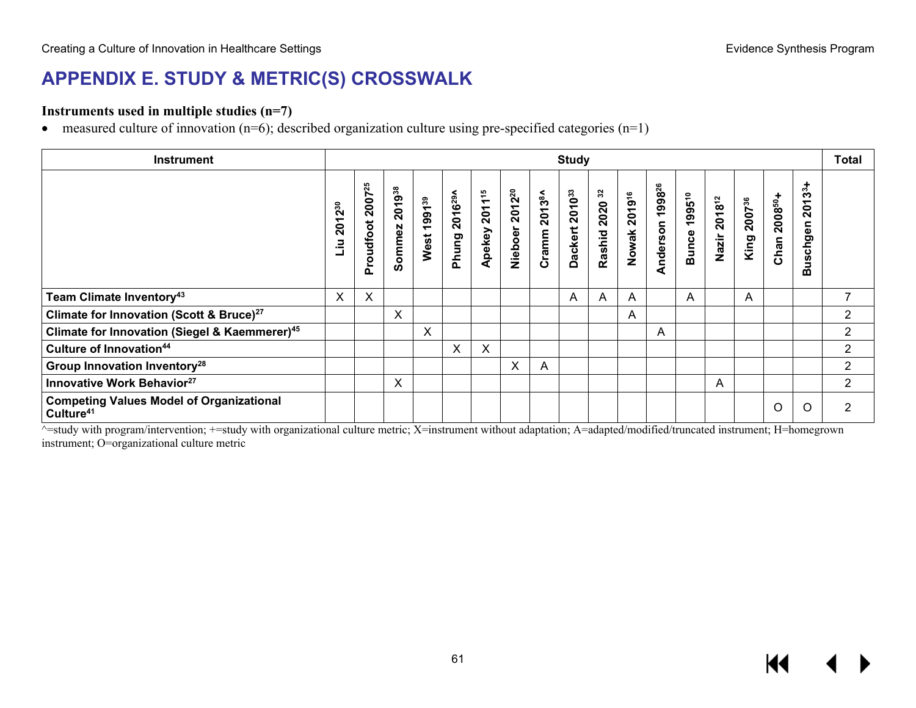## **APPENDIX E. STUDY & METRIC(S) CROSSWALK**

#### **Instruments used in multiple studies (n=7)**

• measured culture of innovation  $(n=6)$ ; described organization culture using pre-specified categories  $(n=1)$ 

| <b>Instrument</b>                                                        | <b>Study</b>               |                                 |                  |                            |                                            |                              |                               |                              |                          |                |                 |                                | <b>Total</b>                 |                 |                            |                                           |                                                    |                |
|--------------------------------------------------------------------------|----------------------------|---------------------------------|------------------|----------------------------|--------------------------------------------|------------------------------|-------------------------------|------------------------------|--------------------------|----------------|-----------------|--------------------------------|------------------------------|-----------------|----------------------------|-------------------------------------------|----------------------------------------------------|----------------|
|                                                                          | $2^{30}$<br>ᡪ<br>ရွိ<br>.⊇ | 2007 <sup>25</sup><br>Proudfoot | 201938<br>Sommez | 1991 <sup>39</sup><br>West | 2016 <sup>29</sup> ^<br>Phung <sub>3</sub> | 2011 <sup>15</sup><br>Apekey | 2012 <sup>20</sup><br>Nieboer | 20138A<br>Cramm <sup>2</sup> | 201033<br><b>Dackert</b> | Rashid 2020 32 | 201916<br>Nowak | 1998 <sup>26</sup><br>Anderson | 199510<br>Bunce <sup>-</sup> | 201812<br>Nazir | 2007 <sup>36</sup><br>King | 2008 <sup>50</sup> +<br>Chan <sup>2</sup> | $3^{3}+$<br>δ<br>$\overline{N}$<br>nepho<br>ğ<br>⋒ |                |
| Team Climate Inventory <sup>43</sup>                                     | X                          | X                               |                  |                            |                                            |                              |                               |                              | A                        | A              | A               |                                | A                            |                 | A                          |                                           |                                                    | 7              |
| Climate for Innovation (Scott & Bruce) <sup>27</sup>                     |                            |                                 | X                |                            |                                            |                              |                               |                              |                          |                | A               |                                |                              |                 |                            |                                           |                                                    | $\overline{2}$ |
| Climate for Innovation (Siegel & Kaemmerer) <sup>45</sup>                |                            |                                 |                  | X                          |                                            |                              |                               |                              |                          |                |                 | A                              |                              |                 |                            |                                           |                                                    | $\overline{2}$ |
| Culture of Innovation <sup>44</sup>                                      |                            |                                 |                  |                            | X                                          | X                            |                               |                              |                          |                |                 |                                |                              |                 |                            |                                           |                                                    | $\overline{2}$ |
| <b>Group Innovation Inventory<sup>28</sup></b>                           |                            |                                 |                  |                            |                                            |                              | X                             | A                            |                          |                |                 |                                |                              |                 |                            |                                           |                                                    | $\overline{c}$ |
| Innovative Work Behavior <sup>27</sup>                                   |                            |                                 | X                |                            |                                            |                              |                               |                              |                          |                |                 |                                |                              | A               |                            |                                           |                                                    | $\overline{2}$ |
| <b>Competing Values Model of Organizational</b><br>Culture <sup>41</sup> |                            |                                 |                  |                            |                                            |                              |                               |                              |                          |                |                 |                                |                              |                 |                            | O                                         | Ω                                                  | 2              |

 $\overline{\text{a}}$ =study with program/intervention; +=study with organizational culture metric; X=instrument without adaptation; A=adapted/modified/truncated instrument; H=homegrown instrument; O=organizational culture metric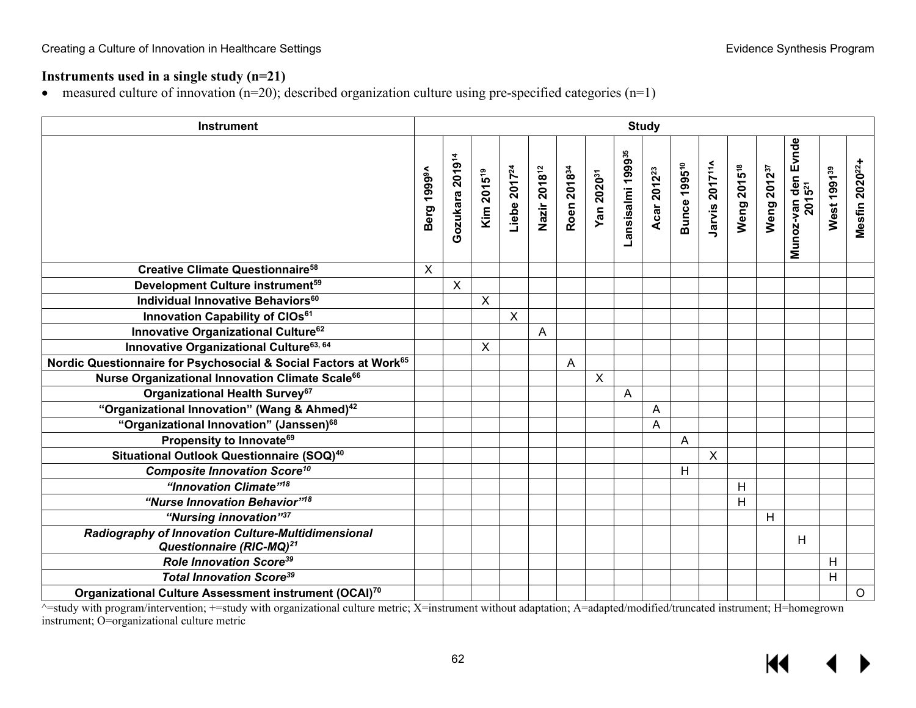## **Instruments used in a single study (n=21)**

• measured culture of innovation (n=20); described organization culture using pre-specified categories (n=1)

| <b>Instrument</b>                                                                          | <b>Study</b>               |                             |                        |                           |                          |                         |                        |                               |                         |                                |   |                                                       |                         |                                           |                         |                            |
|--------------------------------------------------------------------------------------------|----------------------------|-----------------------------|------------------------|---------------------------|--------------------------|-------------------------|------------------------|-------------------------------|-------------------------|--------------------------------|---|-------------------------------------------------------|-------------------------|-------------------------------------------|-------------------------|----------------------------|
|                                                                                            | 1999 <sup>9A</sup><br>Berg | Gozukara 2019 <sup>14</sup> | Kim 2015 <sup>19</sup> | Liebe 2017 <sup>24</sup>  | Nazir 2018 <sup>12</sup> | Roen 2018 <sup>34</sup> | Yan 2020 <sup>31</sup> | Lansisalmi 1999 <sup>35</sup> | Acar 2012 <sup>23</sup> | <b>Bunce 1995<sup>10</sup></b> |   | Jarvis 2017 <sup>11^</sup><br>Weng 2015 <sup>18</sup> | Weng 2012 <sup>37</sup> | Munoz-van den Evnde<br>2015 <sup>21</sup> | West 1991 <sup>39</sup> | Mesfin 2020 <sup>22+</sup> |
| <b>Creative Climate Questionnaire<sup>58</sup></b>                                         | X                          |                             |                        |                           |                          |                         |                        |                               |                         |                                |   |                                                       |                         |                                           |                         |                            |
| Development Culture instrument <sup>59</sup>                                               |                            | $\mathsf{X}$                |                        |                           |                          |                         |                        |                               |                         |                                |   |                                                       |                         |                                           |                         |                            |
| Individual Innovative Behaviors <sup>60</sup>                                              |                            |                             | X                      |                           |                          |                         |                        |                               |                         |                                |   |                                                       |                         |                                           |                         |                            |
| Innovation Capability of CIOs <sup>61</sup>                                                |                            |                             |                        | $\boldsymbol{\mathsf{X}}$ |                          |                         |                        |                               |                         |                                |   |                                                       |                         |                                           |                         |                            |
| Innovative Organizational Culture <sup>62</sup>                                            |                            |                             |                        |                           | A                        |                         |                        |                               |                         |                                |   |                                                       |                         |                                           |                         |                            |
| Innovative Organizational Culture <sup>63, 64</sup>                                        |                            |                             | X                      |                           |                          |                         |                        |                               |                         |                                |   |                                                       |                         |                                           |                         |                            |
| Nordic Questionnaire for Psychosocial & Social Factors at Work <sup>65</sup>               |                            |                             |                        |                           |                          | A                       |                        |                               |                         |                                |   |                                                       |                         |                                           |                         |                            |
| Nurse Organizational Innovation Climate Scale <sup>66</sup>                                |                            |                             |                        |                           |                          |                         | $\mathsf{X}$           |                               |                         |                                |   |                                                       |                         |                                           |                         |                            |
| Organizational Health Survey <sup>67</sup>                                                 |                            |                             |                        |                           |                          |                         |                        | $\overline{A}$                |                         |                                |   |                                                       |                         |                                           |                         |                            |
| "Organizational Innovation" (Wang & Ahmed) <sup>42</sup>                                   |                            |                             |                        |                           |                          |                         |                        |                               | A                       |                                |   |                                                       |                         |                                           |                         |                            |
| "Organizational Innovation" (Janssen) <sup>68</sup>                                        |                            |                             |                        |                           |                          |                         |                        |                               | A                       |                                |   |                                                       |                         |                                           |                         |                            |
| Propensity to Innovate <sup>69</sup>                                                       |                            |                             |                        |                           |                          |                         |                        |                               |                         | A                              |   |                                                       |                         |                                           |                         |                            |
| Situational Outlook Questionnaire (SOQ) <sup>40</sup>                                      |                            |                             |                        |                           |                          |                         |                        |                               |                         |                                | X |                                                       |                         |                                           |                         |                            |
| <b>Composite Innovation Score<sup>10</sup></b>                                             |                            |                             |                        |                           |                          |                         |                        |                               |                         | H                              |   |                                                       |                         |                                           |                         |                            |
| "Innovation Climate" <sup>18</sup>                                                         |                            |                             |                        |                           |                          |                         |                        |                               |                         |                                |   | H                                                     |                         |                                           |                         |                            |
| "Nurse Innovation Behavior" <sup>18</sup>                                                  |                            |                             |                        |                           |                          |                         |                        |                               |                         |                                |   | $\overline{H}$                                        |                         |                                           |                         |                            |
| "Nursing innovation"37                                                                     |                            |                             |                        |                           |                          |                         |                        |                               |                         |                                |   |                                                       | H                       |                                           |                         |                            |
| Radiography of Innovation Culture-Multidimensional<br>Questionnaire (RIC-MQ) <sup>21</sup> |                            |                             |                        |                           |                          |                         |                        |                               |                         |                                |   |                                                       |                         | Н                                         |                         |                            |
| <b>Role Innovation Score<sup>39</sup></b>                                                  |                            |                             |                        |                           |                          |                         |                        |                               |                         |                                |   |                                                       |                         |                                           | H                       |                            |
| <b>Total Innovation Score<sup>39</sup></b>                                                 |                            |                             |                        |                           |                          |                         |                        |                               |                         |                                |   |                                                       |                         |                                           | H                       |                            |
| Organizational Culture Assessment instrument (OCAI) <sup>70</sup>                          |                            |                             |                        |                           |                          |                         |                        |                               |                         |                                |   |                                                       |                         |                                           |                         | $\circ$                    |

^=study with program/intervention; +=study with organizational culture metric; X=instrument without adaptation; A=adapted/modified/truncated instrument; H=homegrown instrument; O=organizational culture metric

K ▶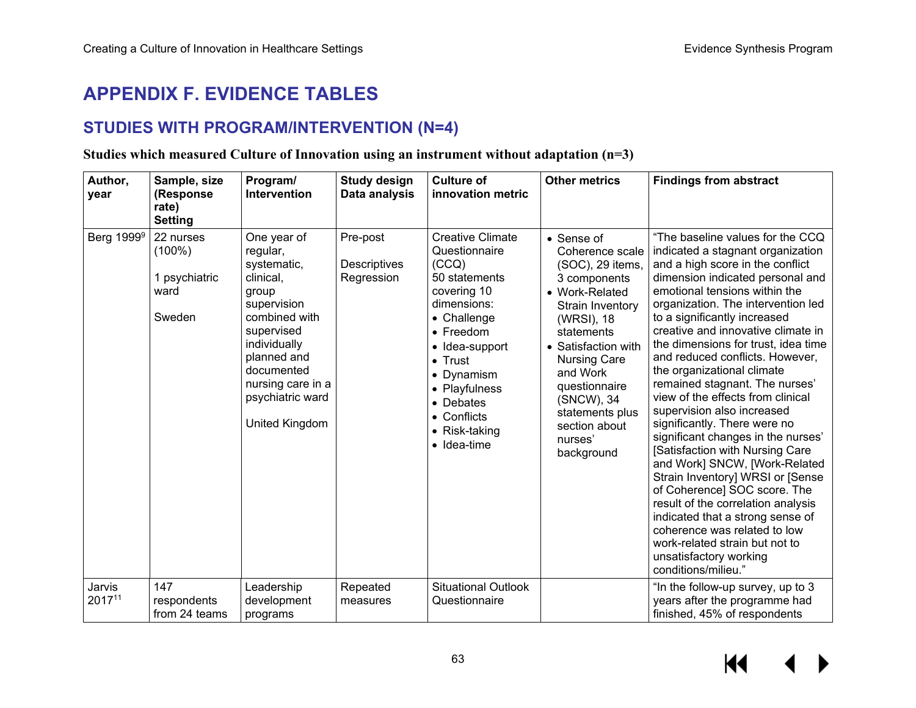## **APPENDIX F. EVIDENCE TABLES**

## **STUDIES WITH PROGRAM/INTERVENTION (N=4)**

#### **Studies which measured Culture of Innovation using an instrument without adaptation (n=3)**

| Author,<br>year        | Sample, size<br>(Response<br>rate)<br><b>Setting</b>      | Program/<br>Intervention                                                                                                                                                                                                  | <b>Study design</b><br>Data analysis   | <b>Culture of</b><br>innovation metric                                                                                                                                                                                                                       | <b>Other metrics</b>                                                                                                                                                                                                                                                                      | <b>Findings from abstract</b>                                                                                                                                                                                                                                                                                                                                                                                                                                                                                                                                                                                                                                                                                                                                                                                                                                                                                      |
|------------------------|-----------------------------------------------------------|---------------------------------------------------------------------------------------------------------------------------------------------------------------------------------------------------------------------------|----------------------------------------|--------------------------------------------------------------------------------------------------------------------------------------------------------------------------------------------------------------------------------------------------------------|-------------------------------------------------------------------------------------------------------------------------------------------------------------------------------------------------------------------------------------------------------------------------------------------|--------------------------------------------------------------------------------------------------------------------------------------------------------------------------------------------------------------------------------------------------------------------------------------------------------------------------------------------------------------------------------------------------------------------------------------------------------------------------------------------------------------------------------------------------------------------------------------------------------------------------------------------------------------------------------------------------------------------------------------------------------------------------------------------------------------------------------------------------------------------------------------------------------------------|
| Berg 1999 <sup>9</sup> | 22 nurses<br>$(100\%)$<br>1 psychiatric<br>ward<br>Sweden | One year of<br>regular,<br>systematic,<br>clinical,<br>group<br>supervision<br>combined with<br>supervised<br>individually<br>planned and<br>documented<br>nursing care in a<br>psychiatric ward<br><b>United Kingdom</b> | Pre-post<br>Descriptives<br>Regression | <b>Creative Climate</b><br>Questionnaire<br>(CCO)<br>50 statements<br>covering 10<br>dimensions:<br>• Challenge<br>• Freedom<br>• Idea-support<br>$\bullet$ Trust<br>• Dynamism<br>• Playfulness<br>• Debates<br>• Conflicts<br>• Risk-taking<br>• Idea-time | • Sense of<br>Coherence scale<br>(SOC), 29 items,<br>3 components<br>• Work-Related<br>Strain Inventory<br>(WRSI), 18<br>statements<br>• Satisfaction with<br><b>Nursing Care</b><br>and Work<br>questionnaire<br>(SNCW), 34<br>statements plus<br>section about<br>nurses'<br>background | "The baseline values for the CCQ<br>indicated a stagnant organization<br>and a high score in the conflict<br>dimension indicated personal and<br>emotional tensions within the<br>organization. The intervention led<br>to a significantly increased<br>creative and innovative climate in<br>the dimensions for trust, idea time<br>and reduced conflicts. However,<br>the organizational climate<br>remained stagnant. The nurses'<br>view of the effects from clinical<br>supervision also increased<br>significantly. There were no<br>significant changes in the nurses'<br>[Satisfaction with Nursing Care<br>and Work] SNCW, [Work-Related<br>Strain Inventory] WRSI or [Sense<br>of Coherence] SOC score. The<br>result of the correlation analysis<br>indicated that a strong sense of<br>coherence was related to low<br>work-related strain but not to<br>unsatisfactory working<br>conditions/milieu." |
| Jarvis<br>201711       | 147<br>respondents<br>from 24 teams                       | Leadership<br>development<br>programs                                                                                                                                                                                     | Repeated<br>measures                   | <b>Situational Outlook</b><br>Questionnaire                                                                                                                                                                                                                  |                                                                                                                                                                                                                                                                                           | "In the follow-up survey, up to 3<br>years after the programme had<br>finished, 45% of respondents                                                                                                                                                                                                                                                                                                                                                                                                                                                                                                                                                                                                                                                                                                                                                                                                                 |

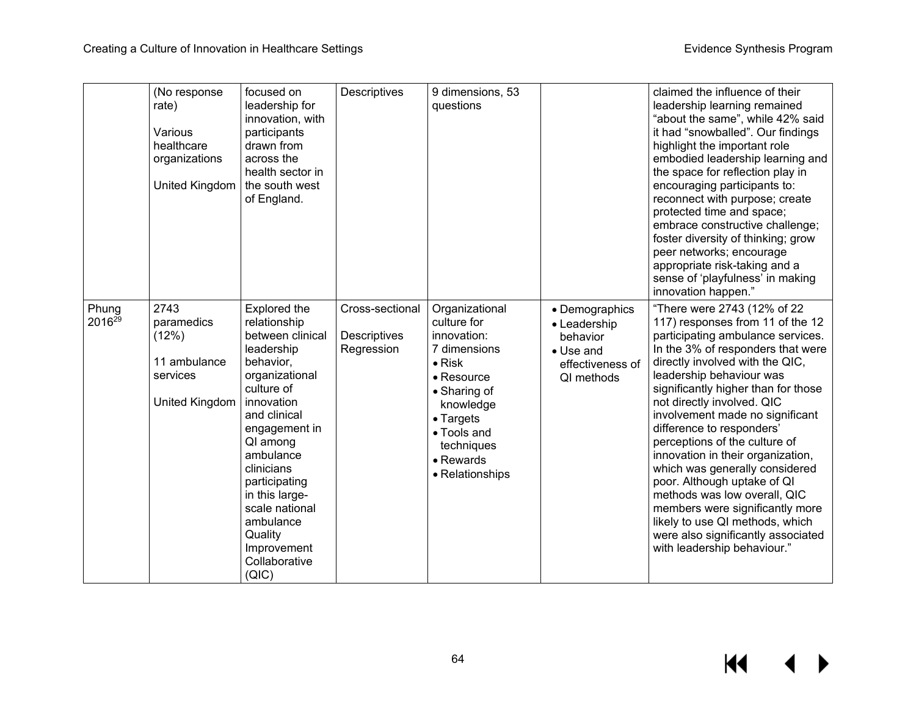|                             | (No response<br>rate)<br>Various<br>healthcare<br>organizations<br>United Kingdom | focused on<br>leadership for<br>innovation, with<br>participants<br>drawn from<br>across the<br>health sector in<br>the south west<br>of England.                                                                                                                                                                       | Descriptives                                  | 9 dimensions, 53<br>questions                                                                                                                                                                               |                                                                                           | claimed the influence of their<br>leadership learning remained<br>"about the same", while 42% said<br>it had "snowballed". Our findings<br>highlight the important role<br>embodied leadership learning and<br>the space for reflection play in<br>encouraging participants to:<br>reconnect with purpose; create<br>protected time and space;<br>embrace constructive challenge;<br>foster diversity of thinking; grow<br>peer networks; encourage<br>appropriate risk-taking and a<br>sense of 'playfulness' in making<br>innovation happen."                                                                                                                 |
|-----------------------------|-----------------------------------------------------------------------------------|-------------------------------------------------------------------------------------------------------------------------------------------------------------------------------------------------------------------------------------------------------------------------------------------------------------------------|-----------------------------------------------|-------------------------------------------------------------------------------------------------------------------------------------------------------------------------------------------------------------|-------------------------------------------------------------------------------------------|-----------------------------------------------------------------------------------------------------------------------------------------------------------------------------------------------------------------------------------------------------------------------------------------------------------------------------------------------------------------------------------------------------------------------------------------------------------------------------------------------------------------------------------------------------------------------------------------------------------------------------------------------------------------|
| Phung<br>2016 <sup>29</sup> | 2743<br>paramedics<br>(12%)<br>11 ambulance<br>services<br>United Kingdom         | Explored the<br>relationship<br>between clinical<br>leadership<br>behavior,<br>organizational<br>culture of<br>innovation<br>and clinical<br>engagement in<br>QI among<br>ambulance<br>clinicians<br>participating<br>in this large-<br>scale national<br>ambulance<br>Quality<br>Improvement<br>Collaborative<br>(QIC) | Cross-sectional<br>Descriptives<br>Regression | Organizational<br>culture for<br>innovation:<br>7 dimensions<br>$\bullet$ Risk<br>• Resource<br>• Sharing of<br>knowledge<br>$\bullet$ Targets<br>• Tools and<br>techniques<br>• Rewards<br>• Relationships | • Demographics<br>• Leadership<br>behavior<br>• Use and<br>effectiveness of<br>QI methods | "There were 2743 (12% of 22<br>117) responses from 11 of the 12<br>participating ambulance services.<br>In the 3% of responders that were<br>directly involved with the QIC,<br>leadership behaviour was<br>significantly higher than for those<br>not directly involved. QIC<br>involvement made no significant<br>difference to responders'<br>perceptions of the culture of<br>innovation in their organization,<br>which was generally considered<br>poor. Although uptake of QI<br>methods was low overall, QIC<br>members were significantly more<br>likely to use QI methods, which<br>were also significantly associated<br>with leadership behaviour." |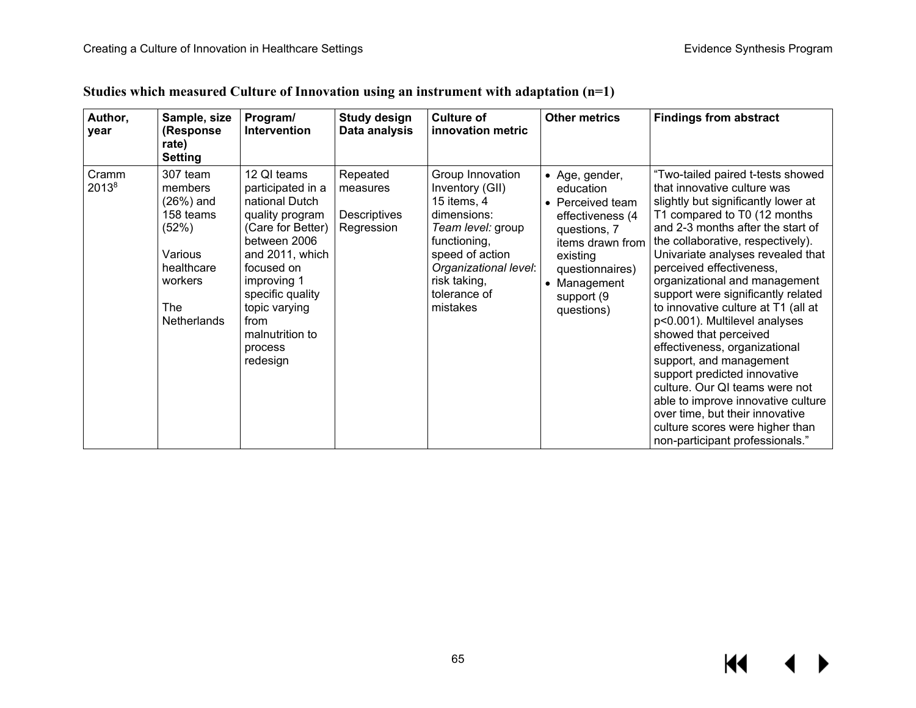| Author,<br>year            | Sample, size<br>(Response<br>rate)<br><b>Setting</b>                                                                    | Program/<br>Intervention                                                                                                                                                                                                                          | <b>Study design</b><br>Data analysis               | <b>Culture of</b><br>innovation metric                                                                                                                                                         | <b>Other metrics</b>                                                                                                                                                               | <b>Findings from abstract</b>                                                                                                                                                                                                                                                                                                                                                                                                                                                                                                                                                                                                                                                                                                           |
|----------------------------|-------------------------------------------------------------------------------------------------------------------------|---------------------------------------------------------------------------------------------------------------------------------------------------------------------------------------------------------------------------------------------------|----------------------------------------------------|------------------------------------------------------------------------------------------------------------------------------------------------------------------------------------------------|------------------------------------------------------------------------------------------------------------------------------------------------------------------------------------|-----------------------------------------------------------------------------------------------------------------------------------------------------------------------------------------------------------------------------------------------------------------------------------------------------------------------------------------------------------------------------------------------------------------------------------------------------------------------------------------------------------------------------------------------------------------------------------------------------------------------------------------------------------------------------------------------------------------------------------------|
| Cramm<br>2013 <sup>8</sup> | 307 team<br>members<br>(26%) and<br>158 teams<br>(52%)<br>Various<br>healthcare<br>workers<br><b>The</b><br>Netherlands | 12 QI teams<br>participated in a<br>national Dutch<br>quality program<br>(Care for Better)<br>between 2006<br>and 2011, which<br>focused on<br>improving 1<br>specific quality<br>topic varying<br>from<br>malnutrition to<br>process<br>redesign | Repeated<br>measures<br>Descriptives<br>Regression | Group Innovation<br>Inventory (GII)<br>15 items, 4<br>dimensions:<br>Team level: group<br>functioning,<br>speed of action<br>Organizational level:<br>risk taking,<br>tolerance of<br>mistakes | • Age, gender,<br>education<br>• Perceived team<br>effectiveness (4<br>questions, 7<br>items drawn from<br>existing<br>questionnaires)<br>• Management<br>support (9<br>questions) | "Two-tailed paired t-tests showed<br>that innovative culture was<br>slightly but significantly lower at<br>T1 compared to T0 (12 months<br>and 2-3 months after the start of<br>the collaborative, respectively).<br>Univariate analyses revealed that<br>perceived effectiveness,<br>organizational and management<br>support were significantly related<br>to innovative culture at T1 (all at<br>p<0.001). Multilevel analyses<br>showed that perceived<br>effectiveness, organizational<br>support, and management<br>support predicted innovative<br>culture. Our QI teams were not<br>able to improve innovative culture<br>over time, but their innovative<br>culture scores were higher than<br>non-participant professionals." |

## **Studies which measured Culture of Innovation using an instrument with adaptation (n=1)**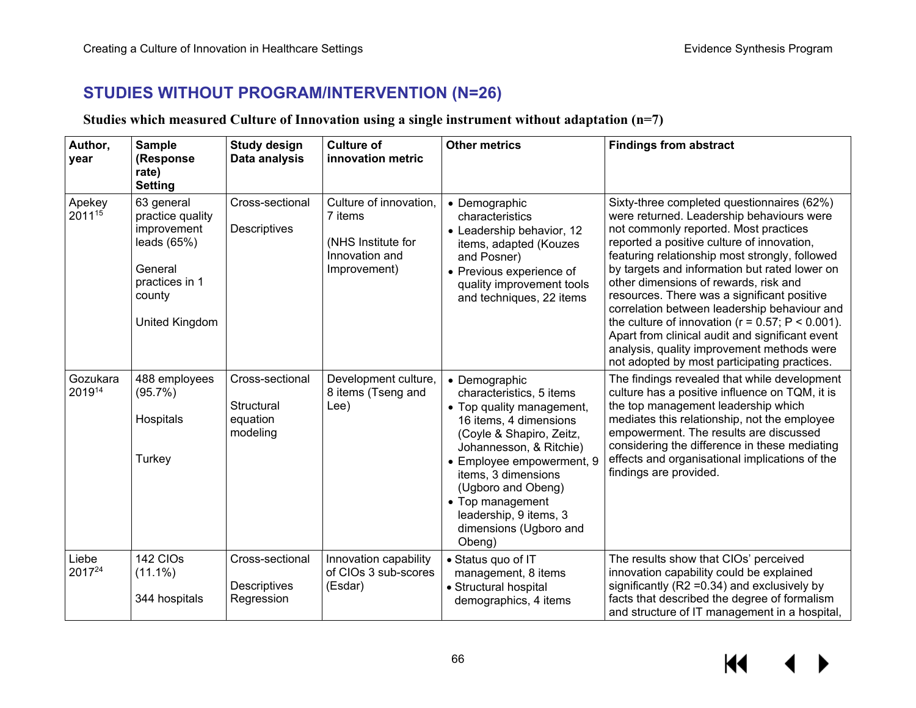## **STUDIES WITHOUT PROGRAM/INTERVENTION (N=26)**

### **Studies which measured Culture of Innovation using a single instrument without adaptation (n=7)**

| Author,<br>year    | <b>Sample</b><br>(Response<br>rate)<br><b>Setting</b>                                                                   | <b>Study design</b><br>Data analysis                  | <b>Culture of</b><br>innovation metric                                                    | <b>Other metrics</b>                                                                                                                                                                                                                                                                                                | <b>Findings from abstract</b>                                                                                                                                                                                                                                                                                                                                                                                                                                                                                                                                                                                                         |
|--------------------|-------------------------------------------------------------------------------------------------------------------------|-------------------------------------------------------|-------------------------------------------------------------------------------------------|---------------------------------------------------------------------------------------------------------------------------------------------------------------------------------------------------------------------------------------------------------------------------------------------------------------------|---------------------------------------------------------------------------------------------------------------------------------------------------------------------------------------------------------------------------------------------------------------------------------------------------------------------------------------------------------------------------------------------------------------------------------------------------------------------------------------------------------------------------------------------------------------------------------------------------------------------------------------|
| Apekey<br>201115   | 63 general<br>practice quality<br>improvement<br>leads $(65%)$<br>General<br>practices in 1<br>county<br>United Kingdom | Cross-sectional<br>Descriptives                       | Culture of innovation,<br>7 items<br>(NHS Institute for<br>Innovation and<br>Improvement) | • Demographic<br>characteristics<br>• Leadership behavior, 12<br>items, adapted (Kouzes<br>and Posner)<br>• Previous experience of<br>quality improvement tools<br>and techniques, 22 items                                                                                                                         | Sixty-three completed questionnaires (62%)<br>were returned. Leadership behaviours were<br>not commonly reported. Most practices<br>reported a positive culture of innovation,<br>featuring relationship most strongly, followed<br>by targets and information but rated lower on<br>other dimensions of rewards, risk and<br>resources. There was a significant positive<br>correlation between leadership behaviour and<br>the culture of innovation ( $r = 0.57$ ; $P < 0.001$ ).<br>Apart from clinical audit and significant event<br>analysis, quality improvement methods were<br>not adopted by most participating practices. |
| Gozukara<br>201914 | 488 employees<br>(95.7%)<br>Hospitals<br>Turkey                                                                         | Cross-sectional<br>Structural<br>equation<br>modeling | Development culture,<br>8 items (Tseng and<br>Lee)                                        | • Demographic<br>characteristics, 5 items<br>• Top quality management,<br>16 items, 4 dimensions<br>(Coyle & Shapiro, Zeitz,<br>Johannesson, & Ritchie)<br>• Employee empowerment, 9<br>items, 3 dimensions<br>(Ugboro and Obeng)<br>• Top management<br>leadership, 9 items, 3<br>dimensions (Ugboro and<br>Obeng) | The findings revealed that while development<br>culture has a positive influence on TQM, it is<br>the top management leadership which<br>mediates this relationship, not the employee<br>empowerment. The results are discussed<br>considering the difference in these mediating<br>effects and organisational implications of the<br>findings are provided.                                                                                                                                                                                                                                                                          |
| Liebe<br>201724    | 142 CIOs<br>$(11.1\%)$<br>344 hospitals                                                                                 | Cross-sectional<br>Descriptives<br>Regression         | Innovation capability<br>of CIOs 3 sub-scores<br>(Esdar)                                  | · Status quo of IT<br>management, 8 items<br>• Structural hospital<br>demographics, 4 items                                                                                                                                                                                                                         | The results show that CIOs' perceived<br>innovation capability could be explained<br>significantly ( $R2 = 0.34$ ) and exclusively by<br>facts that described the degree of formalism<br>and structure of IT management in a hospital,                                                                                                                                                                                                                                                                                                                                                                                                |

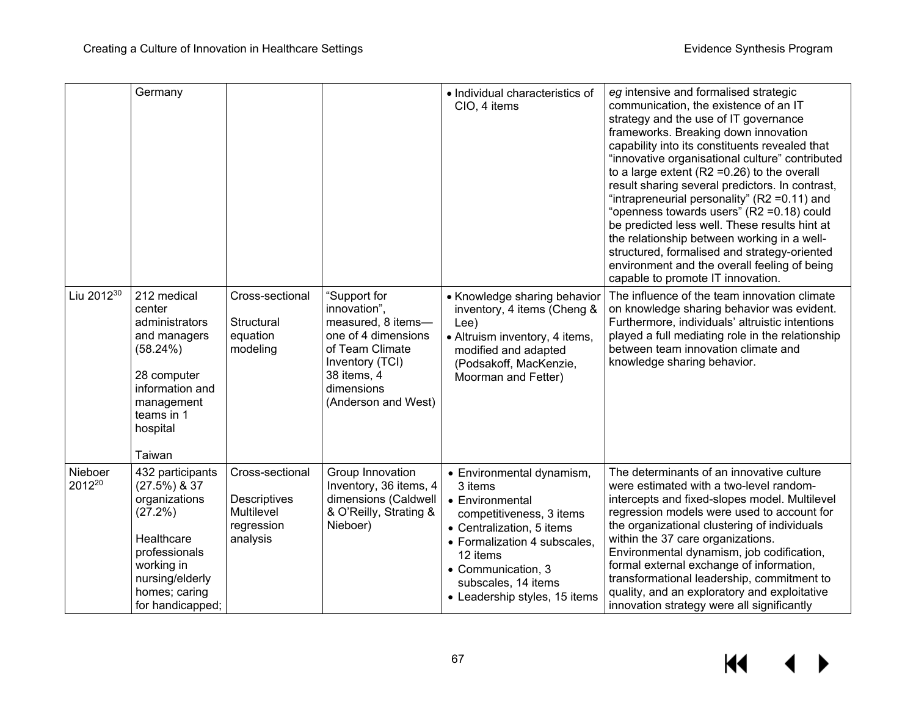|                               | Germany                                                                                                                                                              |                                                                                |                                                                                                                                                                     | • Individual characteristics of<br>CIO, 4 items                                                                                                                                                                                            | eg intensive and formalised strategic<br>communication, the existence of an IT<br>strategy and the use of IT governance<br>frameworks. Breaking down innovation<br>capability into its constituents revealed that<br>"innovative organisational culture" contributed<br>to a large extent ( $R2 = 0.26$ ) to the overall<br>result sharing several predictors. In contrast,<br>"intrapreneurial personality" (R2 = 0.11) and<br>"openness towards users" (R2 = 0.18) could<br>be predicted less well. These results hint at<br>the relationship between working in a well-<br>structured, formalised and strategy-oriented<br>environment and the overall feeling of being<br>capable to promote IT innovation. |
|-------------------------------|----------------------------------------------------------------------------------------------------------------------------------------------------------------------|--------------------------------------------------------------------------------|---------------------------------------------------------------------------------------------------------------------------------------------------------------------|--------------------------------------------------------------------------------------------------------------------------------------------------------------------------------------------------------------------------------------------|-----------------------------------------------------------------------------------------------------------------------------------------------------------------------------------------------------------------------------------------------------------------------------------------------------------------------------------------------------------------------------------------------------------------------------------------------------------------------------------------------------------------------------------------------------------------------------------------------------------------------------------------------------------------------------------------------------------------|
| Liu 2012 <sup>30</sup>        | 212 medical<br>center<br>administrators<br>and managers<br>(58.24%)<br>28 computer<br>information and<br>management<br>teams in 1<br>hospital<br>Taiwan              | Cross-sectional<br>Structural<br>equation<br>modeling                          | "Support for<br>innovation",<br>measured, 8 items-<br>one of 4 dimensions<br>of Team Climate<br>Inventory (TCI)<br>38 items, 4<br>dimensions<br>(Anderson and West) | • Knowledge sharing behavior<br>inventory, 4 items (Cheng &<br>Lee)<br>• Altruism inventory, 4 items,<br>modified and adapted<br>(Podsakoff, MacKenzie,<br>Moorman and Fetter)                                                             | The influence of the team innovation climate<br>on knowledge sharing behavior was evident.<br>Furthermore, individuals' altruistic intentions<br>played a full mediating role in the relationship<br>between team innovation climate and<br>knowledge sharing behavior.                                                                                                                                                                                                                                                                                                                                                                                                                                         |
| Nieboer<br>2012 <sup>20</sup> | 432 participants<br>$(27.5\%)$ & 37<br>organizations<br>(27.2%)<br>Healthcare<br>professionals<br>working in<br>nursing/elderly<br>homes; caring<br>for handicapped; | Cross-sectional<br><b>Descriptives</b><br>Multilevel<br>regression<br>analysis | Group Innovation<br>Inventory, 36 items, 4<br>dimensions (Caldwell<br>& O'Reilly, Strating &<br>Nieboer)                                                            | • Environmental dynamism,<br>3 items<br>• Environmental<br>competitiveness, 3 items<br>• Centralization, 5 items<br>• Formalization 4 subscales,<br>12 items<br>• Communication, 3<br>subscales, 14 items<br>• Leadership styles, 15 items | The determinants of an innovative culture<br>were estimated with a two-level random-<br>intercepts and fixed-slopes model. Multilevel<br>regression models were used to account for<br>the organizational clustering of individuals<br>within the 37 care organizations.<br>Environmental dynamism, job codification,<br>formal external exchange of information,<br>transformational leadership, commitment to<br>quality, and an exploratory and exploitative<br>innovation strategy were all significantly                                                                                                                                                                                                   |

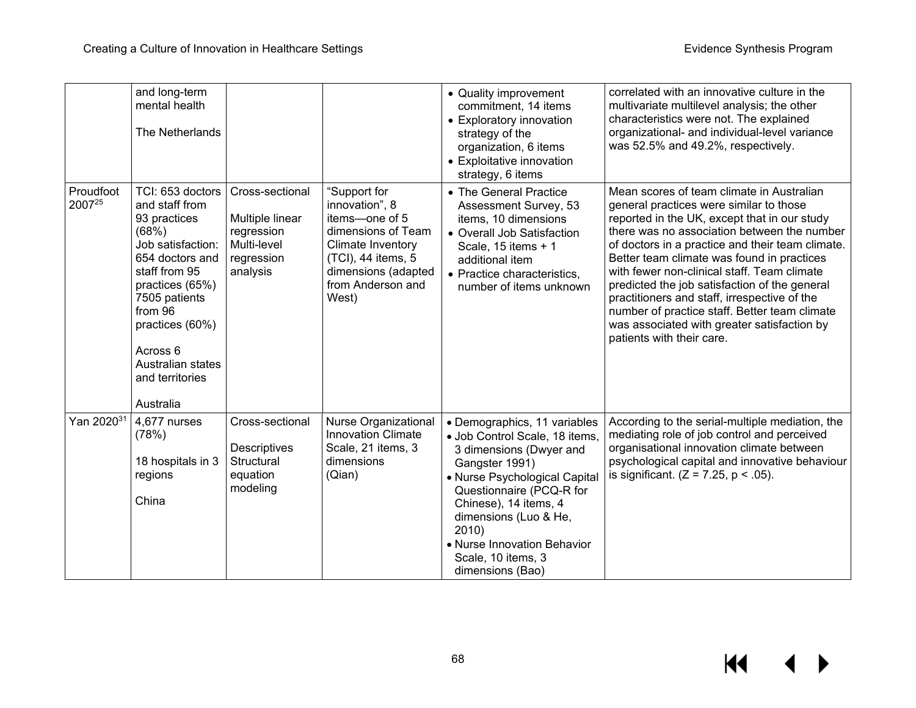|                     | and long-term<br>mental health<br>The Netherlands                                                                                                                                                                                                       |                                                                                           |                                                                                                                                                                        | • Quality improvement<br>commitment, 14 items<br>• Exploratory innovation<br>strategy of the<br>organization, 6 items<br>• Exploitative innovation<br>strategy, 6 items                                                                                                                                      | correlated with an innovative culture in the<br>multivariate multilevel analysis; the other<br>characteristics were not. The explained<br>organizational- and individual-level variance<br>was 52.5% and 49.2%, respectively.                                                                                                                                                                                                                                                                                                                                      |
|---------------------|---------------------------------------------------------------------------------------------------------------------------------------------------------------------------------------------------------------------------------------------------------|-------------------------------------------------------------------------------------------|------------------------------------------------------------------------------------------------------------------------------------------------------------------------|--------------------------------------------------------------------------------------------------------------------------------------------------------------------------------------------------------------------------------------------------------------------------------------------------------------|--------------------------------------------------------------------------------------------------------------------------------------------------------------------------------------------------------------------------------------------------------------------------------------------------------------------------------------------------------------------------------------------------------------------------------------------------------------------------------------------------------------------------------------------------------------------|
| Proudfoot<br>200725 | TCI: 653 doctors<br>and staff from<br>93 practices<br>(68%)<br>Job satisfaction:<br>654 doctors and<br>staff from 95<br>practices (65%)<br>7505 patients<br>from 96<br>practices (60%)<br>Across 6<br>Australian states<br>and territories<br>Australia | Cross-sectional<br>Multiple linear<br>regression<br>Multi-level<br>regression<br>analysis | "Support for<br>innovation", 8<br>items-one of 5<br>dimensions of Team<br>Climate Inventory<br>(TCI), 44 items, 5<br>dimensions (adapted<br>from Anderson and<br>West) | • The General Practice<br>Assessment Survey, 53<br>items, 10 dimensions<br>• Overall Job Satisfaction<br>Scale, 15 items + 1<br>additional item<br>• Practice characteristics,<br>number of items unknown                                                                                                    | Mean scores of team climate in Australian<br>general practices were similar to those<br>reported in the UK, except that in our study<br>there was no association between the number<br>of doctors in a practice and their team climate.<br>Better team climate was found in practices<br>with fewer non-clinical staff. Team climate<br>predicted the job satisfaction of the general<br>practitioners and staff, irrespective of the<br>number of practice staff. Better team climate<br>was associated with greater satisfaction by<br>patients with their care. |
| Yan 202031          | 4,677 nurses<br>(78%)<br>18 hospitals in 3<br>regions<br>China                                                                                                                                                                                          | Cross-sectional<br>Descriptives<br>Structural<br>equation<br>modeling                     | Nurse Organizational<br><b>Innovation Climate</b><br>Scale, 21 items, 3<br>dimensions<br>(Qian)                                                                        | • Demographics, 11 variables<br>· Job Control Scale, 18 items,<br>3 dimensions (Dwyer and<br>Gangster 1991)<br>• Nurse Psychological Capital<br>Questionnaire (PCQ-R for<br>Chinese), 14 items, 4<br>dimensions (Luo & He,<br>2010)<br>• Nurse Innovation Behavior<br>Scale, 10 items, 3<br>dimensions (Bao) | According to the serial-multiple mediation, the<br>mediating role of job control and perceived<br>organisational innovation climate between<br>psychological capital and innovative behaviour<br>is significant. $(Z = 7.25, p < .05)$ .                                                                                                                                                                                                                                                                                                                           |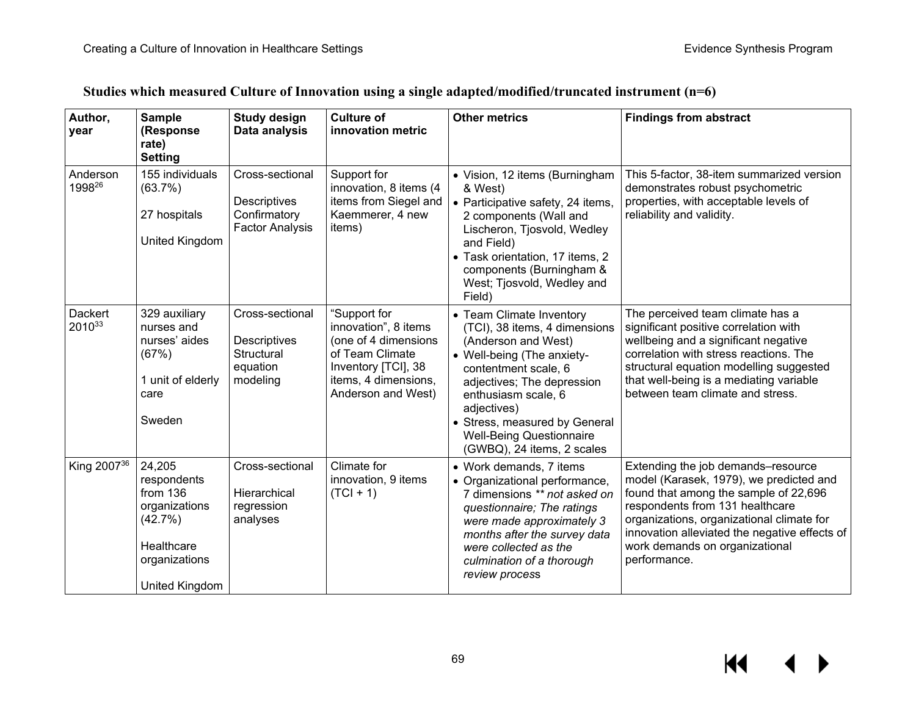| Studies which measured Culture of Innovation using a single adapted/modified/truncated instrument (n=6) |  |
|---------------------------------------------------------------------------------------------------------|--|
|---------------------------------------------------------------------------------------------------------|--|

| Author,<br>year         | <b>Sample</b><br>(Response<br>rate)<br><b>Setting</b>                                                            | <b>Study design</b><br>Data analysis                                             | <b>Culture of</b><br>innovation metric                                                                                                               | <b>Other metrics</b>                                                                                                                                                                                                                                                                                         | <b>Findings from abstract</b>                                                                                                                                                                                                                                                                             |
|-------------------------|------------------------------------------------------------------------------------------------------------------|----------------------------------------------------------------------------------|------------------------------------------------------------------------------------------------------------------------------------------------------|--------------------------------------------------------------------------------------------------------------------------------------------------------------------------------------------------------------------------------------------------------------------------------------------------------------|-----------------------------------------------------------------------------------------------------------------------------------------------------------------------------------------------------------------------------------------------------------------------------------------------------------|
| Anderson<br>199826      | 155 individuals<br>(63.7%)<br>27 hospitals<br><b>United Kingdom</b>                                              | Cross-sectional<br><b>Descriptives</b><br>Confirmatory<br><b>Factor Analysis</b> | Support for<br>innovation, 8 items (4<br>items from Siegel and<br>Kaemmerer, 4 new<br>items)                                                         | • Vision, 12 items (Burningham<br>& West)<br>• Participative safety, 24 items,<br>2 components (Wall and<br>Lischeron, Tjosvold, Wedley<br>and Field)<br>• Task orientation, 17 items, 2<br>components (Burningham &<br>West; Tjosvold, Wedley and<br>Field)                                                 | This 5-factor, 38-item summarized version<br>demonstrates robust psychometric<br>properties, with acceptable levels of<br>reliability and validity.                                                                                                                                                       |
| Dackert<br>201033       | 329 auxiliary<br>nurses and<br>nurses' aides<br>(67%)<br>1 unit of elderly<br>care<br>Sweden                     | Cross-sectional<br><b>Descriptives</b><br>Structural<br>equation<br>modeling     | "Support for<br>innovation", 8 items<br>(one of 4 dimensions<br>of Team Climate<br>Inventory [TCI], 38<br>items, 4 dimensions,<br>Anderson and West) | • Team Climate Inventory<br>(TCI), 38 items, 4 dimensions<br>(Anderson and West)<br>• Well-being (The anxiety-<br>contentment scale, 6<br>adjectives; The depression<br>enthusiasm scale, 6<br>adjectives)<br>• Stress, measured by General<br><b>Well-Being Questionnaire</b><br>(GWBQ), 24 items, 2 scales | The perceived team climate has a<br>significant positive correlation with<br>wellbeing and a significant negative<br>correlation with stress reactions. The<br>structural equation modelling suggested<br>that well-being is a mediating variable<br>between team climate and stress.                     |
| King 2007 <sup>36</sup> | 24,205<br>respondents<br>from $136$<br>organizations<br>(42.7%)<br>Healthcare<br>organizations<br>United Kingdom | Cross-sectional<br>Hierarchical<br>regression<br>analyses                        | Climate for<br>innovation, 9 items<br>$(TCI + 1)$                                                                                                    | • Work demands, 7 items<br>• Organizational performance,<br>7 dimensions ** not asked on<br>questionnaire; The ratings<br>were made approximately 3<br>months after the survey data<br>were collected as the<br>culmination of a thorough<br>review process                                                  | Extending the job demands-resource<br>model (Karasek, 1979), we predicted and<br>found that among the sample of 22,696<br>respondents from 131 healthcare<br>organizations, organizational climate for<br>innovation alleviated the negative effects of<br>work demands on organizational<br>performance. |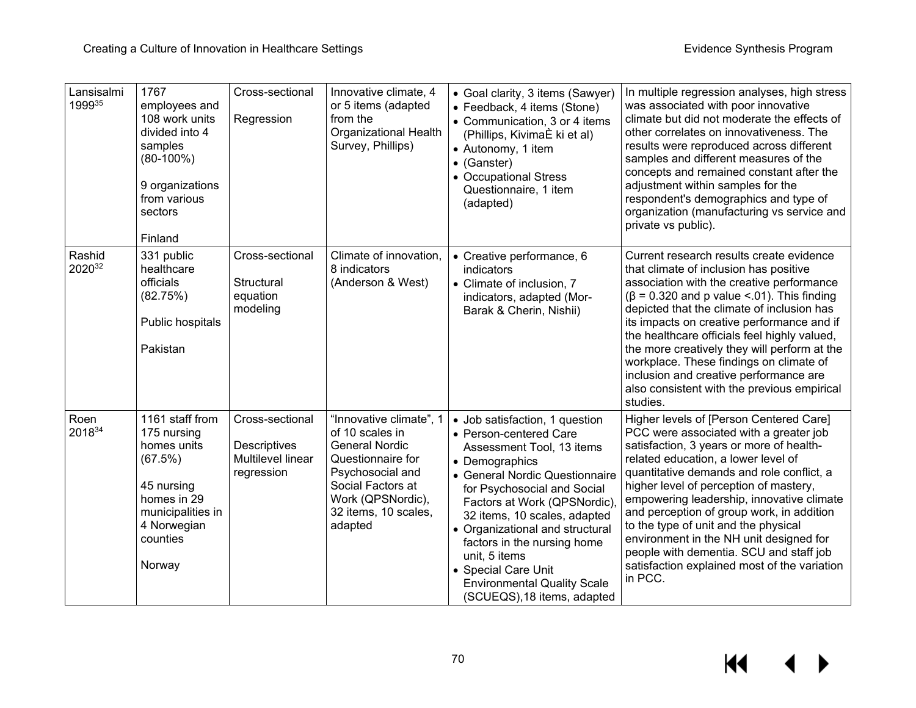| Lansisalmi<br>199935 | 1767<br>employees and<br>108 work units<br>divided into 4<br>samples<br>$(80-100\%)$<br>9 organizations<br>from various<br>sectors<br>Finland   | Cross-sectional<br>Regression                                             | Innovative climate, 4<br>or 5 items (adapted<br>from the<br>Organizational Health<br>Survey, Phillips)                                                                                    | • Goal clarity, 3 items (Sawyer)<br>• Feedback, 4 items (Stone)<br>• Communication, 3 or 4 items<br>(Phillips, KivimaÈ ki et al)<br>• Autonomy, 1 item<br>• (Ganster)<br>• Occupational Stress<br>Questionnaire, 1 item<br>(adapted)                                                                                                                                                                                    | In multiple regression analyses, high stress<br>was associated with poor innovative<br>climate but did not moderate the effects of<br>other correlates on innovativeness. The<br>results were reproduced across different<br>samples and different measures of the<br>concepts and remained constant after the<br>adjustment within samples for the<br>respondent's demographics and type of<br>organization (manufacturing vs service and<br>private vs public).                                                                              |
|----------------------|-------------------------------------------------------------------------------------------------------------------------------------------------|---------------------------------------------------------------------------|-------------------------------------------------------------------------------------------------------------------------------------------------------------------------------------------|-------------------------------------------------------------------------------------------------------------------------------------------------------------------------------------------------------------------------------------------------------------------------------------------------------------------------------------------------------------------------------------------------------------------------|------------------------------------------------------------------------------------------------------------------------------------------------------------------------------------------------------------------------------------------------------------------------------------------------------------------------------------------------------------------------------------------------------------------------------------------------------------------------------------------------------------------------------------------------|
| Rashid<br>202032     | 331 public<br>healthcare<br>officials<br>(82.75%)<br>Public hospitals<br>Pakistan                                                               | Cross-sectional<br>Structural<br>equation<br>modeling                     | Climate of innovation,<br>8 indicators<br>(Anderson & West)                                                                                                                               | • Creative performance, 6<br>indicators<br>• Climate of inclusion, 7<br>indicators, adapted (Mor-<br>Barak & Cherin, Nishii)                                                                                                                                                                                                                                                                                            | Current research results create evidence<br>that climate of inclusion has positive<br>association with the creative performance<br>$(\beta = 0.320$ and p value <.01). This finding<br>depicted that the climate of inclusion has<br>its impacts on creative performance and if<br>the healthcare officials feel highly valued,<br>the more creatively they will perform at the<br>workplace. These findings on climate of<br>inclusion and creative performance are<br>also consistent with the previous empirical<br>studies.                |
| Roen<br>201834       | 1161 staff from<br>175 nursing<br>homes units<br>(67.5%)<br>45 nursing<br>homes in 29<br>municipalities in<br>4 Norwegian<br>counties<br>Norway | Cross-sectional<br>Descriptives<br><b>Multilevel linear</b><br>regression | "Innovative climate", 1<br>of 10 scales in<br><b>General Nordic</b><br>Questionnaire for<br>Psychosocial and<br>Social Factors at<br>Work (QPSNordic),<br>32 items, 10 scales,<br>adapted | • Job satisfaction, 1 question<br>• Person-centered Care<br>Assessment Tool, 13 items<br>• Demographics<br>• General Nordic Questionnaire<br>for Psychosocial and Social<br>Factors at Work (QPSNordic),<br>32 items, 10 scales, adapted<br>• Organizational and structural<br>factors in the nursing home<br>unit, 5 items<br>• Special Care Unit<br><b>Environmental Quality Scale</b><br>(SCUEQS), 18 items, adapted | Higher levels of [Person Centered Care]<br>PCC were associated with a greater job<br>satisfaction, 3 years or more of health-<br>related education, a lower level of<br>quantitative demands and role conflict, a<br>higher level of perception of mastery,<br>empowering leadership, innovative climate<br>and perception of group work, in addition<br>to the type of unit and the physical<br>environment in the NH unit designed for<br>people with dementia. SCU and staff job<br>satisfaction explained most of the variation<br>in PCC. |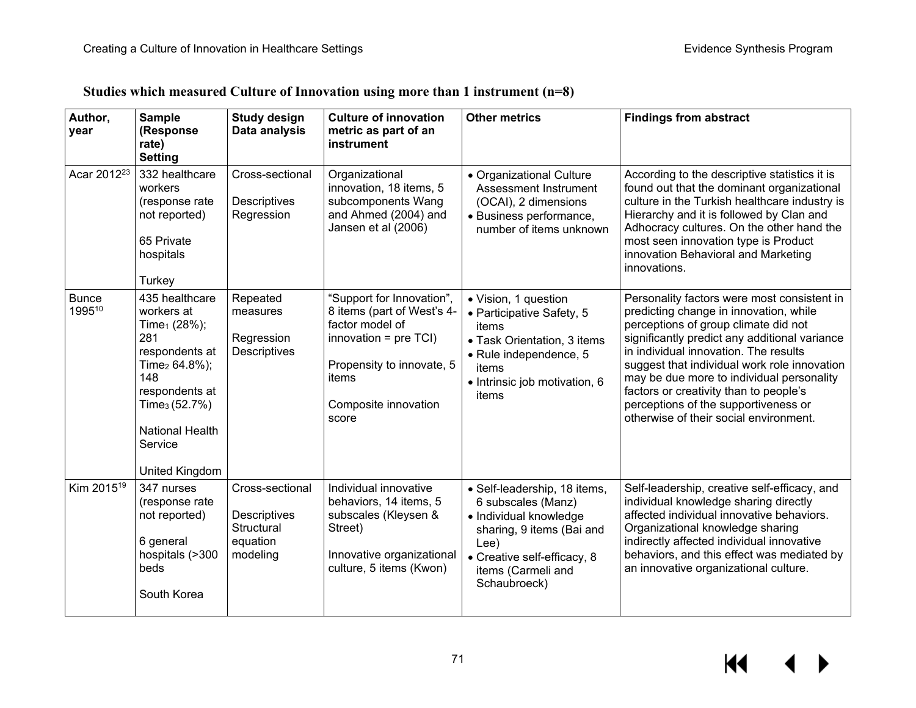| Studies which measured Culture of Innovation using more than 1 instrument $(n=8)$ |  |  |
|-----------------------------------------------------------------------------------|--|--|
|                                                                                   |  |  |

| Author,<br>year         | <b>Sample</b><br>(Response<br>rate)<br><b>Setting</b>                                                                                                                                                                         | <b>Study design</b><br>Data analysis                                         | <b>Culture of innovation</b><br>metric as part of an<br>instrument                                                                                                           | <b>Other metrics</b>                                                                                                                                                                   | <b>Findings from abstract</b>                                                                                                                                                                                                                                                                                                                                                                                                                    |
|-------------------------|-------------------------------------------------------------------------------------------------------------------------------------------------------------------------------------------------------------------------------|------------------------------------------------------------------------------|------------------------------------------------------------------------------------------------------------------------------------------------------------------------------|----------------------------------------------------------------------------------------------------------------------------------------------------------------------------------------|--------------------------------------------------------------------------------------------------------------------------------------------------------------------------------------------------------------------------------------------------------------------------------------------------------------------------------------------------------------------------------------------------------------------------------------------------|
| Acar 2012 <sup>23</sup> | 332 healthcare<br>workers<br>(response rate<br>not reported)<br>65 Private<br>hospitals<br>Turkey                                                                                                                             | Cross-sectional<br>Descriptives<br>Regression                                | Organizational<br>innovation, 18 items, 5<br>subcomponents Wang<br>and Ahmed (2004) and<br>Jansen et al (2006)                                                               | • Organizational Culture<br>Assessment Instrument<br>(OCAI), 2 dimensions<br>· Business performance,<br>number of items unknown                                                        | According to the descriptive statistics it is<br>found out that the dominant organizational<br>culture in the Turkish healthcare industry is<br>Hierarchy and it is followed by Clan and<br>Adhocracy cultures. On the other hand the<br>most seen innovation type is Product<br>innovation Behavioral and Marketing<br>innovations.                                                                                                             |
| <b>Bunce</b><br>199510  | 435 healthcare<br>workers at<br>Time <sub>1</sub> (28%);<br>281<br>respondents at<br>Time <sub>2</sub> 64.8%);<br>148<br>respondents at<br>Time <sub>3</sub> $(52.7%)$<br><b>National Health</b><br>Service<br>United Kingdom | Repeated<br>measures<br>Regression<br>Descriptives                           | "Support for Innovation",<br>8 items (part of West's 4-<br>factor model of<br>innovation = $pre$ TCI)<br>Propensity to innovate, 5<br>items<br>Composite innovation<br>score | • Vision, 1 question<br>• Participative Safety, 5<br>items<br>• Task Orientation, 3 items<br>· Rule independence, 5<br>items<br>• Intrinsic job motivation, 6<br>items                 | Personality factors were most consistent in<br>predicting change in innovation, while<br>perceptions of group climate did not<br>significantly predict any additional variance<br>in individual innovation. The results<br>suggest that individual work role innovation<br>may be due more to individual personality<br>factors or creativity than to people's<br>perceptions of the supportiveness or<br>otherwise of their social environment. |
| Kim 2015 <sup>19</sup>  | 347 nurses<br>(response rate<br>not reported)<br>6 general<br>hospitals (>300<br>beds<br>South Korea                                                                                                                          | Cross-sectional<br><b>Descriptives</b><br>Structural<br>equation<br>modeling | Individual innovative<br>behaviors, 14 items, 5<br>subscales (Kleysen &<br>Street)<br>Innovative organizational<br>culture, 5 items (Kwon)                                   | · Self-leadership, 18 items,<br>6 subscales (Manz)<br>· Individual knowledge<br>sharing, 9 items (Bai and<br>Lee)<br>• Creative self-efficacy, 8<br>items (Carmeli and<br>Schaubroeck) | Self-leadership, creative self-efficacy, and<br>individual knowledge sharing directly<br>affected individual innovative behaviors.<br>Organizational knowledge sharing<br>indirectly affected individual innovative<br>behaviors, and this effect was mediated by<br>an innovative organizational culture.                                                                                                                                       |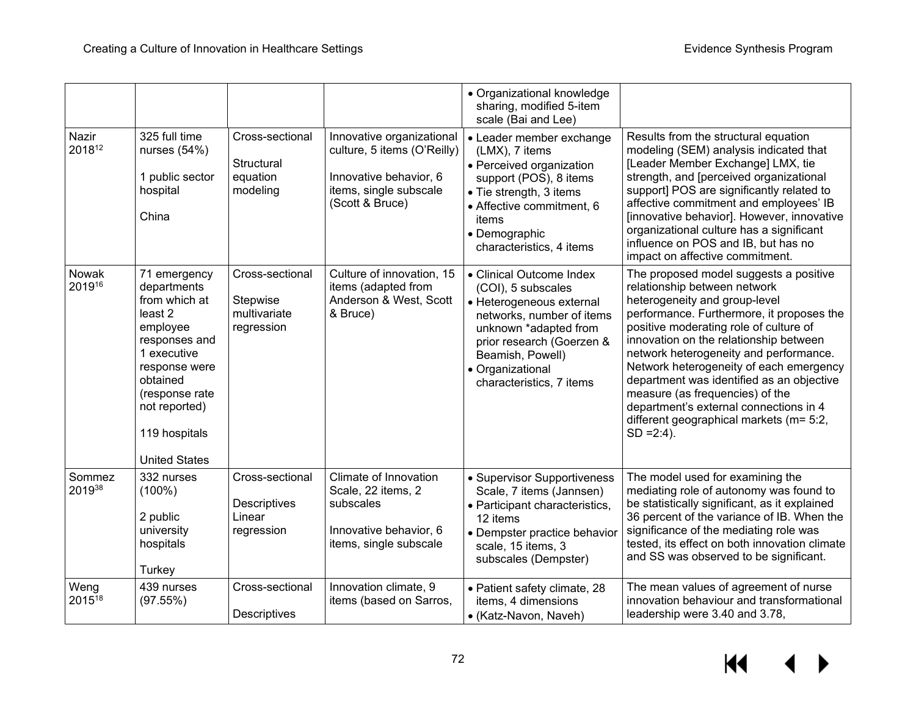|                  |                                                                                                                                                                                                              |                                                                |                                                                                                                                 | • Organizational knowledge<br>sharing, modified 5-item<br>scale (Bai and Lee)                                                                                                                                                     |                                                                                                                                                                                                                                                                                                                                                                                                                                                                                                                     |
|------------------|--------------------------------------------------------------------------------------------------------------------------------------------------------------------------------------------------------------|----------------------------------------------------------------|---------------------------------------------------------------------------------------------------------------------------------|-----------------------------------------------------------------------------------------------------------------------------------------------------------------------------------------------------------------------------------|---------------------------------------------------------------------------------------------------------------------------------------------------------------------------------------------------------------------------------------------------------------------------------------------------------------------------------------------------------------------------------------------------------------------------------------------------------------------------------------------------------------------|
| Nazir<br>201812  | 325 full time<br>nurses $(54%)$<br>1 public sector<br>hospital<br>China                                                                                                                                      | Cross-sectional<br>Structural<br>equation<br>modeling          | Innovative organizational<br>culture, 5 items (O'Reilly)<br>Innovative behavior, 6<br>items, single subscale<br>(Scott & Bruce) | • Leader member exchange<br>(LMX), 7 items<br>• Perceived organization<br>support (POS), 8 items<br>• Tie strength, 3 items<br>• Affective commitment, 6<br>items<br>• Demographic<br>characteristics, 4 items                    | Results from the structural equation<br>modeling (SEM) analysis indicated that<br>[Leader Member Exchange] LMX, tie<br>strength, and [perceived organizational<br>support] POS are significantly related to<br>affective commitment and employees' IB<br>[innovative behavior]. However, innovative<br>organizational culture has a significant<br>influence on POS and IB, but has no<br>impact on affective commitment.                                                                                           |
| Nowak<br>201916  | 71 emergency<br>departments<br>from which at<br>least 2<br>employee<br>responses and<br>1 executive<br>response were<br>obtained<br>(response rate<br>not reported)<br>119 hospitals<br><b>United States</b> | Cross-sectional<br>Stepwise<br>multivariate<br>regression      | Culture of innovation, 15<br>items (adapted from<br>Anderson & West, Scott<br>& Bruce)                                          | • Clinical Outcome Index<br>(COI), 5 subscales<br>• Heterogeneous external<br>networks, number of items<br>unknown *adapted from<br>prior research (Goerzen &<br>Beamish, Powell)<br>• Organizational<br>characteristics, 7 items | The proposed model suggests a positive<br>relationship between network<br>heterogeneity and group-level<br>performance. Furthermore, it proposes the<br>positive moderating role of culture of<br>innovation on the relationship between<br>network heterogeneity and performance.<br>Network heterogeneity of each emergency<br>department was identified as an objective<br>measure (as frequencies) of the<br>department's external connections in 4<br>different geographical markets (m= 5:2,<br>$SD = 2:4$ ). |
| Sommez<br>201938 | 332 nurses<br>$(100\%)$<br>2 public<br>university<br>hospitals<br>Turkey                                                                                                                                     | Cross-sectional<br><b>Descriptives</b><br>Linear<br>regression | Climate of Innovation<br>Scale, 22 items, 2<br>subscales<br>Innovative behavior, 6<br>items, single subscale                    | • Supervisor Supportiveness<br>Scale, 7 items (Jannsen)<br>• Participant characteristics,<br>12 items<br>• Dempster practice behavior<br>scale, 15 items, 3<br>subscales (Dempster)                                               | The model used for examining the<br>mediating role of autonomy was found to<br>be statistically significant, as it explained<br>36 percent of the variance of IB. When the<br>significance of the mediating role was<br>tested, its effect on both innovation climate<br>and SS was observed to be significant.                                                                                                                                                                                                     |
| Weng<br>201518   | 439 nurses<br>(97.55%)                                                                                                                                                                                       | Cross-sectional<br>Descriptives                                | Innovation climate, 9<br>items (based on Sarros,                                                                                | • Patient safety climate, 28<br>items, 4 dimensions<br>• (Katz-Navon, Naveh)                                                                                                                                                      | The mean values of agreement of nurse<br>innovation behaviour and transformational<br>leadership were 3.40 and 3.78,                                                                                                                                                                                                                                                                                                                                                                                                |

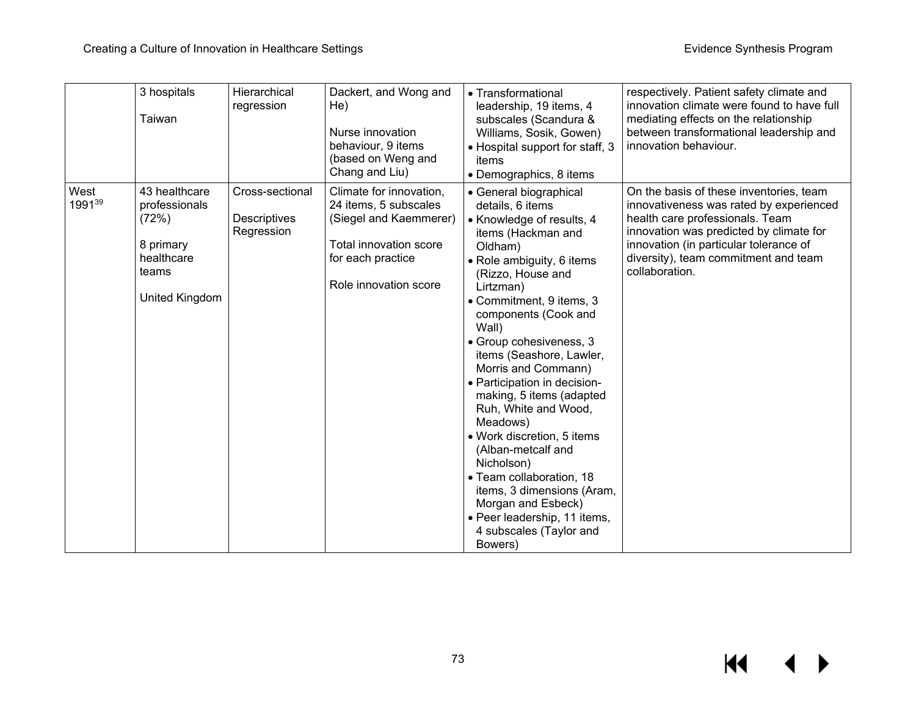|                | 3 hospitals<br>Taiwan                                                                         | Hierarchical<br>regression                    | Dackert, and Wong and<br>He)<br>Nurse innovation<br>behaviour, 9 items<br>(based on Weng and<br>Chang and Liu)                                     | • Transformational<br>leadership, 19 items, 4<br>subscales (Scandura &<br>Williams, Sosik, Gowen)<br>• Hospital support for staff, 3<br>items<br>• Demographics, 8 items                                                                                                                                                                                                                                                                                                                                                                                                                                                                   | respectively. Patient safety climate and<br>innovation climate were found to have full<br>mediating effects on the relationship<br>between transformational leadership and<br>innovation behaviour.                                                                  |
|----------------|-----------------------------------------------------------------------------------------------|-----------------------------------------------|----------------------------------------------------------------------------------------------------------------------------------------------------|--------------------------------------------------------------------------------------------------------------------------------------------------------------------------------------------------------------------------------------------------------------------------------------------------------------------------------------------------------------------------------------------------------------------------------------------------------------------------------------------------------------------------------------------------------------------------------------------------------------------------------------------|----------------------------------------------------------------------------------------------------------------------------------------------------------------------------------------------------------------------------------------------------------------------|
| West<br>199139 | 43 healthcare<br>professionals<br>(72%)<br>8 primary<br>healthcare<br>teams<br>United Kingdom | Cross-sectional<br>Descriptives<br>Regression | Climate for innovation,<br>24 items, 5 subscales<br>(Siegel and Kaemmerer)<br>Total innovation score<br>for each practice<br>Role innovation score | • General biographical<br>details, 6 items<br>• Knowledge of results, 4<br>items (Hackman and<br>Oldham)<br>• Role ambiguity, 6 items<br>(Rizzo, House and<br>Lirtzman)<br>• Commitment, 9 items, 3<br>components (Cook and<br>Wall)<br>· Group cohesiveness, 3<br>items (Seashore, Lawler,<br>Morris and Commann)<br>• Participation in decision-<br>making, 5 items (adapted<br>Ruh, White and Wood,<br>Meadows)<br>• Work discretion, 5 items<br>(Alban-metcalf and<br>Nicholson)<br>· Team collaboration, 18<br>items, 3 dimensions (Aram,<br>Morgan and Esbeck)<br>· Peer leadership, 11 items,<br>4 subscales (Taylor and<br>Bowers) | On the basis of these inventories, team<br>innovativeness was rated by experienced<br>health care professionals. Team<br>innovation was predicted by climate for<br>innovation (in particular tolerance of<br>diversity), team commitment and team<br>collaboration. |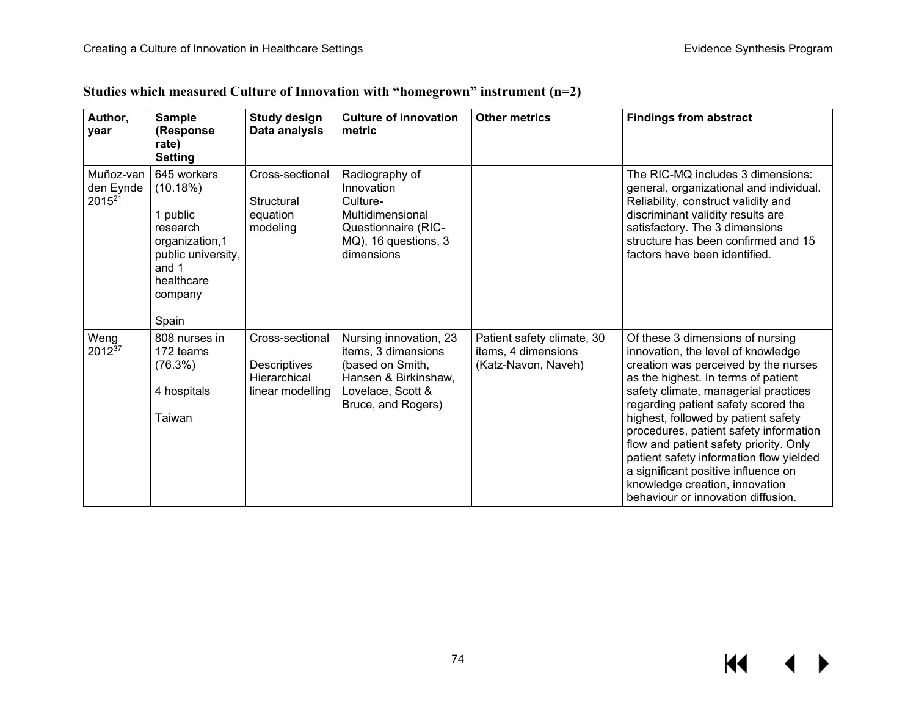| Author,<br>year                              | <b>Sample</b><br>(Response<br>rate)<br><b>Setting</b>                                                                              | <b>Study design</b><br>Data analysis                                | <b>Culture of innovation</b><br>metric                                                                                               | <b>Other metrics</b>                                                     | <b>Findings from abstract</b>                                                                                                                                                                                                                                                                                                                                                                                                                                                                                             |
|----------------------------------------------|------------------------------------------------------------------------------------------------------------------------------------|---------------------------------------------------------------------|--------------------------------------------------------------------------------------------------------------------------------------|--------------------------------------------------------------------------|---------------------------------------------------------------------------------------------------------------------------------------------------------------------------------------------------------------------------------------------------------------------------------------------------------------------------------------------------------------------------------------------------------------------------------------------------------------------------------------------------------------------------|
| Muñoz-van<br>den Eynde<br>2015 <sup>21</sup> | 645 workers<br>(10.18%)<br>1 public<br>research<br>organization,1<br>public university,<br>and 1<br>healthcare<br>company<br>Spain | Cross-sectional<br>Structural<br>equation<br>modeling               | Radiography of<br>Innovation<br>Culture-<br>Multidimensional<br>Questionnaire (RIC-<br>MQ), 16 questions, 3<br>dimensions            |                                                                          | The RIC-MQ includes 3 dimensions:<br>general, organizational and individual.<br>Reliability, construct validity and<br>discriminant validity results are<br>satisfactory. The 3 dimensions<br>structure has been confirmed and 15<br>factors have been identified.                                                                                                                                                                                                                                                        |
| Weng<br>201237                               | 808 nurses in<br>172 teams<br>(76.3%)<br>4 hospitals<br>Taiwan                                                                     | Cross-sectional<br>Descriptives<br>Hierarchical<br>linear modelling | Nursing innovation, 23<br>items, 3 dimensions<br>(based on Smith,<br>Hansen & Birkinshaw,<br>Lovelace, Scott &<br>Bruce, and Rogers) | Patient safety climate, 30<br>items, 4 dimensions<br>(Katz-Navon, Naveh) | Of these 3 dimensions of nursing<br>innovation, the level of knowledge<br>creation was perceived by the nurses<br>as the highest. In terms of patient<br>safety climate, managerial practices<br>regarding patient safety scored the<br>highest, followed by patient safety<br>procedures, patient safety information<br>flow and patient safety priority. Only<br>patient safety information flow yielded<br>a significant positive influence on<br>knowledge creation, innovation<br>behaviour or innovation diffusion. |

## **Studies which measured Culture of Innovation with "homegrown" instrument (n=2)**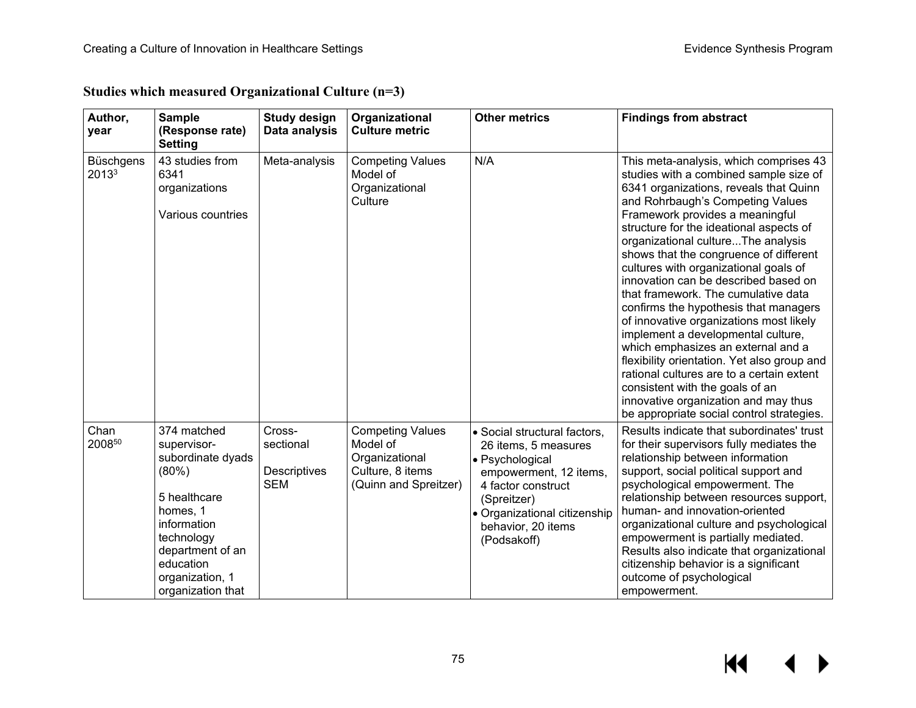| Author,<br>year           | <b>Sample</b><br>(Response rate)<br><b>Setting</b>                                                                                                                                         | <b>Study design</b><br>Data analysis                     | Organizational<br><b>Culture metric</b>                                                            | <b>Other metrics</b>                                                                                                                                                                                        | <b>Findings from abstract</b>                                                                                                                                                                                                                                                                                                                                                                                                                                                                                                                                                                                                                                                                                                                                                                                                            |
|---------------------------|--------------------------------------------------------------------------------------------------------------------------------------------------------------------------------------------|----------------------------------------------------------|----------------------------------------------------------------------------------------------------|-------------------------------------------------------------------------------------------------------------------------------------------------------------------------------------------------------------|------------------------------------------------------------------------------------------------------------------------------------------------------------------------------------------------------------------------------------------------------------------------------------------------------------------------------------------------------------------------------------------------------------------------------------------------------------------------------------------------------------------------------------------------------------------------------------------------------------------------------------------------------------------------------------------------------------------------------------------------------------------------------------------------------------------------------------------|
| <b>Büschgens</b><br>20133 | 43 studies from<br>6341<br>organizations<br>Various countries                                                                                                                              | Meta-analysis                                            | <b>Competing Values</b><br>Model of<br>Organizational<br>Culture                                   | N/A                                                                                                                                                                                                         | This meta-analysis, which comprises 43<br>studies with a combined sample size of<br>6341 organizations, reveals that Quinn<br>and Rohrbaugh's Competing Values<br>Framework provides a meaningful<br>structure for the ideational aspects of<br>organizational cultureThe analysis<br>shows that the congruence of different<br>cultures with organizational goals of<br>innovation can be described based on<br>that framework. The cumulative data<br>confirms the hypothesis that managers<br>of innovative organizations most likely<br>implement a developmental culture,<br>which emphasizes an external and a<br>flexibility orientation. Yet also group and<br>rational cultures are to a certain extent<br>consistent with the goals of an<br>innovative organization and may thus<br>be appropriate social control strategies. |
| Chan<br>200850            | 374 matched<br>supervisor-<br>subordinate dyads<br>(80%)<br>5 healthcare<br>homes, 1<br>information<br>technology<br>department of an<br>education<br>organization, 1<br>organization that | Cross-<br>sectional<br><b>Descriptives</b><br><b>SEM</b> | <b>Competing Values</b><br>Model of<br>Organizational<br>Culture, 8 items<br>(Quinn and Spreitzer) | · Social structural factors,<br>26 items, 5 measures<br>· Psychological<br>empowerment, 12 items,<br>4 factor construct<br>(Spreitzer)<br>• Organizational citizenship<br>behavior, 20 items<br>(Podsakoff) | Results indicate that subordinates' trust<br>for their supervisors fully mediates the<br>relationship between information<br>support, social political support and<br>psychological empowerment. The<br>relationship between resources support,<br>human- and innovation-oriented<br>organizational culture and psychological<br>empowerment is partially mediated.<br>Results also indicate that organizational<br>citizenship behavior is a significant<br>outcome of psychological<br>empowerment.                                                                                                                                                                                                                                                                                                                                    |

**Studies which measured Organizational Culture (n=3)**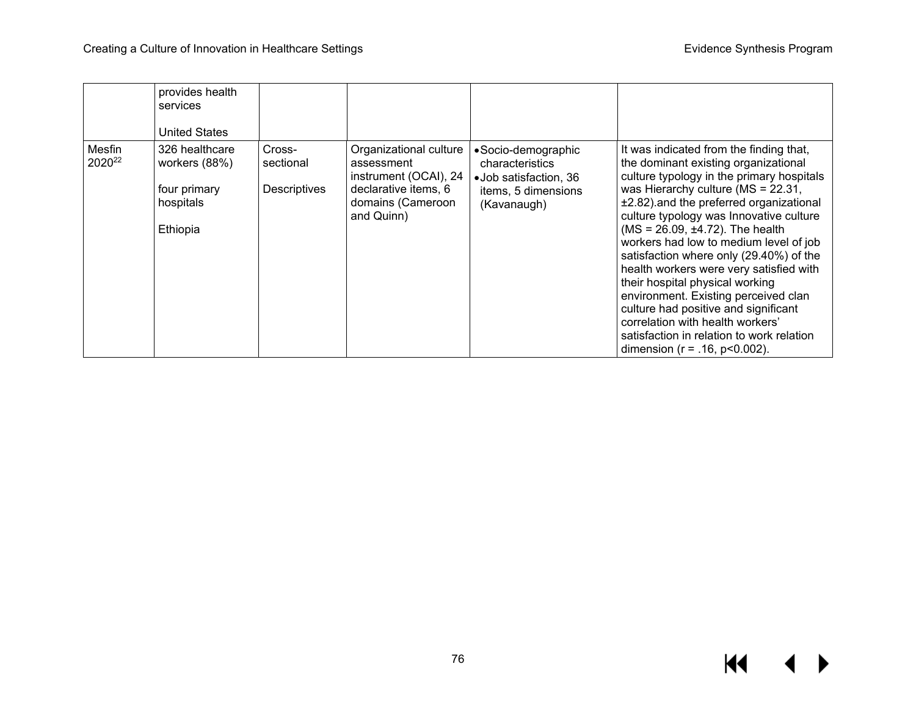|                              | provides health<br>services<br><b>United States</b>                      |                                     |                                                                                                                          |                                                                                                       |                                                                                                                                                                                                                                                                                                                                                                                                                                                                                                                                                                                                                                                                                     |
|------------------------------|--------------------------------------------------------------------------|-------------------------------------|--------------------------------------------------------------------------------------------------------------------------|-------------------------------------------------------------------------------------------------------|-------------------------------------------------------------------------------------------------------------------------------------------------------------------------------------------------------------------------------------------------------------------------------------------------------------------------------------------------------------------------------------------------------------------------------------------------------------------------------------------------------------------------------------------------------------------------------------------------------------------------------------------------------------------------------------|
| Mesfin<br>2020 <sup>22</sup> | 326 healthcare<br>workers (88%)<br>four primary<br>hospitals<br>Ethiopia | Cross-<br>sectional<br>Descriptives | Organizational culture<br>assessment<br>instrument (OCAI), 24<br>declarative items, 6<br>domains (Cameroon<br>and Quinn) | • Socio-demographic<br>characteristics<br>•Job satisfaction, 36<br>items, 5 dimensions<br>(Kavanaugh) | It was indicated from the finding that,<br>the dominant existing organizational<br>culture typology in the primary hospitals<br>was Hierarchy culture ( $MS = 22.31$ ,<br>±2.82) and the preferred organizational<br>culture typology was Innovative culture<br>$(MS = 26.09, \pm 4.72)$ . The health<br>workers had low to medium level of job<br>satisfaction where only (29.40%) of the<br>health workers were very satisfied with<br>their hospital physical working<br>environment. Existing perceived clan<br>culture had positive and significant<br>correlation with health workers'<br>satisfaction in relation to work relation<br>dimension ( $r = .16$ , $p < 0.002$ ). |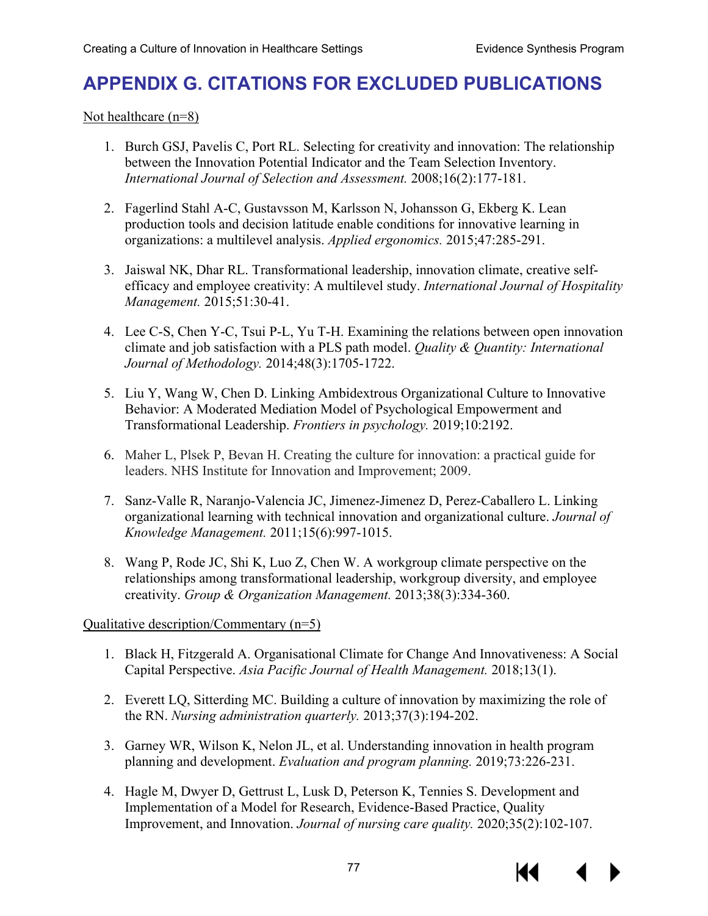# **APPENDIX G. CITATIONS FOR EXCLUDED PUBLICATIONS**

Not healthcare (n=8)

- 1. Burch GSJ, Pavelis C, Port RL. Selecting for creativity and innovation: The relationship between the Innovation Potential Indicator and the Team Selection Inventory. *International Journal of Selection and Assessment.* 2008;16(2):177-181.
- 2. Fagerlind Stahl A-C, Gustavsson M, Karlsson N, Johansson G, Ekberg K. Lean production tools and decision latitude enable conditions for innovative learning in organizations: a multilevel analysis. *Applied ergonomics.* 2015;47:285-291.
- 3. Jaiswal NK, Dhar RL. Transformational leadership, innovation climate, creative selfefficacy and employee creativity: A multilevel study. *International Journal of Hospitality Management.* 2015;51:30-41.
- 4. Lee C-S, Chen Y-C, Tsui P-L, Yu T-H. Examining the relations between open innovation climate and job satisfaction with a PLS path model. *Quality & Quantity: International Journal of Methodology.* 2014;48(3):1705-1722.
- 5. Liu Y, Wang W, Chen D. Linking Ambidextrous Organizational Culture to Innovative Behavior: A Moderated Mediation Model of Psychological Empowerment and Transformational Leadership. *Frontiers in psychology.* 2019;10:2192.
- 6. Maher L, Plsek P, Bevan H. Creating the culture for innovation: a practical guide for leaders. NHS Institute for Innovation and Improvement; 2009.
- 7. Sanz-Valle R, Naranjo-Valencia JC, Jimenez-Jimenez D, Perez-Caballero L. Linking organizational learning with technical innovation and organizational culture. *Journal of Knowledge Management.* 2011;15(6):997-1015.
- 8. Wang P, Rode JC, Shi K, Luo Z, Chen W. A workgroup climate perspective on the relationships among transformational leadership, workgroup diversity, and employee creativity. *Group & Organization Management.* 2013;38(3):334-360.

### Qualitative description/Commentary (n=5)

- 1. Black H, Fitzgerald A. Organisational Climate for Change And Innovativeness: A Social Capital Perspective. *Asia Pacific Journal of Health Management.* 2018;13(1).
- 2. Everett LQ, Sitterding MC. Building a culture of innovation by maximizing the role of the RN. *Nursing administration quarterly.* 2013;37(3):194-202.
- 3. Garney WR, Wilson K, Nelon JL, et al. Understanding innovation in health program planning and development. *Evaluation and program planning.* 2019;73:226-231.
- 4. Hagle M, Dwyer D, Gettrust L, Lusk D, Peterson K, Tennies S. Development and Implementation of a Model for Research, Evidence-Based Practice, Quality Improvement, and Innovation. *Journal of nursing care quality.* 2020;35(2):102-107.